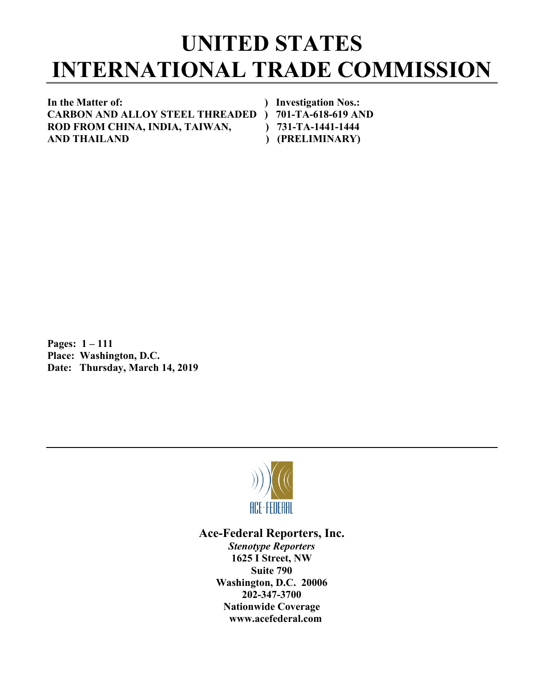## **UNITED STATES INTERNATIONAL TRADE COMMISSION**

**In the Matter of: ) Investigation Nos.: CARBON AND ALLOY STEEL THREADED ) 701-TA-618-619 AND** ROD FROM CHINA, INDIA, TAIWAN,  $\qquad$ ) 731-TA-1441-1444 **AND THAILAND ) (PRELIMINARY)**

**Pages: 1 – 111 Place: Washington, D.C. Date: Thursday, March 14, 2019**



**Ace-Federal Reporters, Inc.** *Stenotype Reporters* **1625 I Street, NW Suite 790 Washington, D.C. 20006 202-347-3700 Nationwide Coverage www.acefederal.com**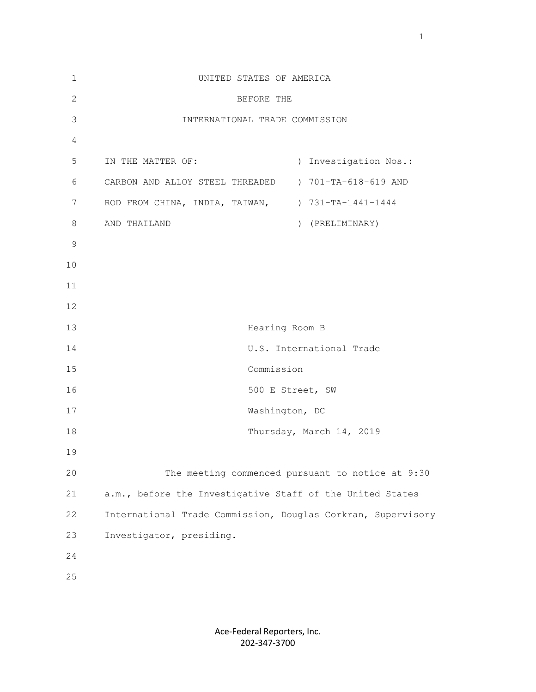| 1            | UNITED STATES OF AMERICA                                     |
|--------------|--------------------------------------------------------------|
| $\mathbf{2}$ | BEFORE THE                                                   |
| 3            | INTERNATIONAL TRADE COMMISSION                               |
| 4            |                                                              |
| 5            | IN THE MATTER OF:<br>) Investigation Nos.:                   |
| 6            | ) 701-TA-618-619 AND<br>CARBON AND ALLOY STEEL THREADED      |
| 7            | ROD FROM CHINA, INDIA, TAIWAN, ) 731-TA-1441-1444            |
| 8            | ) (PRELIMINARY)<br>AND THAILAND                              |
| 9            |                                                              |
| 10           |                                                              |
| 11           |                                                              |
| 12           |                                                              |
| 13           | Hearing Room B                                               |
| 14           | U.S. International Trade                                     |
| 15           | Commission                                                   |
| 16           | 500 E Street, SW                                             |
| 17           | Washington, DC                                               |
| 18           | Thursday, March 14, 2019                                     |
| 19           |                                                              |
| 20           | The meeting commenced pursuant to notice at 9:30             |
| 21           | a.m., before the Investigative Staff of the United States    |
| 22           | International Trade Commission, Douglas Corkran, Supervisory |
| 23           | Investigator, presiding.                                     |
| 24           |                                                              |
| 25           |                                                              |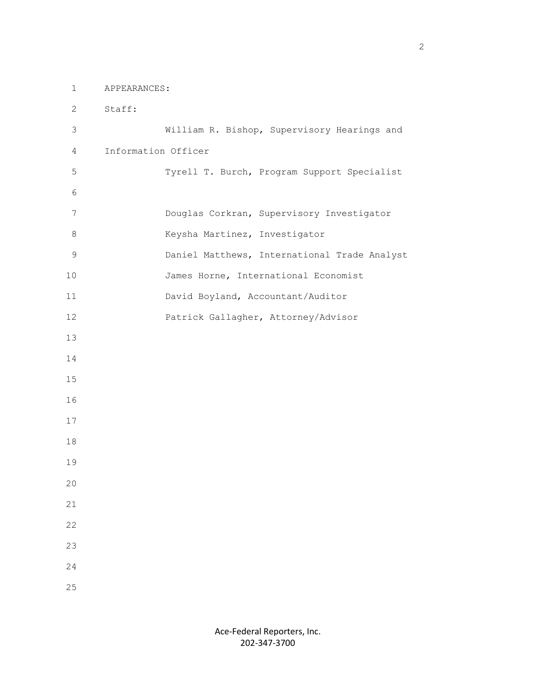1 APPEARANCES:

 2 Staff: 3 William R. Bishop, Supervisory Hearings and 4 Information Officer 5 Tyrell T. Burch, Program Support Specialist 6 7 Douglas Corkran, Supervisory Investigator 8 Keysha Martinez, Investigator 9 Daniel Matthews, International Trade Analyst 10 James Horne, International Economist 11 David Boyland, Accountant/Auditor 12 Patrick Gallagher, Attorney/Advisor 13 14 15 16 17 18 19 20 21 22 23 24 25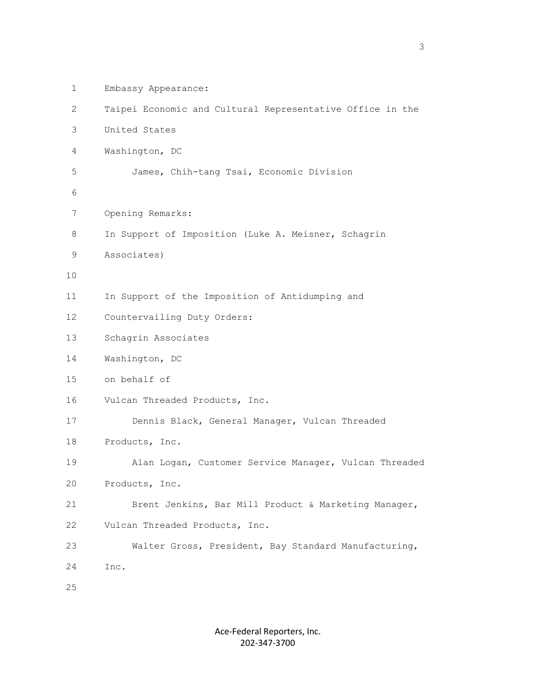| $\mathbf 1$    | Embassy Appearance:                                       |
|----------------|-----------------------------------------------------------|
| $\overline{2}$ | Taipei Economic and Cultural Representative Office in the |
| 3              | United States                                             |
| 4              | Washington, DC                                            |
| 5              | James, Chih-tang Tsai, Economic Division                  |
| 6              |                                                           |
| 7              | Opening Remarks:                                          |
| 8              | In Support of Imposition (Luke A. Meisner, Schagrin       |
| 9              | Associates)                                               |
| 10             |                                                           |
| 11             | In Support of the Imposition of Antidumping and           |
| 12             | Countervailing Duty Orders:                               |
| 13             | Schagrin Associates                                       |
| 14             | Washington, DC                                            |
| 15             | on behalf of                                              |
| 16             | Vulcan Threaded Products, Inc.                            |
| 17             | Dennis Black, General Manager, Vulcan Threaded            |
| 18             | Products, Inc.                                            |
| 19             | Alan Logan, Customer Service Manager, Vulcan Threaded     |
| 20             | Products, Inc.                                            |
| 21             | Brent Jenkins, Bar Mill Product & Marketing Manager,      |
| 22             | Vulcan Threaded Products, Inc.                            |
| 23             | Walter Gross, President, Bay Standard Manufacturing,      |
| 24             | Inc.                                                      |
| 25             |                                                           |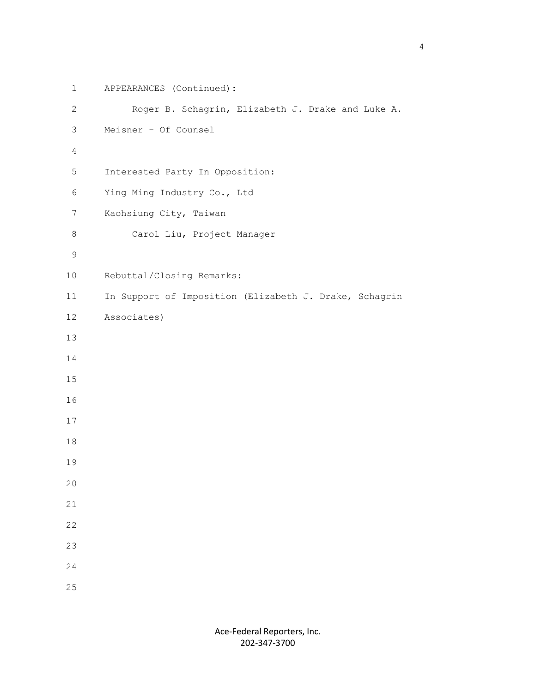```
 1 APPEARANCES (Continued):
         2 Roger B. Schagrin, Elizabeth J. Drake and Luke A.
         3 Meisner - Of Counsel
4
         5 Interested Party In Opposition:
         6 Ying Ming Industry Co., Ltd
         7 Kaohsiung City, Taiwan
         8 Carol Liu, Project Manager
9
        10 Rebuttal/Closing Remarks:
        11 In Support of Imposition (Elizabeth J. Drake, Schagrin
        12 Associates)
        13
        14
        15
        16
        17
        18
        19
        20
        21
        22
        23
        24
        25
```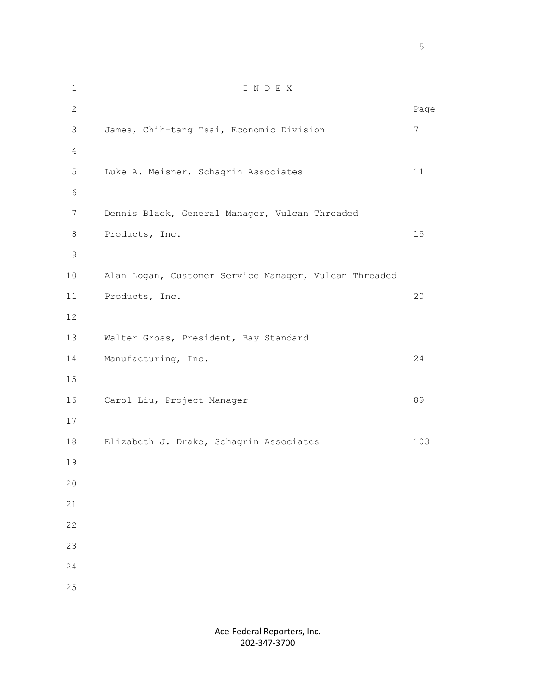1 I N D E X 2 December 2014 and 2014 and 2014 and 2014 and 2014 and 2014 and 2014 and 2014 and 2014 and 2014 and 2014 and 3 James, Chih-tang Tsai, Economic Division 7 4 5 Luke A. Meisner, Schagrin Associates 11 6 7 Dennis Black, General Manager, Vulcan Threaded 8 Products, Inc. 15 9 10 Alan Logan, Customer Service Manager, Vulcan Threaded 11 Products, Inc. 20 12 13 Walter Gross, President, Bay Standard 14 Manufacturing, Inc. 24 15 16 Carol Liu, Project Manager 89 17 18 Elizabeth J. Drake, Schagrin Associates 103 19 20 21 22 23 24 25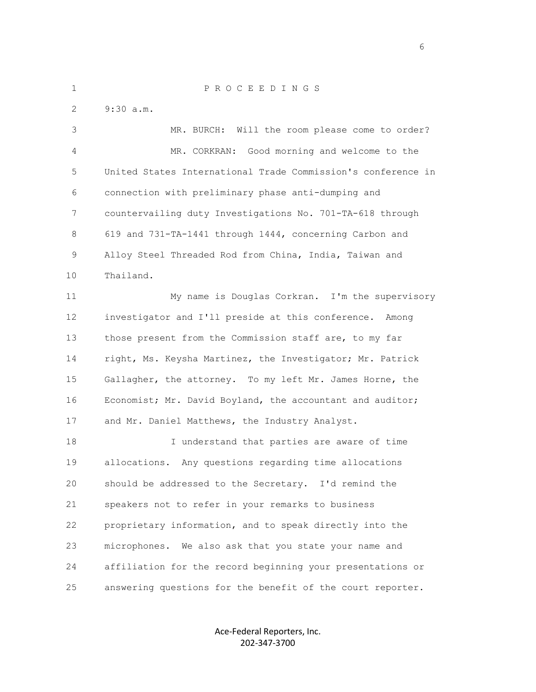1 P R O C E E D I N G S 2 9:30 a.m. 3 MR. BURCH: Will the room please come to order? 4 MR. CORKRAN: Good morning and welcome to the 5 United States International Trade Commission's conference in 6 connection with preliminary phase anti-dumping and 7 countervailing duty Investigations No. 701-TA-618 through 8 619 and 731-TA-1441 through 1444, concerning Carbon and 9 Alloy Steel Threaded Rod from China, India, Taiwan and 10 Thailand. 11 My name is Douglas Corkran. I'm the supervisory 12 investigator and I'll preside at this conference. Among 13 those present from the Commission staff are, to my far 14 right, Ms. Keysha Martinez, the Investigator; Mr. Patrick 15 Gallagher, the attorney. To my left Mr. James Horne, the 16 Economist; Mr. David Boyland, the accountant and auditor; 17 and Mr. Daniel Matthews, the Industry Analyst. 18 I understand that parties are aware of time 19 allocations. Any questions regarding time allocations 20 should be addressed to the Secretary. I'd remind the 21 speakers not to refer in your remarks to business 22 proprietary information, and to speak directly into the 23 microphones. We also ask that you state your name and 24 affiliation for the record beginning your presentations or

> Ace-Federal Reporters, Inc. 202-347-3700

25 answering questions for the benefit of the court reporter.

en de la construction de la construction de la construction de la construction de la construction de la constr<br>La construction de la construction de la construction de la construction de la construction de la construction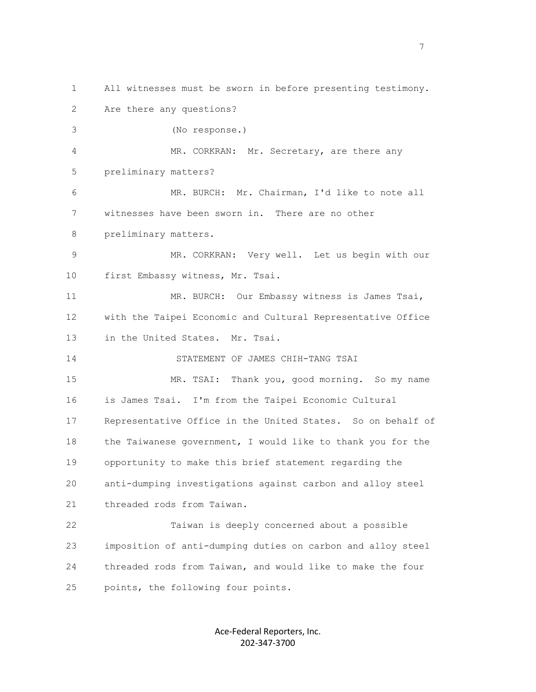1 All witnesses must be sworn in before presenting testimony. 2 Are there any questions? 3 (No response.) 4 MR. CORKRAN: Mr. Secretary, are there any 5 preliminary matters? 6 MR. BURCH: Mr. Chairman, I'd like to note all 7 witnesses have been sworn in. There are no other 8 preliminary matters. 9 MR. CORKRAN: Very well. Let us begin with our 10 first Embassy witness, Mr. Tsai. 11 MR. BURCH: Our Embassy witness is James Tsai, 12 with the Taipei Economic and Cultural Representative Office 13 in the United States. Mr. Tsai. 14 STATEMENT OF JAMES CHIH-TANG TSAI 15 MR. TSAI: Thank you, good morning. So my name 16 is James Tsai. I'm from the Taipei Economic Cultural 17 Representative Office in the United States. So on behalf of 18 the Taiwanese government, I would like to thank you for the 19 opportunity to make this brief statement regarding the 20 anti-dumping investigations against carbon and alloy steel 21 threaded rods from Taiwan. 22 Taiwan is deeply concerned about a possible 23 imposition of anti-dumping duties on carbon and alloy steel 24 threaded rods from Taiwan, and would like to make the four 25 points, the following four points.

> Ace-Federal Reporters, Inc. 202-347-3700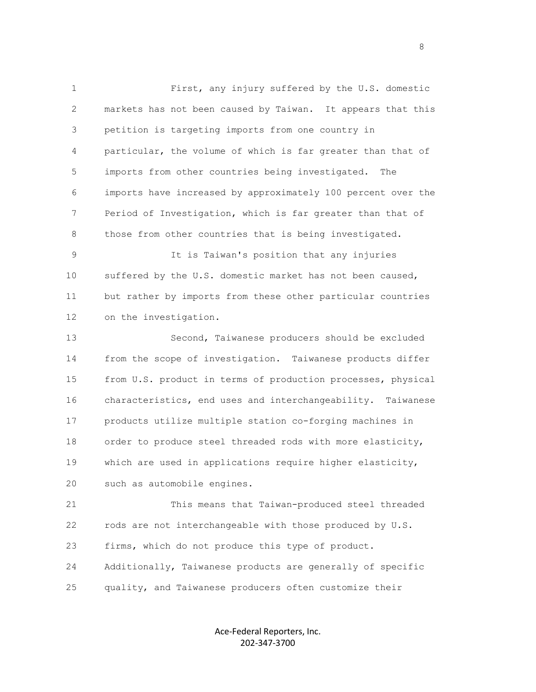1 First, any injury suffered by the U.S. domestic 2 markets has not been caused by Taiwan. It appears that this 3 petition is targeting imports from one country in 4 particular, the volume of which is far greater than that of 5 imports from other countries being investigated. The 6 imports have increased by approximately 100 percent over the 7 Period of Investigation, which is far greater than that of 8 those from other countries that is being investigated.

 9 It is Taiwan's position that any injuries 10 suffered by the U.S. domestic market has not been caused, 11 but rather by imports from these other particular countries 12 on the investigation.

 13 Second, Taiwanese producers should be excluded 14 from the scope of investigation. Taiwanese products differ 15 from U.S. product in terms of production processes, physical 16 characteristics, end uses and interchangeability. Taiwanese 17 products utilize multiple station co-forging machines in 18 order to produce steel threaded rods with more elasticity, 19 which are used in applications require higher elasticity, 20 such as automobile engines.

 21 This means that Taiwan-produced steel threaded 22 rods are not interchangeable with those produced by U.S. 23 firms, which do not produce this type of product. 24 Additionally, Taiwanese products are generally of specific 25 quality, and Taiwanese producers often customize their

> Ace-Federal Reporters, Inc. 202-347-3700

en andere en de la provincia de la provincia de la provincia de la provincia de la provincia de la provincia d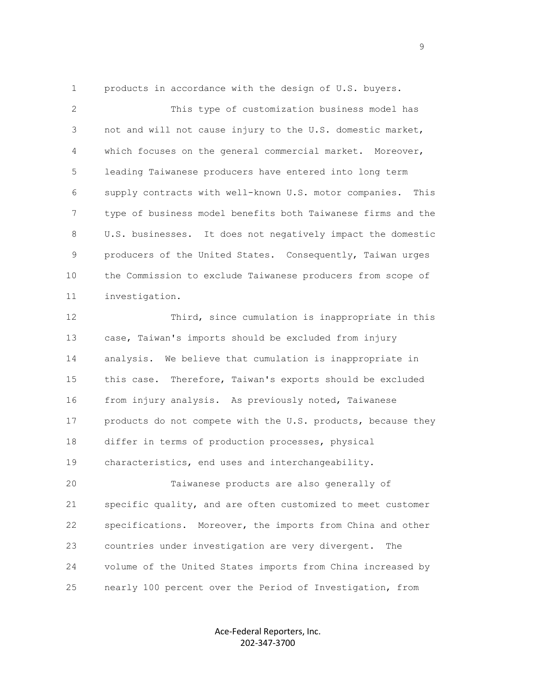1 products in accordance with the design of U.S. buyers.

 2 This type of customization business model has 3 not and will not cause injury to the U.S. domestic market, 4 which focuses on the general commercial market. Moreover, 5 leading Taiwanese producers have entered into long term 6 supply contracts with well-known U.S. motor companies. This 7 type of business model benefits both Taiwanese firms and the 8 U.S. businesses. It does not negatively impact the domestic 9 producers of the United States. Consequently, Taiwan urges 10 the Commission to exclude Taiwanese producers from scope of 11 investigation.

 12 Third, since cumulation is inappropriate in this 13 case, Taiwan's imports should be excluded from injury 14 analysis. We believe that cumulation is inappropriate in 15 this case. Therefore, Taiwan's exports should be excluded 16 from injury analysis. As previously noted, Taiwanese 17 products do not compete with the U.S. products, because they 18 differ in terms of production processes, physical 19 characteristics, end uses and interchangeability.

 20 Taiwanese products are also generally of 21 specific quality, and are often customized to meet customer 22 specifications. Moreover, the imports from China and other 23 countries under investigation are very divergent. The 24 volume of the United States imports from China increased by 25 nearly 100 percent over the Period of Investigation, from

> Ace-Federal Reporters, Inc. 202-347-3700

en de la provincia de la provincia de la provincia de la provincia de la provincia de la provincia de la provi<br>Desenvolver de la provincia de la provincia de la provincia de la provincia de la provincia de la provincia de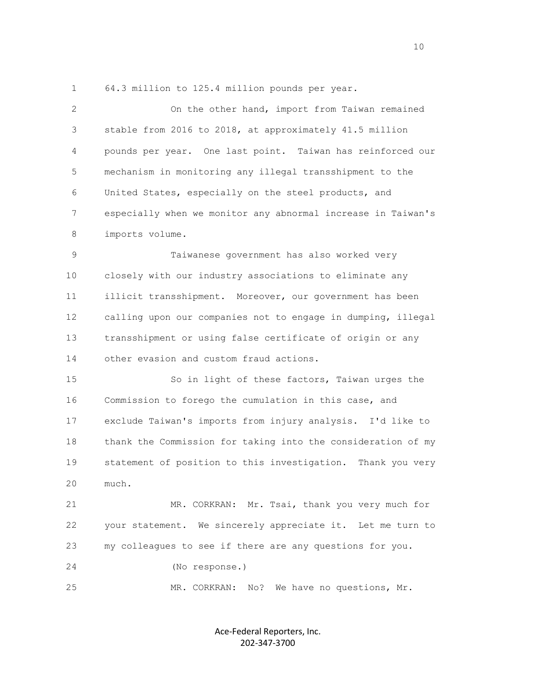1 64.3 million to 125.4 million pounds per year.

 2 On the other hand, import from Taiwan remained 3 stable from 2016 to 2018, at approximately 41.5 million 4 pounds per year. One last point. Taiwan has reinforced our 5 mechanism in monitoring any illegal transshipment to the 6 United States, especially on the steel products, and 7 especially when we monitor any abnormal increase in Taiwan's 8 imports volume. 9 Taiwanese government has also worked very 10 closely with our industry associations to eliminate any 11 illicit transshipment. Moreover, our government has been 12 calling upon our companies not to engage in dumping, illegal 13 transshipment or using false certificate of origin or any 14 other evasion and custom fraud actions. 15 So in light of these factors, Taiwan urges the 16 Commission to forego the cumulation in this case, and 17 exclude Taiwan's imports from injury analysis. I'd like to 18 thank the Commission for taking into the consideration of my 19 statement of position to this investigation. Thank you very 20 much. 21 MR. CORKRAN: Mr. Tsai, thank you very much for 22 your statement. We sincerely appreciate it. Let me turn to 23 my colleagues to see if there are any questions for you. 24 (No response.) 25 MR. CORKRAN: No? We have no questions, Mr.

> Ace-Federal Reporters, Inc. 202-347-3700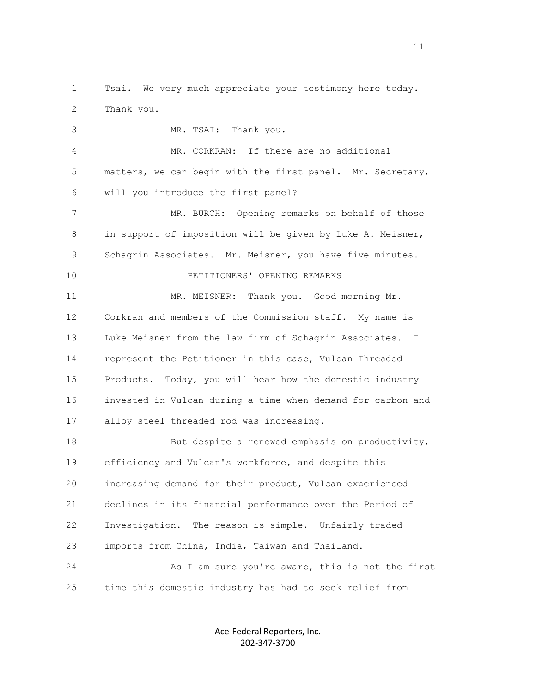1 Tsai. We very much appreciate your testimony here today. 2 Thank you.

 3 MR. TSAI: Thank you. 4 MR. CORKRAN: If there are no additional 5 matters, we can begin with the first panel. Mr. Secretary, 6 will you introduce the first panel? 7 MR. BURCH: Opening remarks on behalf of those 8 in support of imposition will be given by Luke A. Meisner, 9 Schagrin Associates. Mr. Meisner, you have five minutes. 10 PETITIONERS' OPENING REMARKS 11 MR. MEISNER: Thank you. Good morning Mr. 12 Corkran and members of the Commission staff. My name is 13 Luke Meisner from the law firm of Schagrin Associates. I 14 represent the Petitioner in this case, Vulcan Threaded 15 Products. Today, you will hear how the domestic industry 16 invested in Vulcan during a time when demand for carbon and 17 alloy steel threaded rod was increasing. 18 But despite a renewed emphasis on productivity,

 19 efficiency and Vulcan's workforce, and despite this 20 increasing demand for their product, Vulcan experienced 21 declines in its financial performance over the Period of 22 Investigation. The reason is simple. Unfairly traded 23 imports from China, India, Taiwan and Thailand. 24 As I am sure you're aware, this is not the first 25 time this domestic industry has had to seek relief from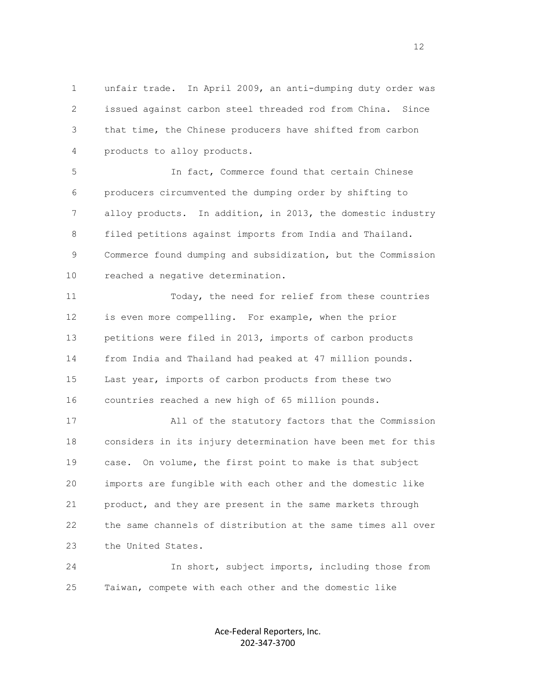1 unfair trade. In April 2009, an anti-dumping duty order was 2 issued against carbon steel threaded rod from China. Since 3 that time, the Chinese producers have shifted from carbon 4 products to alloy products.

 5 In fact, Commerce found that certain Chinese 6 producers circumvented the dumping order by shifting to 7 alloy products. In addition, in 2013, the domestic industry 8 filed petitions against imports from India and Thailand. 9 Commerce found dumping and subsidization, but the Commission 10 reached a negative determination.

 11 Today, the need for relief from these countries 12 is even more compelling. For example, when the prior 13 petitions were filed in 2013, imports of carbon products 14 from India and Thailand had peaked at 47 million pounds. 15 Last year, imports of carbon products from these two 16 countries reached a new high of 65 million pounds.

 17 All of the statutory factors that the Commission 18 considers in its injury determination have been met for this 19 case. On volume, the first point to make is that subject 20 imports are fungible with each other and the domestic like 21 product, and they are present in the same markets through 22 the same channels of distribution at the same times all over 23 the United States.

 24 In short, subject imports, including those from 25 Taiwan, compete with each other and the domestic like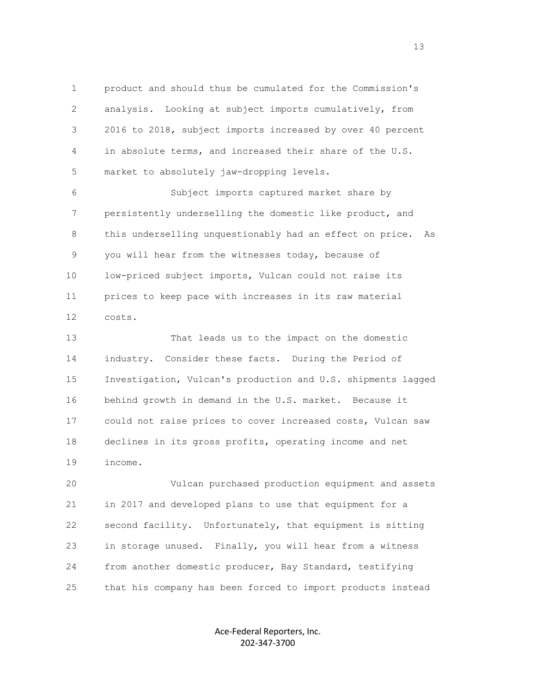1 product and should thus be cumulated for the Commission's 2 analysis. Looking at subject imports cumulatively, from 3 2016 to 2018, subject imports increased by over 40 percent 4 in absolute terms, and increased their share of the U.S. 5 market to absolutely jaw-dropping levels.

 6 Subject imports captured market share by 7 persistently underselling the domestic like product, and 8 this underselling unquestionably had an effect on price. As 9 you will hear from the witnesses today, because of 10 low-priced subject imports, Vulcan could not raise its 11 prices to keep pace with increases in its raw material 12 costs.

 13 That leads us to the impact on the domestic 14 industry. Consider these facts. During the Period of 15 Investigation, Vulcan's production and U.S. shipments lagged 16 behind growth in demand in the U.S. market. Because it 17 could not raise prices to cover increased costs, Vulcan saw 18 declines in its gross profits, operating income and net 19 income.

 20 Vulcan purchased production equipment and assets 21 in 2017 and developed plans to use that equipment for a 22 second facility. Unfortunately, that equipment is sitting 23 in storage unused. Finally, you will hear from a witness 24 from another domestic producer, Bay Standard, testifying 25 that his company has been forced to import products instead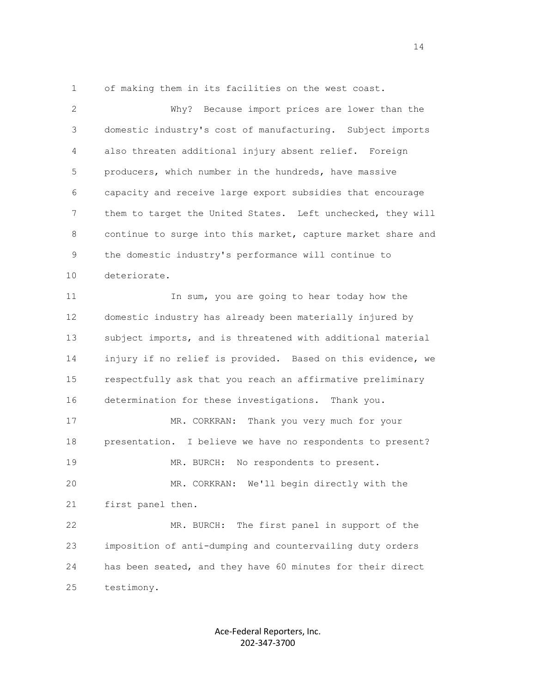1 of making them in its facilities on the west coast.

 2 Why? Because import prices are lower than the 3 domestic industry's cost of manufacturing. Subject imports 4 also threaten additional injury absent relief. Foreign 5 producers, which number in the hundreds, have massive 6 capacity and receive large export subsidies that encourage 7 them to target the United States. Left unchecked, they will 8 continue to surge into this market, capture market share and 9 the domestic industry's performance will continue to 10 deteriorate. 11 11 In sum, you are going to hear today how the 12 domestic industry has already been materially injured by 13 subject imports, and is threatened with additional material 14 injury if no relief is provided. Based on this evidence, we 15 respectfully ask that you reach an affirmative preliminary 16 determination for these investigations. Thank you. 17 MR. CORKRAN: Thank you very much for your 18 presentation. I believe we have no respondents to present? 19 MR. BURCH: No respondents to present. 20 MR. CORKRAN: We'll begin directly with the 21 first panel then. 22 MR. BURCH: The first panel in support of the 23 imposition of anti-dumping and countervailing duty orders 24 has been seated, and they have 60 minutes for their direct 25 testimony.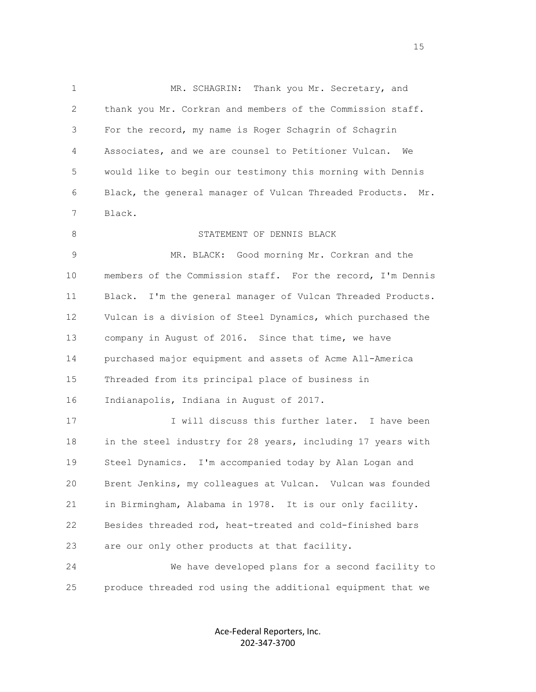1 MR. SCHAGRIN: Thank you Mr. Secretary, and 2 thank you Mr. Corkran and members of the Commission staff. 3 For the record, my name is Roger Schagrin of Schagrin 4 Associates, and we are counsel to Petitioner Vulcan. We 5 would like to begin our testimony this morning with Dennis 6 Black, the general manager of Vulcan Threaded Products. Mr. 7 Black. 8 STATEMENT OF DENNIS BLACK 9 MR. BLACK: Good morning Mr. Corkran and the 10 members of the Commission staff. For the record, I'm Dennis 11 Black. I'm the general manager of Vulcan Threaded Products. 12 Vulcan is a division of Steel Dynamics, which purchased the 13 company in August of 2016. Since that time, we have 14 purchased major equipment and assets of Acme All-America 15 Threaded from its principal place of business in 16 Indianapolis, Indiana in August of 2017. 17 17 I will discuss this further later. I have been 18 in the steel industry for 28 years, including 17 years with 19 Steel Dynamics. I'm accompanied today by Alan Logan and 20 Brent Jenkins, my colleagues at Vulcan. Vulcan was founded 21 in Birmingham, Alabama in 1978. It is our only facility. 22 Besides threaded rod, heat-treated and cold-finished bars 23 are our only other products at that facility.

 24 We have developed plans for a second facility to 25 produce threaded rod using the additional equipment that we

> Ace-Federal Reporters, Inc. 202-347-3700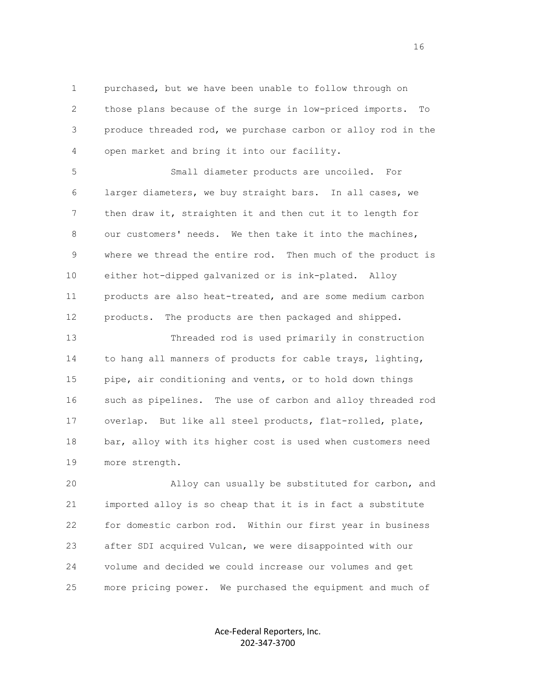1 purchased, but we have been unable to follow through on 2 those plans because of the surge in low-priced imports. To 3 produce threaded rod, we purchase carbon or alloy rod in the 4 open market and bring it into our facility.

 5 Small diameter products are uncoiled. For 6 larger diameters, we buy straight bars. In all cases, we 7 then draw it, straighten it and then cut it to length for 8 our customers' needs. We then take it into the machines, 9 where we thread the entire rod. Then much of the product is 10 either hot-dipped galvanized or is ink-plated. Alloy 11 products are also heat-treated, and are some medium carbon 12 products. The products are then packaged and shipped.

 13 Threaded rod is used primarily in construction 14 to hang all manners of products for cable trays, lighting, 15 pipe, air conditioning and vents, or to hold down things 16 such as pipelines. The use of carbon and alloy threaded rod 17 overlap. But like all steel products, flat-rolled, plate, 18 bar, alloy with its higher cost is used when customers need 19 more strength.

 20 Alloy can usually be substituted for carbon, and 21 imported alloy is so cheap that it is in fact a substitute 22 for domestic carbon rod. Within our first year in business 23 after SDI acquired Vulcan, we were disappointed with our 24 volume and decided we could increase our volumes and get 25 more pricing power. We purchased the equipment and much of

> Ace-Federal Reporters, Inc. 202-347-3700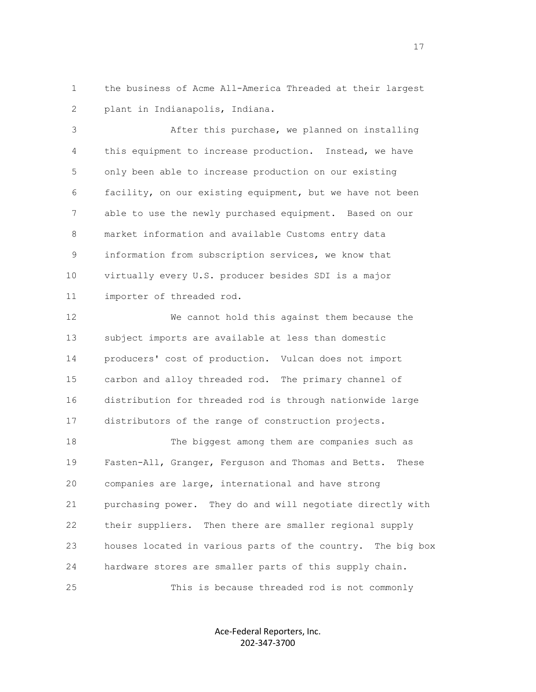1 the business of Acme All-America Threaded at their largest 2 plant in Indianapolis, Indiana.

 3 After this purchase, we planned on installing 4 this equipment to increase production. Instead, we have 5 only been able to increase production on our existing 6 facility, on our existing equipment, but we have not been 7 able to use the newly purchased equipment. Based on our 8 market information and available Customs entry data 9 information from subscription services, we know that 10 virtually every U.S. producer besides SDI is a major 11 importer of threaded rod.

 12 We cannot hold this against them because the 13 subject imports are available at less than domestic 14 producers' cost of production. Vulcan does not import 15 carbon and alloy threaded rod. The primary channel of 16 distribution for threaded rod is through nationwide large 17 distributors of the range of construction projects.

 18 The biggest among them are companies such as 19 Fasten-All, Granger, Ferguson and Thomas and Betts. These 20 companies are large, international and have strong 21 purchasing power. They do and will negotiate directly with 22 their suppliers. Then there are smaller regional supply 23 houses located in various parts of the country. The big box 24 hardware stores are smaller parts of this supply chain. 25 This is because threaded rod is not commonly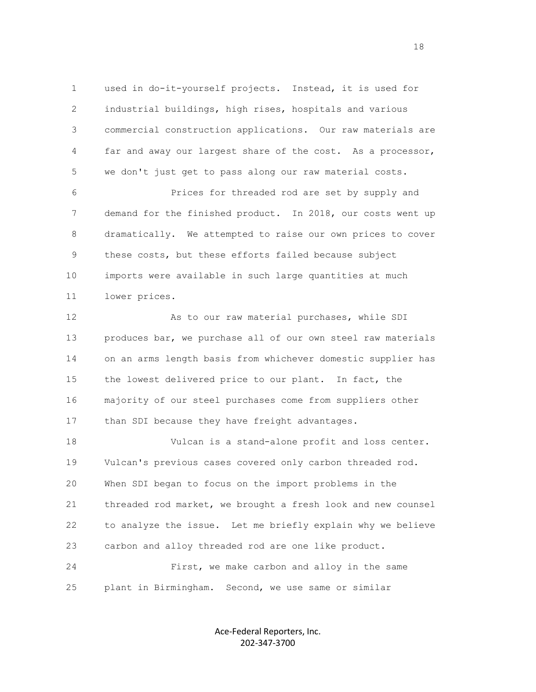1 used in do-it-yourself projects. Instead, it is used for 2 industrial buildings, high rises, hospitals and various 3 commercial construction applications. Our raw materials are 4 far and away our largest share of the cost. As a processor, 5 we don't just get to pass along our raw material costs.

 6 Prices for threaded rod are set by supply and 7 demand for the finished product. In 2018, our costs went up 8 dramatically. We attempted to raise our own prices to cover 9 these costs, but these efforts failed because subject 10 imports were available in such large quantities at much 11 lower prices.

12 As to our raw material purchases, while SDI 13 produces bar, we purchase all of our own steel raw materials 14 on an arms length basis from whichever domestic supplier has 15 the lowest delivered price to our plant. In fact, the 16 majority of our steel purchases come from suppliers other 17 than SDI because they have freight advantages.

 18 Vulcan is a stand-alone profit and loss center. 19 Vulcan's previous cases covered only carbon threaded rod. 20 When SDI began to focus on the import problems in the 21 threaded rod market, we brought a fresh look and new counsel 22 to analyze the issue. Let me briefly explain why we believe 23 carbon and alloy threaded rod are one like product. 24 First, we make carbon and alloy in the same

25 plant in Birmingham. Second, we use same or similar

Ace-Federal Reporters, Inc. 202-347-3700

n 18 ann an 18 an t-Iomraid ann an 18 an t-Iomraid ann an 18 an t-Iomraid ann an 18 an 18 an 18 an 18 an 18 an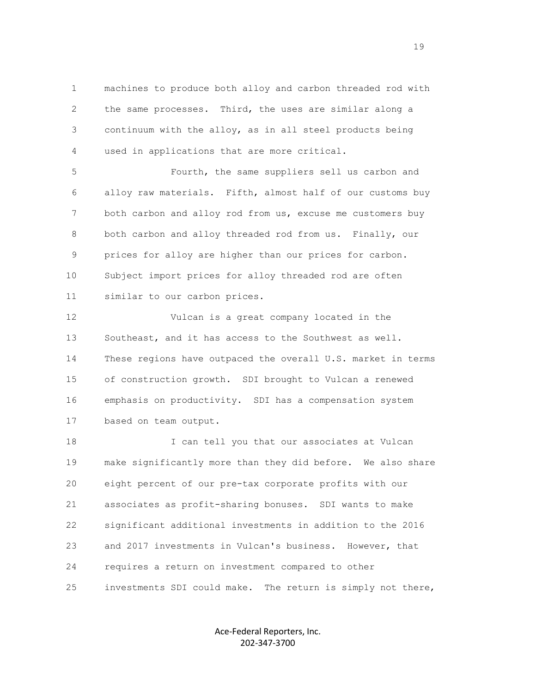1 machines to produce both alloy and carbon threaded rod with 2 the same processes. Third, the uses are similar along a 3 continuum with the alloy, as in all steel products being 4 used in applications that are more critical.

 5 Fourth, the same suppliers sell us carbon and 6 alloy raw materials. Fifth, almost half of our customs buy 7 both carbon and alloy rod from us, excuse me customers buy 8 both carbon and alloy threaded rod from us. Finally, our 9 prices for alloy are higher than our prices for carbon. 10 Subject import prices for alloy threaded rod are often 11 similar to our carbon prices.

 12 Vulcan is a great company located in the 13 Southeast, and it has access to the Southwest as well. 14 These regions have outpaced the overall U.S. market in terms 15 of construction growth. SDI brought to Vulcan a renewed 16 emphasis on productivity. SDI has a compensation system 17 based on team output.

18 I can tell you that our associates at Vulcan 19 make significantly more than they did before. We also share 20 eight percent of our pre-tax corporate profits with our 21 associates as profit-sharing bonuses. SDI wants to make 22 significant additional investments in addition to the 2016 23 and 2017 investments in Vulcan's business. However, that 24 requires a return on investment compared to other 25 investments SDI could make. The return is simply not there,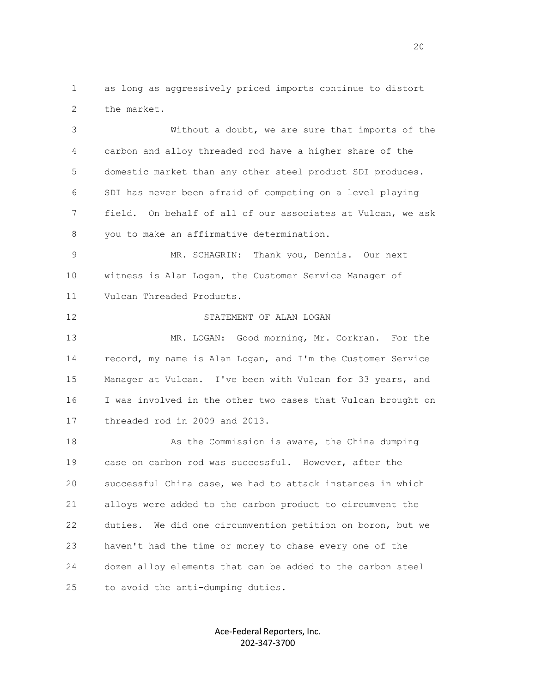1 as long as aggressively priced imports continue to distort 2 the market.

 3 Without a doubt, we are sure that imports of the 4 carbon and alloy threaded rod have a higher share of the 5 domestic market than any other steel product SDI produces. 6 SDI has never been afraid of competing on a level playing 7 field. On behalf of all of our associates at Vulcan, we ask 8 you to make an affirmative determination.

 9 MR. SCHAGRIN: Thank you, Dennis. Our next 10 witness is Alan Logan, the Customer Service Manager of 11 Vulcan Threaded Products.

 12 STATEMENT OF ALAN LOGAN 13 MR. LOGAN: Good morning, Mr. Corkran. For the 14 record, my name is Alan Logan, and I'm the Customer Service 15 Manager at Vulcan. I've been with Vulcan for 33 years, and 16 I was involved in the other two cases that Vulcan brought on

17 threaded rod in 2009 and 2013.

18 As the Commission is aware, the China dumping 19 case on carbon rod was successful. However, after the 20 successful China case, we had to attack instances in which 21 alloys were added to the carbon product to circumvent the 22 duties. We did one circumvention petition on boron, but we 23 haven't had the time or money to chase every one of the 24 dozen alloy elements that can be added to the carbon steel 25 to avoid the anti-dumping duties.

> Ace-Federal Reporters, Inc. 202-347-3700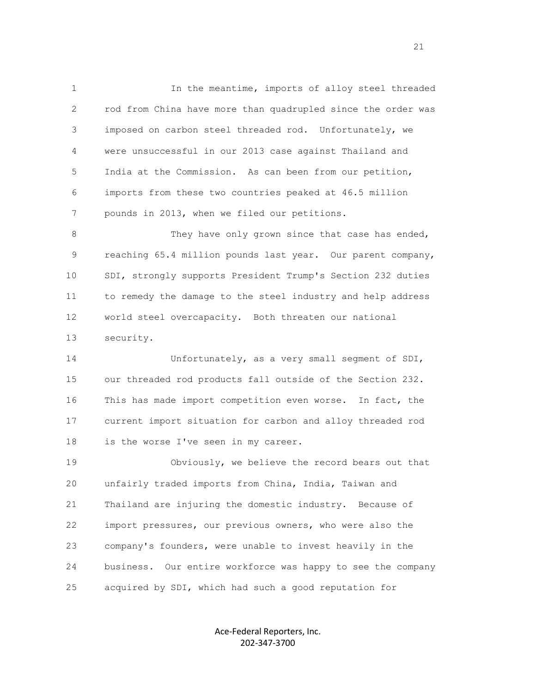1 In the meantime, imports of alloy steel threaded 2 rod from China have more than quadrupled since the order was 3 imposed on carbon steel threaded rod. Unfortunately, we 4 were unsuccessful in our 2013 case against Thailand and 5 India at the Commission. As can been from our petition, 6 imports from these two countries peaked at 46.5 million 7 pounds in 2013, when we filed our petitions.

8 They have only grown since that case has ended, 9 reaching 65.4 million pounds last year. Our parent company, 10 SDI, strongly supports President Trump's Section 232 duties 11 to remedy the damage to the steel industry and help address 12 world steel overcapacity. Both threaten our national 13 security.

14 Unfortunately, as a very small segment of SDI, 15 our threaded rod products fall outside of the Section 232. 16 This has made import competition even worse. In fact, the 17 current import situation for carbon and alloy threaded rod 18 is the worse I've seen in my career.

 19 Obviously, we believe the record bears out that 20 unfairly traded imports from China, India, Taiwan and 21 Thailand are injuring the domestic industry. Because of 22 import pressures, our previous owners, who were also the 23 company's founders, were unable to invest heavily in the 24 business. Our entire workforce was happy to see the company 25 acquired by SDI, which had such a good reputation for

> Ace-Federal Reporters, Inc. 202-347-3700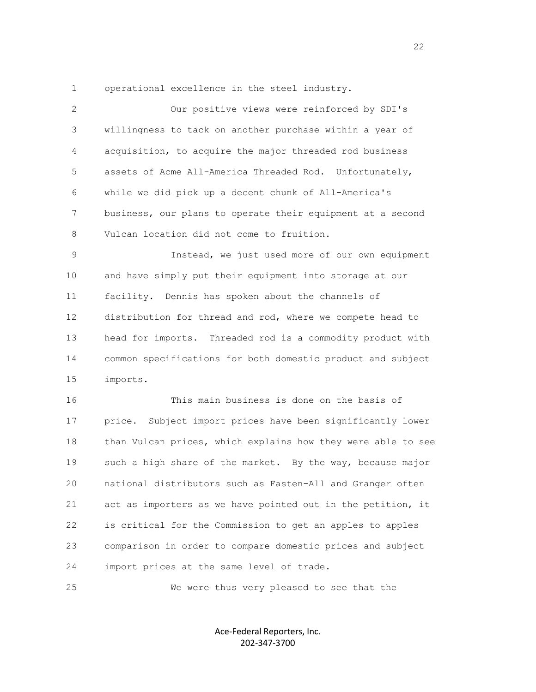1 operational excellence in the steel industry.

| 2  | Our positive views were reinforced by SDI's                  |
|----|--------------------------------------------------------------|
| 3  | willingness to tack on another purchase within a year of     |
| 4  | acquisition, to acquire the major threaded rod business      |
| 5  | assets of Acme All-America Threaded Rod. Unfortunately,      |
| 6  | while we did pick up a decent chunk of All-America's         |
| 7  | business, our plans to operate their equipment at a second   |
| 8  | Vulcan location did not come to fruition.                    |
| 9  | Instead, we just used more of our own equipment              |
| 10 | and have simply put their equipment into storage at our      |
| 11 | facility. Dennis has spoken about the channels of            |
| 12 | distribution for thread and rod, where we compete head to    |
| 13 | head for imports. Threaded rod is a commodity product with   |
| 14 | common specifications for both domestic product and subject  |
| 15 | imports.                                                     |
| 16 | This main business is done on the basis of                   |
| 17 | price. Subject import prices have been significantly lower   |
| 18 | than Vulcan prices, which explains how they were able to see |
| 19 | such a high share of the market. By the way, because major   |
| 20 | national distributors such as Fasten-All and Granger often   |
| 21 | act as importers as we have pointed out in the petition, it  |
| 22 | is critical for the Commission to get an apples to apples    |
| 23 | comparison in order to compare domestic prices and subject   |
| 24 | import prices at the same level of trade.                    |

25 We were thus very pleased to see that the

Ace-Federal Reporters, Inc. 202-347-3700

22 and 22 and 23 and 23 and 23 and 23 and 23 and 23 and 23 and 23 and 23 and 23 and 23 and 23 and 23 and 24 and 25 and 26 and 26 and 26 and 26 and 26 and 26 and 26 and 26 and 26 and 26 and 26 and 26 and 26 and 26 and 26 an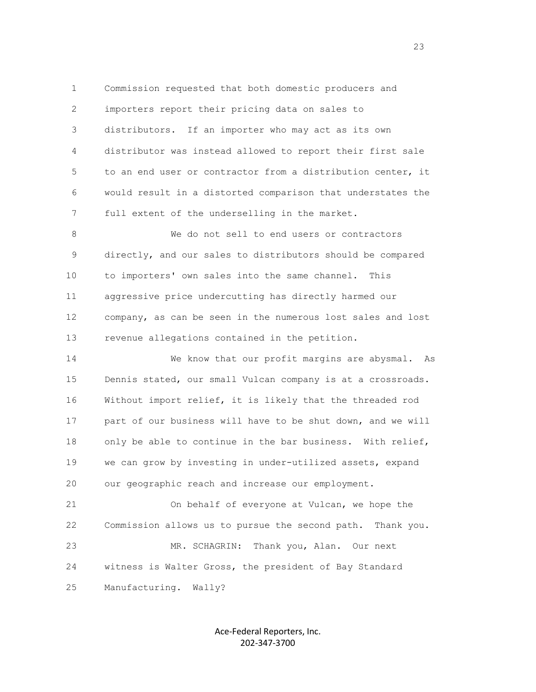1 Commission requested that both domestic producers and 2 importers report their pricing data on sales to 3 distributors. If an importer who may act as its own 4 distributor was instead allowed to report their first sale 5 to an end user or contractor from a distribution center, it 6 would result in a distorted comparison that understates the 7 full extent of the underselling in the market.

8 We do not sell to end users or contractors 9 directly, and our sales to distributors should be compared 10 to importers' own sales into the same channel. This 11 aggressive price undercutting has directly harmed our 12 company, as can be seen in the numerous lost sales and lost 13 revenue allegations contained in the petition.

 14 We know that our profit margins are abysmal. As 15 Dennis stated, our small Vulcan company is at a crossroads. 16 Without import relief, it is likely that the threaded rod 17 part of our business will have to be shut down, and we will 18 only be able to continue in the bar business. With relief, 19 we can grow by investing in under-utilized assets, expand 20 our geographic reach and increase our employment.

 21 On behalf of everyone at Vulcan, we hope the 22 Commission allows us to pursue the second path. Thank you. 23 MR. SCHAGRIN: Thank you, Alan. Our next 24 witness is Walter Gross, the president of Bay Standard 25 Manufacturing. Wally?

> Ace-Federal Reporters, Inc. 202-347-3700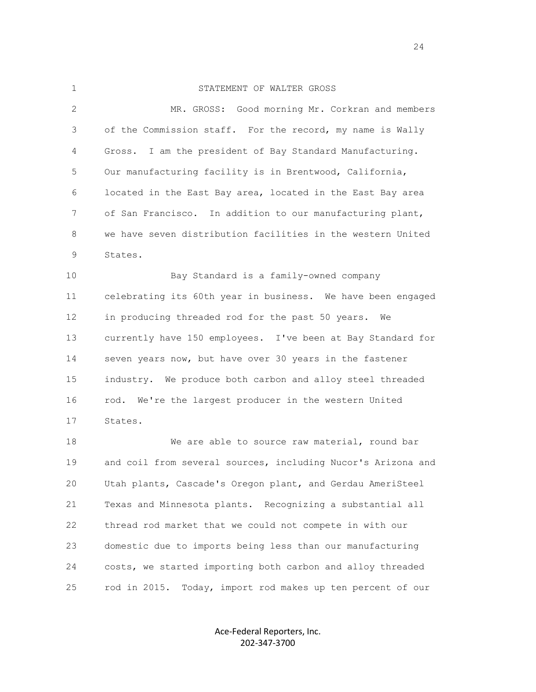## 1 STATEMENT OF WALTER GROSS

 2 MR. GROSS: Good morning Mr. Corkran and members 3 of the Commission staff. For the record, my name is Wally 4 Gross. I am the president of Bay Standard Manufacturing. 5 Our manufacturing facility is in Brentwood, California, 6 located in the East Bay area, located in the East Bay area 7 of San Francisco. In addition to our manufacturing plant, 8 we have seven distribution facilities in the western United 9 States. 10 Bay Standard is a family-owned company

 11 celebrating its 60th year in business. We have been engaged 12 in producing threaded rod for the past 50 years. We 13 currently have 150 employees. I've been at Bay Standard for 14 seven years now, but have over 30 years in the fastener 15 industry. We produce both carbon and alloy steel threaded 16 rod. We're the largest producer in the western United 17 States.

18 We are able to source raw material, round bar 19 and coil from several sources, including Nucor's Arizona and 20 Utah plants, Cascade's Oregon plant, and Gerdau AmeriSteel 21 Texas and Minnesota plants. Recognizing a substantial all 22 thread rod market that we could not compete in with our 23 domestic due to imports being less than our manufacturing 24 costs, we started importing both carbon and alloy threaded 25 rod in 2015. Today, import rod makes up ten percent of our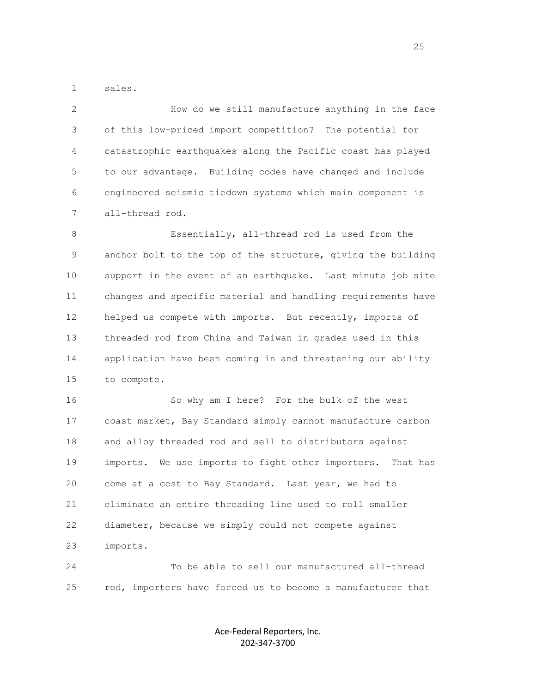1 sales.

 2 How do we still manufacture anything in the face 3 of this low-priced import competition? The potential for 4 catastrophic earthquakes along the Pacific coast has played 5 to our advantage. Building codes have changed and include 6 engineered seismic tiedown systems which main component is 7 all-thread rod.

 8 Essentially, all-thread rod is used from the 9 anchor bolt to the top of the structure, giving the building 10 support in the event of an earthquake. Last minute job site 11 changes and specific material and handling requirements have 12 helped us compete with imports. But recently, imports of 13 threaded rod from China and Taiwan in grades used in this 14 application have been coming in and threatening our ability 15 to compete.

 16 So why am I here? For the bulk of the west 17 coast market, Bay Standard simply cannot manufacture carbon 18 and alloy threaded rod and sell to distributors against 19 imports. We use imports to fight other importers. That has 20 come at a cost to Bay Standard. Last year, we had to 21 eliminate an entire threading line used to roll smaller 22 diameter, because we simply could not compete against 23 imports.

 24 To be able to sell our manufactured all-thread 25 rod, importers have forced us to become a manufacturer that

> Ace-Federal Reporters, Inc. 202-347-3700

<u>25 and 25</u>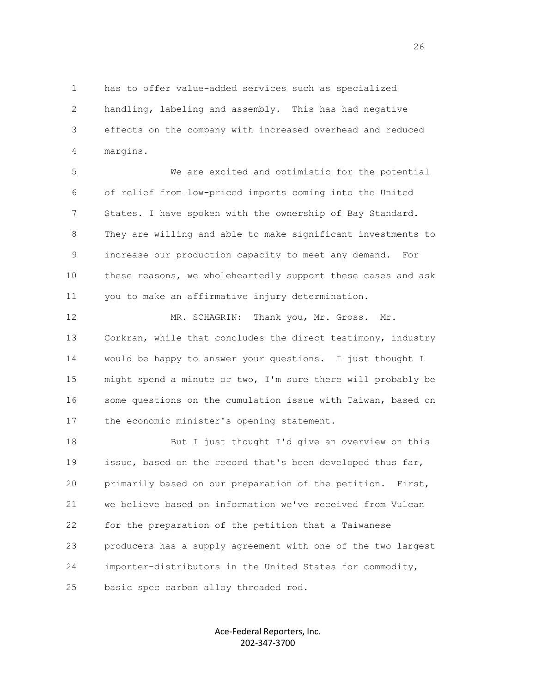1 has to offer value-added services such as specialized 2 handling, labeling and assembly. This has had negative 3 effects on the company with increased overhead and reduced 4 margins.

 5 We are excited and optimistic for the potential 6 of relief from low-priced imports coming into the United 7 States. I have spoken with the ownership of Bay Standard. 8 They are willing and able to make significant investments to 9 increase our production capacity to meet any demand. For 10 these reasons, we wholeheartedly support these cases and ask 11 you to make an affirmative injury determination.

 12 MR. SCHAGRIN: Thank you, Mr. Gross. Mr. 13 Corkran, while that concludes the direct testimony, industry 14 would be happy to answer your questions. I just thought I 15 might spend a minute or two, I'm sure there will probably be 16 some questions on the cumulation issue with Taiwan, based on 17 the economic minister's opening statement.

18 But I just thought I'd give an overview on this 19 issue, based on the record that's been developed thus far, 20 primarily based on our preparation of the petition. First, 21 we believe based on information we've received from Vulcan 22 for the preparation of the petition that a Taiwanese 23 producers has a supply agreement with one of the two largest 24 importer-distributors in the United States for commodity, 25 basic spec carbon alloy threaded rod.

> Ace-Federal Reporters, Inc. 202-347-3700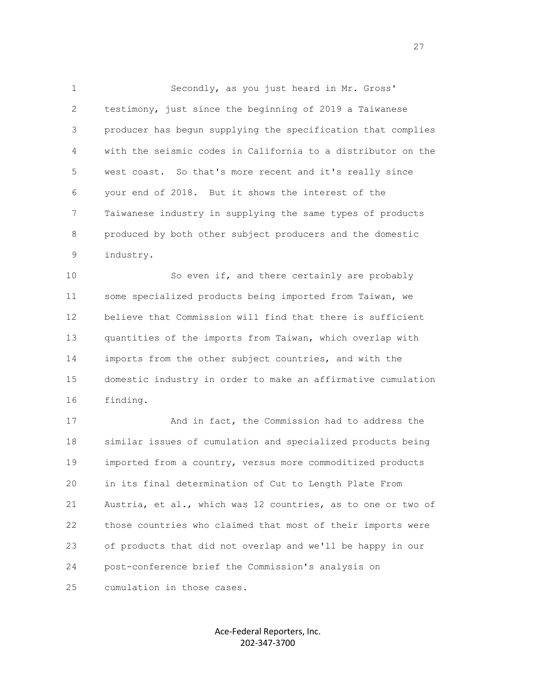1 Secondly, as you just heard in Mr. Gross' 2 testimony, just since the beginning of 2019 a Taiwanese 3 producer has begun supplying the specification that complies 4 with the seismic codes in California to a distributor on the 5 west coast. So that's more recent and it's really since 6 your end of 2018. But it shows the interest of the 7 Taiwanese industry in supplying the same types of products 8 produced by both other subject producers and the domestic 9 industry.

10 So even if, and there certainly are probably 11 some specialized products being imported from Taiwan, we 12 believe that Commission will find that there is sufficient 13 quantities of the imports from Taiwan, which overlap with 14 imports from the other subject countries, and with the 15 domestic industry in order to make an affirmative cumulation 16 finding.

 17 And in fact, the Commission had to address the 18 similar issues of cumulation and specialized products being 19 imported from a country, versus more commoditized products 20 in its final determination of Cut to Length Plate From 21 Austria, et al., which was 12 countries, as to one or two of 22 those countries who claimed that most of their imports were 23 of products that did not overlap and we'll be happy in our 24 post-conference brief the Commission's analysis on 25 cumulation in those cases.

> Ace-Federal Reporters, Inc. 202-347-3700

<u>27</u>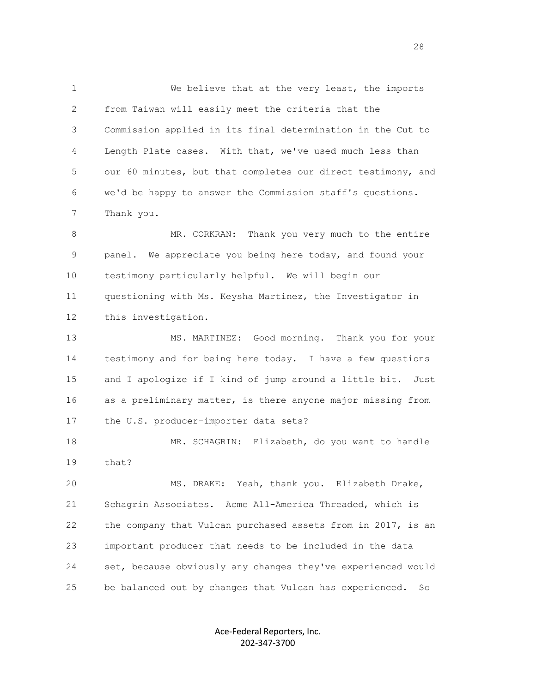1 We believe that at the very least, the imports 2 from Taiwan will easily meet the criteria that the 3 Commission applied in its final determination in the Cut to 4 Length Plate cases. With that, we've used much less than 5 our 60 minutes, but that completes our direct testimony, and 6 we'd be happy to answer the Commission staff's questions. 7 Thank you.

 8 MR. CORKRAN: Thank you very much to the entire 9 panel. We appreciate you being here today, and found your 10 testimony particularly helpful. We will begin our 11 questioning with Ms. Keysha Martinez, the Investigator in 12 this investigation.

 13 MS. MARTINEZ: Good morning. Thank you for your 14 testimony and for being here today. I have a few questions 15 and I apologize if I kind of jump around a little bit. Just 16 as a preliminary matter, is there anyone major missing from 17 the U.S. producer-importer data sets?

18 MR. SCHAGRIN: Elizabeth, do you want to handle 19 that?

 20 MS. DRAKE: Yeah, thank you. Elizabeth Drake, 21 Schagrin Associates. Acme All-America Threaded, which is 22 the company that Vulcan purchased assets from in 2017, is an 23 important producer that needs to be included in the data 24 set, because obviously any changes they've experienced would 25 be balanced out by changes that Vulcan has experienced. So

> Ace-Federal Reporters, Inc. 202-347-3700

<u>28</u> and the contract of the contract of the contract of the contract of the contract of the contract of the contract of the contract of the contract of the contract of the contract of the contract of the contract of the c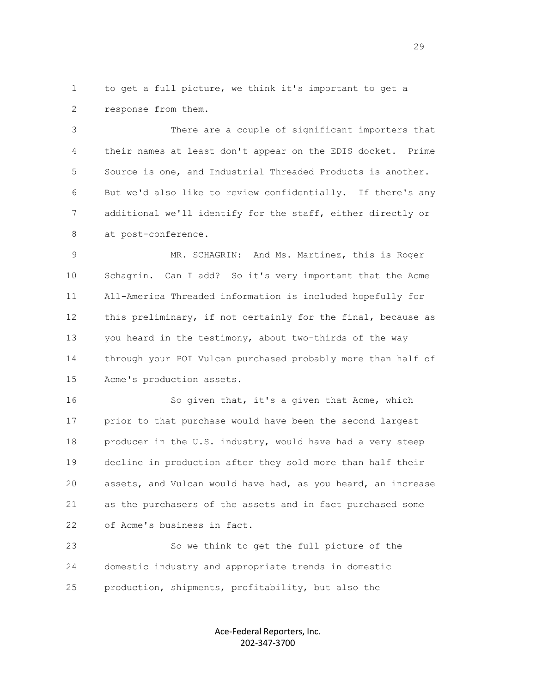1 to get a full picture, we think it's important to get a 2 response from them.

 3 There are a couple of significant importers that 4 their names at least don't appear on the EDIS docket. Prime 5 Source is one, and Industrial Threaded Products is another. 6 But we'd also like to review confidentially. If there's any 7 additional we'll identify for the staff, either directly or 8 at post-conference.

 9 MR. SCHAGRIN: And Ms. Martinez, this is Roger 10 Schagrin. Can I add? So it's very important that the Acme 11 All-America Threaded information is included hopefully for 12 this preliminary, if not certainly for the final, because as 13 you heard in the testimony, about two-thirds of the way 14 through your POI Vulcan purchased probably more than half of 15 Acme's production assets.

16 So given that, it's a given that Acme, which 17 prior to that purchase would have been the second largest 18 producer in the U.S. industry, would have had a very steep 19 decline in production after they sold more than half their 20 assets, and Vulcan would have had, as you heard, an increase 21 as the purchasers of the assets and in fact purchased some 22 of Acme's business in fact.

 23 So we think to get the full picture of the 24 domestic industry and appropriate trends in domestic 25 production, shipments, profitability, but also the

> Ace-Federal Reporters, Inc. 202-347-3700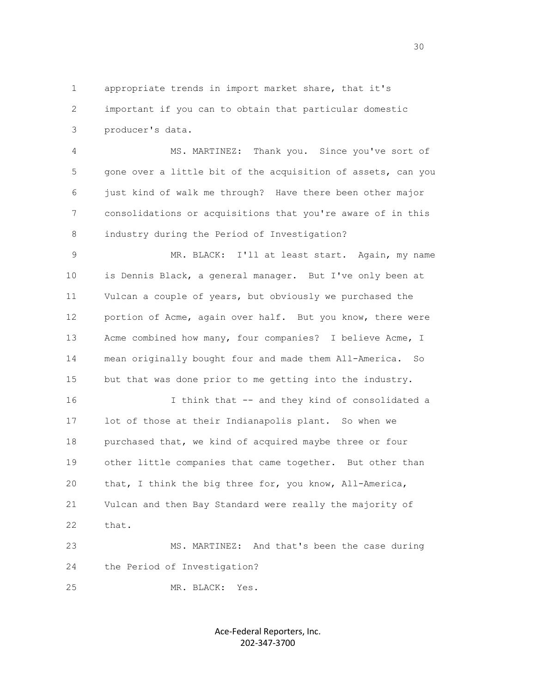1 appropriate trends in import market share, that it's 2 important if you can to obtain that particular domestic 3 producer's data.

 4 MS. MARTINEZ: Thank you. Since you've sort of 5 gone over a little bit of the acquisition of assets, can you 6 just kind of walk me through? Have there been other major 7 consolidations or acquisitions that you're aware of in this 8 industry during the Period of Investigation?

 9 MR. BLACK: I'll at least start. Again, my name 10 is Dennis Black, a general manager. But I've only been at 11 Vulcan a couple of years, but obviously we purchased the 12 portion of Acme, again over half. But you know, there were 13 Acme combined how many, four companies? I believe Acme, I 14 mean originally bought four and made them All-America. So 15 but that was done prior to me getting into the industry.

 16 I think that -- and they kind of consolidated a 17 lot of those at their Indianapolis plant. So when we 18 purchased that, we kind of acquired maybe three or four 19 other little companies that came together. But other than 20 that, I think the big three for, you know, All-America, 21 Vulcan and then Bay Standard were really the majority of 22 that.

 23 MS. MARTINEZ: And that's been the case during 24 the Period of Investigation?

25 MR. BLACK: Yes.

Ace-Federal Reporters, Inc. 202-347-3700

 $30<sup>3</sup>$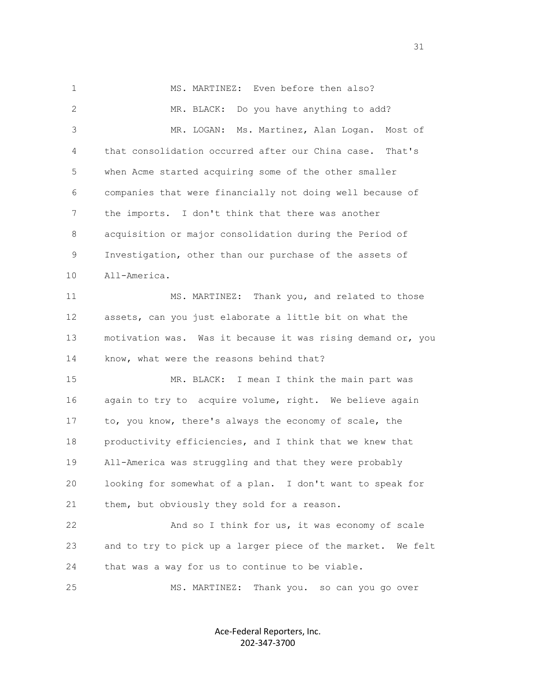1 MS. MARTINEZ: Even before then also? 2 MR. BLACK: Do you have anything to add? 3 MR. LOGAN: Ms. Martinez, Alan Logan. Most of 4 that consolidation occurred after our China case. That's 5 when Acme started acquiring some of the other smaller 6 companies that were financially not doing well because of 7 the imports. I don't think that there was another 8 acquisition or major consolidation during the Period of 9 Investigation, other than our purchase of the assets of 10 All-America. 11 MS. MARTINEZ: Thank you, and related to those 12 assets, can you just elaborate a little bit on what the 13 motivation was. Was it because it was rising demand or, you 14 know, what were the reasons behind that? 15 MR. BLACK: I mean I think the main part was 16 again to try to acquire volume, right. We believe again 17 to, you know, there's always the economy of scale, the 18 productivity efficiencies, and I think that we knew that 19 All-America was struggling and that they were probably 20 looking for somewhat of a plan. I don't want to speak for 21 them, but obviously they sold for a reason. 22 And so I think for us, it was economy of scale 23 and to try to pick up a larger piece of the market. We felt 24 that was a way for us to continue to be viable. 25 MS. MARTINEZ: Thank you. so can you go over

> Ace-Federal Reporters, Inc. 202-347-3700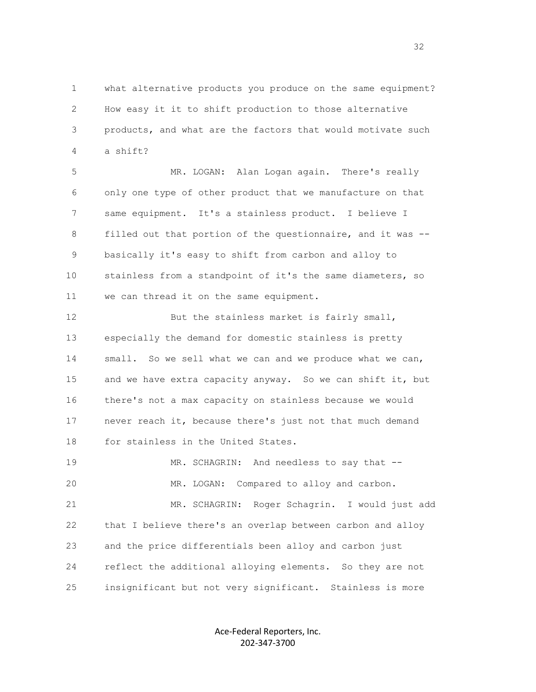1 what alternative products you produce on the same equipment? 2 How easy it it to shift production to those alternative 3 products, and what are the factors that would motivate such 4 a shift?

 5 MR. LOGAN: Alan Logan again. There's really 6 only one type of other product that we manufacture on that 7 same equipment. It's a stainless product. I believe I 8 filled out that portion of the questionnaire, and it was -- 9 basically it's easy to shift from carbon and alloy to 10 stainless from a standpoint of it's the same diameters, so 11 we can thread it on the same equipment.

12 But the stainless market is fairly small, 13 especially the demand for domestic stainless is pretty 14 small. So we sell what we can and we produce what we can, 15 and we have extra capacity anyway. So we can shift it, but 16 there's not a max capacity on stainless because we would 17 never reach it, because there's just not that much demand 18 for stainless in the United States.

 19 MR. SCHAGRIN: And needless to say that -- 20 MR. LOGAN: Compared to alloy and carbon. 21 MR. SCHAGRIN: Roger Schagrin. I would just add 22 that I believe there's an overlap between carbon and alloy 23 and the price differentials been alloy and carbon just 24 reflect the additional alloying elements. So they are not 25 insignificant but not very significant. Stainless is more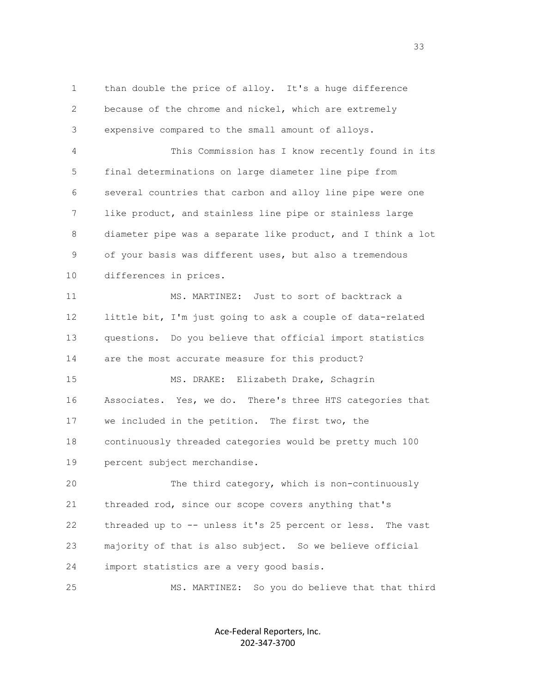1 than double the price of alloy. It's a huge difference 2 because of the chrome and nickel, which are extremely 3 expensive compared to the small amount of alloys. 4 This Commission has I know recently found in its 5 final determinations on large diameter line pipe from 6 several countries that carbon and alloy line pipe were one 7 like product, and stainless line pipe or stainless large 8 diameter pipe was a separate like product, and I think a lot 9 of your basis was different uses, but also a tremendous 10 differences in prices. 11 MS. MARTINEZ: Just to sort of backtrack a 12 little bit, I'm just going to ask a couple of data-related 13 questions. Do you believe that official import statistics 14 are the most accurate measure for this product? 15 MS. DRAKE: Elizabeth Drake, Schagrin 16 Associates. Yes, we do. There's three HTS categories that 17 we included in the petition. The first two, the 18 continuously threaded categories would be pretty much 100 19 percent subject merchandise. 20 The third category, which is non-continuously 21 threaded rod, since our scope covers anything that's 22 threaded up to -- unless it's 25 percent or less. The vast 23 majority of that is also subject. So we believe official 24 import statistics are a very good basis. 25 MS. MARTINEZ: So you do believe that that third

> Ace-Federal Reporters, Inc. 202-347-3700

<u>33 and the state of the state of the state of the state of the state of the state of the state of the state of the state of the state of the state of the state of the state of the state of the state of the state of the st</u>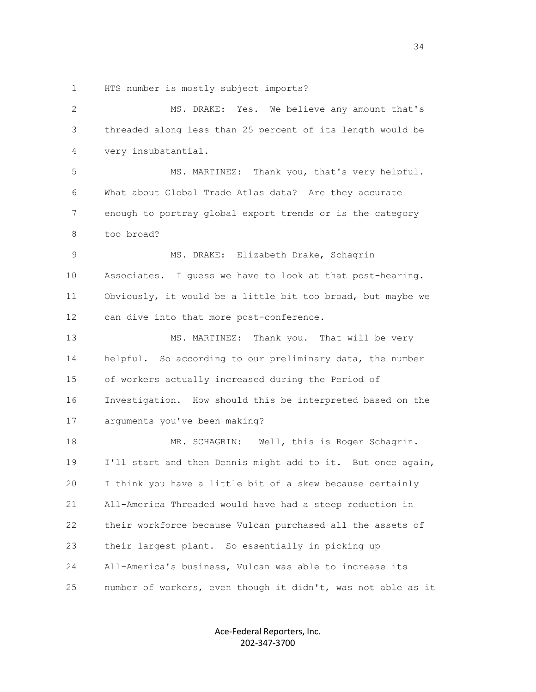1 HTS number is mostly subject imports?

| 2  | MS. DRAKE: Yes. We believe any amount that's                 |
|----|--------------------------------------------------------------|
| 3  | threaded along less than 25 percent of its length would be   |
| 4  | very insubstantial.                                          |
| 5  | MS. MARTINEZ: Thank you, that's very helpful.                |
| 6  | What about Global Trade Atlas data? Are they accurate        |
| 7  | enough to portray global export trends or is the category    |
| 8  | too broad?                                                   |
| 9  | MS. DRAKE: Elizabeth Drake, Schagrin                         |
| 10 | Associates. I guess we have to look at that post-hearing.    |
| 11 | Obviously, it would be a little bit too broad, but maybe we  |
| 12 | can dive into that more post-conference.                     |
| 13 | MS. MARTINEZ: Thank you. That will be very                   |
| 14 | helpful. So according to our preliminary data, the number    |
| 15 | of workers actually increased during the Period of           |
| 16 | Investigation. How should this be interpreted based on the   |
| 17 | arguments you've been making?                                |
| 18 | MR. SCHAGRIN: Well, this is Roger Schagrin.                  |
| 19 | I'll start and then Dennis might add to it. But once again,  |
| 20 | I think you have a little bit of a skew because certainly    |
| 21 | All-America Threaded would have had a steep reduction in     |
| 22 | their workforce because Vulcan purchased all the assets of   |
| 23 | their largest plant. So essentially in picking up            |
| 24 | All-America's business, Vulcan was able to increase its      |
| 25 | number of workers, even though it didn't, was not able as it |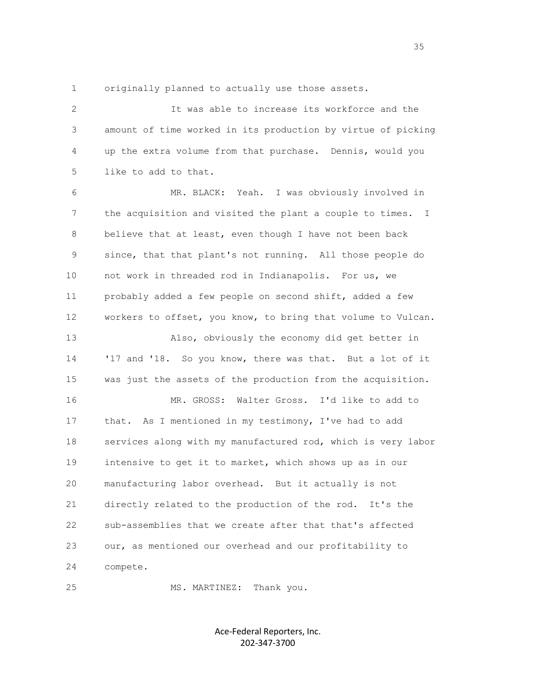1 originally planned to actually use those assets.

 2 It was able to increase its workforce and the 3 amount of time worked in its production by virtue of picking 4 up the extra volume from that purchase. Dennis, would you 5 like to add to that.

 6 MR. BLACK: Yeah. I was obviously involved in 7 the acquisition and visited the plant a couple to times. I 8 believe that at least, even though I have not been back 9 since, that that plant's not running. All those people do 10 not work in threaded rod in Indianapolis. For us, we 11 probably added a few people on second shift, added a few 12 workers to offset, you know, to bring that volume to Vulcan. 13 Also, obviously the economy did get better in 14 '17 and '18. So you know, there was that. But a lot of it 15 was just the assets of the production from the acquisition. 16 MR. GROSS: Walter Gross. I'd like to add to 17 that. As I mentioned in my testimony, I've had to add 18 services along with my manufactured rod, which is very labor 19 intensive to get it to market, which shows up as in our 20 manufacturing labor overhead. But it actually is not 21 directly related to the production of the rod. It's the 22 sub-assemblies that we create after that that's affected 23 our, as mentioned our overhead and our profitability to

24 compete.

25 MS. MARTINEZ: Thank you.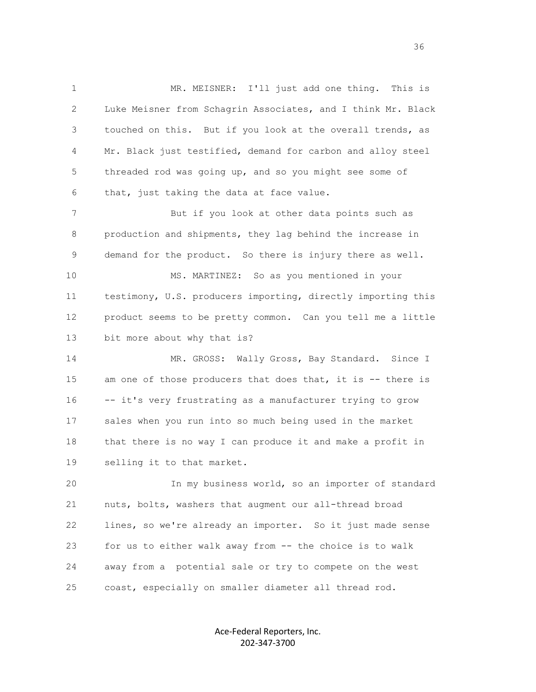1 MR. MEISNER: I'll just add one thing. This is 2 Luke Meisner from Schagrin Associates, and I think Mr. Black 3 touched on this. But if you look at the overall trends, as 4 Mr. Black just testified, demand for carbon and alloy steel 5 threaded rod was going up, and so you might see some of 6 that, just taking the data at face value.

 7 But if you look at other data points such as 8 production and shipments, they lag behind the increase in 9 demand for the product. So there is injury there as well.

 10 MS. MARTINEZ: So as you mentioned in your 11 testimony, U.S. producers importing, directly importing this 12 product seems to be pretty common. Can you tell me a little 13 bit more about why that is?

14 MR. GROSS: Wally Gross, Bay Standard. Since I 15 am one of those producers that does that, it is -- there is 16 -- it's very frustrating as a manufacturer trying to grow 17 sales when you run into so much being used in the market 18 that there is no way I can produce it and make a profit in 19 selling it to that market.

 20 In my business world, so an importer of standard 21 nuts, bolts, washers that augment our all-thread broad 22 lines, so we're already an importer. So it just made sense 23 for us to either walk away from -- the choice is to walk 24 away from a potential sale or try to compete on the west 25 coast, especially on smaller diameter all thread rod.

> Ace-Federal Reporters, Inc. 202-347-3700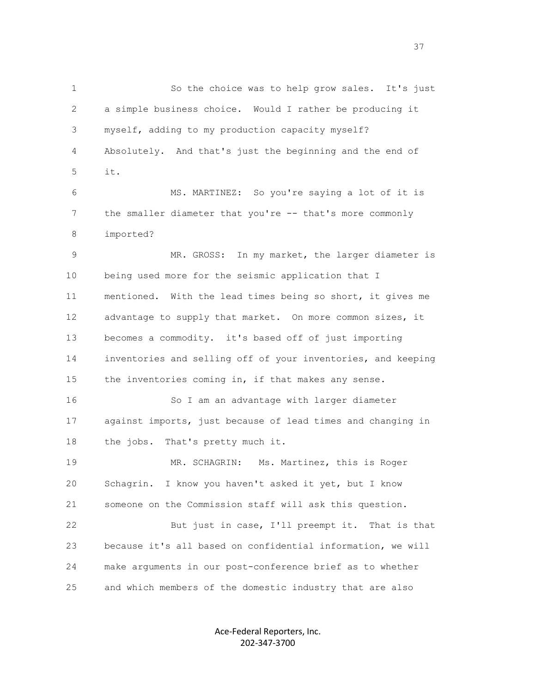1 So the choice was to help grow sales. It's just 2 a simple business choice. Would I rather be producing it 3 myself, adding to my production capacity myself? 4 Absolutely. And that's just the beginning and the end of 5 it. 6 MS. MARTINEZ: So you're saying a lot of it is 7 the smaller diameter that you're -- that's more commonly 8 imported? 9 MR. GROSS: In my market, the larger diameter is 10 being used more for the seismic application that I 11 mentioned. With the lead times being so short, it gives me 12 advantage to supply that market. On more common sizes, it 13 becomes a commodity. it's based off of just importing 14 inventories and selling off of your inventories, and keeping 15 the inventories coming in, if that makes any sense. 16 So I am an advantage with larger diameter 17 against imports, just because of lead times and changing in 18 the jobs. That's pretty much it. 19 MR. SCHAGRIN: Ms. Martinez, this is Roger 20 Schagrin. I know you haven't asked it yet, but I know 21 someone on the Commission staff will ask this question. 22 But just in case, I'll preempt it. That is that 23 because it's all based on confidential information, we will 24 make arguments in our post-conference brief as to whether 25 and which members of the domestic industry that are also

> Ace-Federal Reporters, Inc. 202-347-3700

<u>37</u>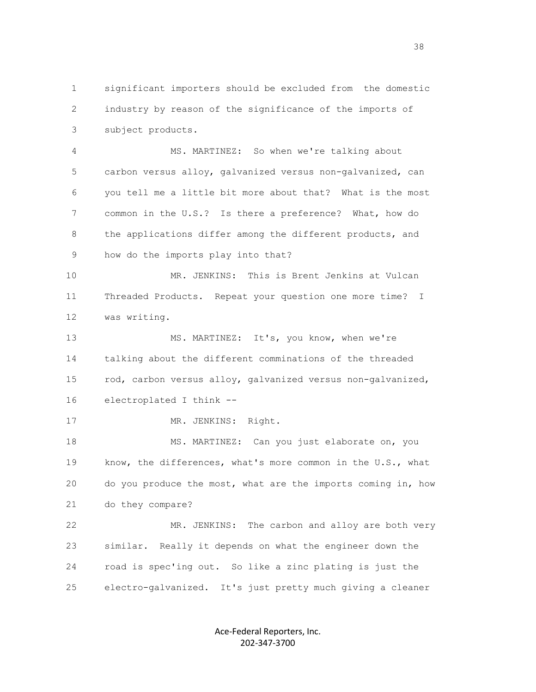1 significant importers should be excluded from the domestic 2 industry by reason of the significance of the imports of 3 subject products.

 4 MS. MARTINEZ: So when we're talking about 5 carbon versus alloy, galvanized versus non-galvanized, can 6 you tell me a little bit more about that? What is the most 7 common in the U.S.? Is there a preference? What, how do 8 the applications differ among the different products, and 9 how do the imports play into that?

 10 MR. JENKINS: This is Brent Jenkins at Vulcan 11 Threaded Products. Repeat your question one more time? I 12 was writing.

 13 MS. MARTINEZ: It's, you know, when we're 14 talking about the different comminations of the threaded 15 rod, carbon versus alloy, galvanized versus non-galvanized, 16 electroplated I think --

17 MR. JENKINS: Right.

 18 MS. MARTINEZ: Can you just elaborate on, you 19 know, the differences, what's more common in the U.S., what 20 do you produce the most, what are the imports coming in, how 21 do they compare?

 22 MR. JENKINS: The carbon and alloy are both very 23 similar. Really it depends on what the engineer down the 24 road is spec'ing out. So like a zinc plating is just the 25 electro-galvanized. It's just pretty much giving a cleaner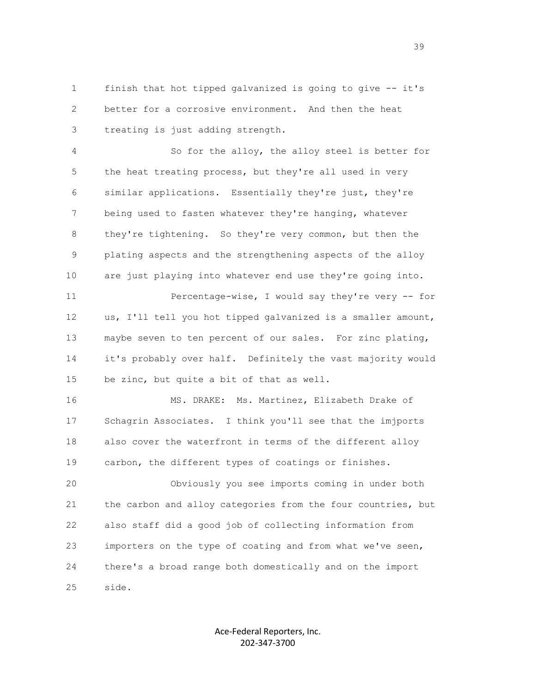1 finish that hot tipped galvanized is going to give -- it's 2 better for a corrosive environment. And then the heat 3 treating is just adding strength.

 4 So for the alloy, the alloy steel is better for 5 the heat treating process, but they're all used in very 6 similar applications. Essentially they're just, they're 7 being used to fasten whatever they're hanging, whatever 8 they're tightening. So they're very common, but then the 9 plating aspects and the strengthening aspects of the alloy 10 are just playing into whatever end use they're going into.

 11 Percentage-wise, I would say they're very -- for 12 us, I'll tell you hot tipped galvanized is a smaller amount, 13 maybe seven to ten percent of our sales. For zinc plating, 14 it's probably over half. Definitely the vast majority would 15 be zinc, but quite a bit of that as well.

 16 MS. DRAKE: Ms. Martinez, Elizabeth Drake of 17 Schagrin Associates. I think you'll see that the imjports 18 also cover the waterfront in terms of the different alloy 19 carbon, the different types of coatings or finishes.

 20 Obviously you see imports coming in under both 21 the carbon and alloy categories from the four countries, but 22 also staff did a good job of collecting information from 23 importers on the type of coating and from what we've seen, 24 there's a broad range both domestically and on the import 25 side.

> Ace-Federal Reporters, Inc. 202-347-3700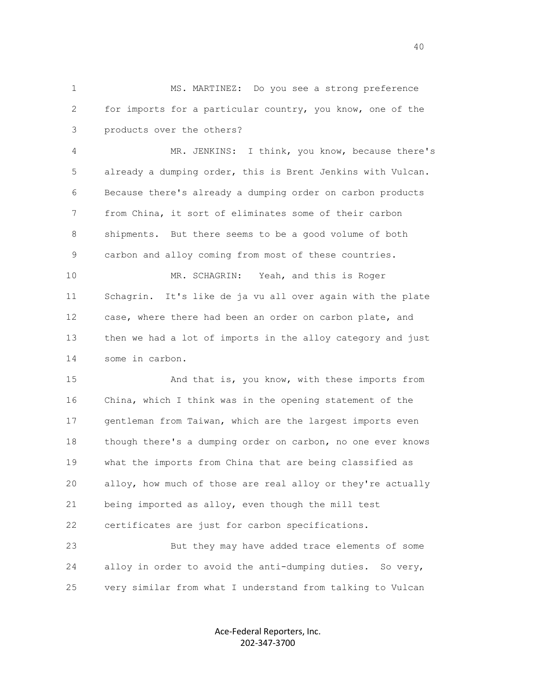1 MS. MARTINEZ: Do you see a strong preference 2 for imports for a particular country, you know, one of the 3 products over the others?

 4 MR. JENKINS: I think, you know, because there's 5 already a dumping order, this is Brent Jenkins with Vulcan. 6 Because there's already a dumping order on carbon products 7 from China, it sort of eliminates some of their carbon 8 shipments. But there seems to be a good volume of both 9 carbon and alloy coming from most of these countries.

 10 MR. SCHAGRIN: Yeah, and this is Roger 11 Schagrin. It's like de ja vu all over again with the plate 12 case, where there had been an order on carbon plate, and 13 then we had a lot of imports in the alloy category and just 14 some in carbon.

 15 And that is, you know, with these imports from 16 China, which I think was in the opening statement of the 17 gentleman from Taiwan, which are the largest imports even 18 though there's a dumping order on carbon, no one ever knows 19 what the imports from China that are being classified as 20 alloy, how much of those are real alloy or they're actually 21 being imported as alloy, even though the mill test 22 certificates are just for carbon specifications.

 23 But they may have added trace elements of some 24 alloy in order to avoid the anti-dumping duties. So very, 25 very similar from what I understand from talking to Vulcan

> Ace-Federal Reporters, Inc. 202-347-3700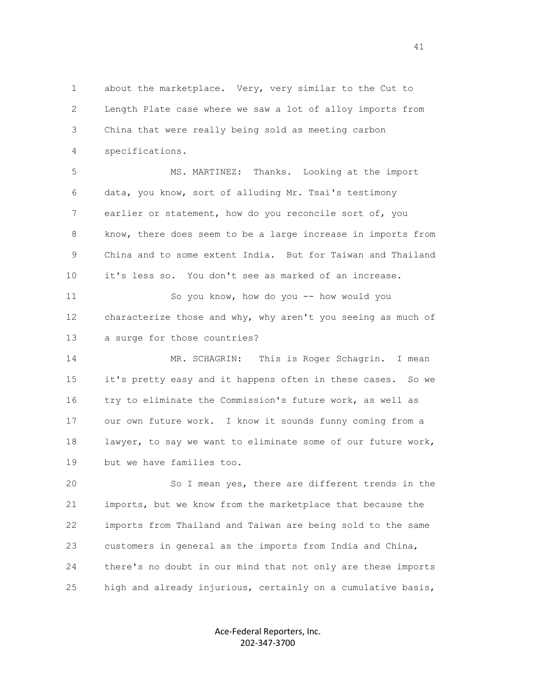1 about the marketplace. Very, very similar to the Cut to 2 Length Plate case where we saw a lot of alloy imports from 3 China that were really being sold as meeting carbon 4 specifications.

 5 MS. MARTINEZ: Thanks. Looking at the import 6 data, you know, sort of alluding Mr. Tsai's testimony 7 earlier or statement, how do you reconcile sort of, you 8 know, there does seem to be a large increase in imports from 9 China and to some extent India. But for Taiwan and Thailand 10 it's less so. You don't see as marked of an increase.

 11 So you know, how do you -- how would you 12 characterize those and why, why aren't you seeing as much of 13 a surge for those countries?

 14 MR. SCHAGRIN: This is Roger Schagrin. I mean 15 it's pretty easy and it happens often in these cases. So we 16 try to eliminate the Commission's future work, as well as 17 our own future work. I know it sounds funny coming from a 18 lawyer, to say we want to eliminate some of our future work, 19 but we have families too.

 20 So I mean yes, there are different trends in the 21 imports, but we know from the marketplace that because the 22 imports from Thailand and Taiwan are being sold to the same 23 customers in general as the imports from India and China, 24 there's no doubt in our mind that not only are these imports 25 high and already injurious, certainly on a cumulative basis,

> Ace-Federal Reporters, Inc. 202-347-3700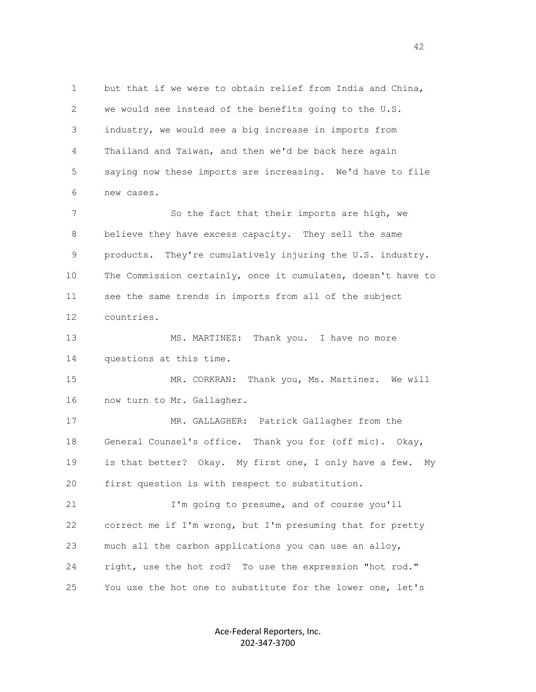1 but that if we were to obtain relief from India and China, 2 we would see instead of the benefits going to the U.S. 3 industry, we would see a big increase in imports from 4 Thailand and Taiwan, and then we'd be back here again 5 saying now these imports are increasing. We'd have to file 6 new cases. 7 So the fact that their imports are high, we 8 believe they have excess capacity. They sell the same 9 products. They're cumulatively injuring the U.S. industry. 10 The Commission certainly, once it cumulates, doesn't have to 11 see the same trends in imports from all of the subject 12 countries. 13 MS. MARTINEZ: Thank you. I have no more 14 questions at this time. 15 MR. CORKRAN: Thank you, Ms. Martinez. We will 16 now turn to Mr. Gallagher. 17 MR. GALLAGHER: Patrick Gallagher from the 18 General Counsel's office. Thank you for (off mic). Okay, 19 is that better? Okay. My first one, I only have a few. My 20 first question is with respect to substitution. 21 I'm going to presume, and of course you'll 22 correct me if I'm wrong, but I'm presuming that for pretty 23 much all the carbon applications you can use an alloy,

25 You use the hot one to substitute for the lower one, let's

Ace-Federal Reporters, Inc. 202-347-3700

24 right, use the hot rod? To use the expression "hot rod."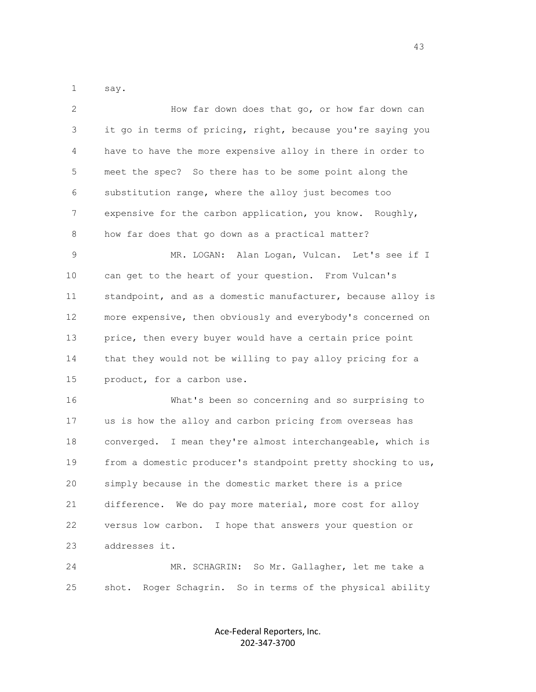1 say.

| $\overline{2}$ | How far down does that go, or how far down can               |
|----------------|--------------------------------------------------------------|
| 3              | it go in terms of pricing, right, because you're saying you  |
| 4              | have to have the more expensive alloy in there in order to   |
| 5              | meet the spec? So there has to be some point along the       |
| 6              | substitution range, where the alloy just becomes too         |
| 7              | expensive for the carbon application, you know. Roughly,     |
| 8              | how far does that go down as a practical matter?             |
| 9              | MR. LOGAN: Alan Logan, Vulcan. Let's see if I                |
| 10             | can get to the heart of your question. From Vulcan's         |
| 11             | standpoint, and as a domestic manufacturer, because alloy is |
| 12             | more expensive, then obviously and everybody's concerned on  |
| 13             | price, then every buyer would have a certain price point     |
| 14             | that they would not be willing to pay alloy pricing for a    |
| 15             | product, for a carbon use.                                   |
| 16             | What's been so concerning and so surprising to               |
| 17             | us is how the alloy and carbon pricing from overseas has     |
| 18             | converged. I mean they're almost interchangeable, which is   |
| 19             | from a domestic producer's standpoint pretty shocking to us, |
| 20             | simply because in the domestic market there is a price       |
| 21             | difference. We do pay more material, more cost for alloy     |
| 22             | I hope that answers your question or<br>versus low carbon.   |
| 23             | addresses it.                                                |
| 24             | MR. SCHAGRIN: So Mr. Gallagher, let me take a                |
| 25             | Roger Schagrin. So in terms of the physical ability<br>shot. |

Ace-Federal Reporters, Inc. 202-347-3700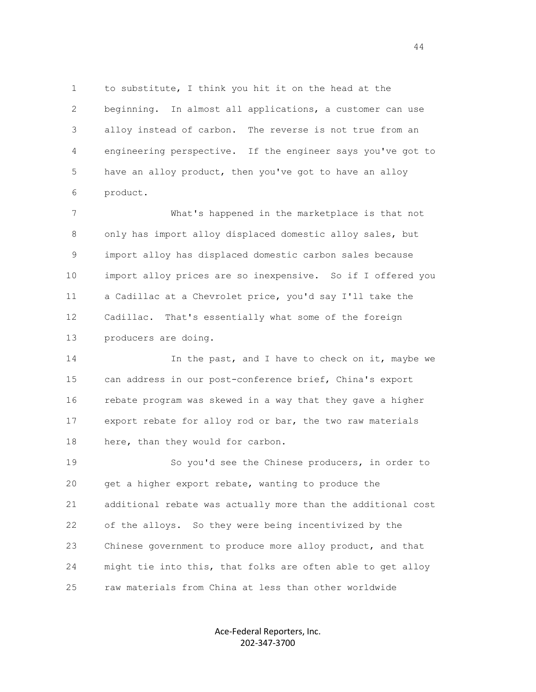1 to substitute, I think you hit it on the head at the 2 beginning. In almost all applications, a customer can use 3 alloy instead of carbon. The reverse is not true from an 4 engineering perspective. If the engineer says you've got to 5 have an alloy product, then you've got to have an alloy 6 product.

 7 What's happened in the marketplace is that not 8 only has import alloy displaced domestic alloy sales, but 9 import alloy has displaced domestic carbon sales because 10 import alloy prices are so inexpensive. So if I offered you 11 a Cadillac at a Chevrolet price, you'd say I'll take the 12 Cadillac. That's essentially what some of the foreign 13 producers are doing.

14 14 In the past, and I have to check on it, maybe we 15 can address in our post-conference brief, China's export 16 rebate program was skewed in a way that they gave a higher 17 export rebate for alloy rod or bar, the two raw materials 18 here, than they would for carbon.

19 So you'd see the Chinese producers, in order to 20 get a higher export rebate, wanting to produce the 21 additional rebate was actually more than the additional cost 22 of the alloys. So they were being incentivized by the 23 Chinese government to produce more alloy product, and that 24 might tie into this, that folks are often able to get alloy 25 raw materials from China at less than other worldwide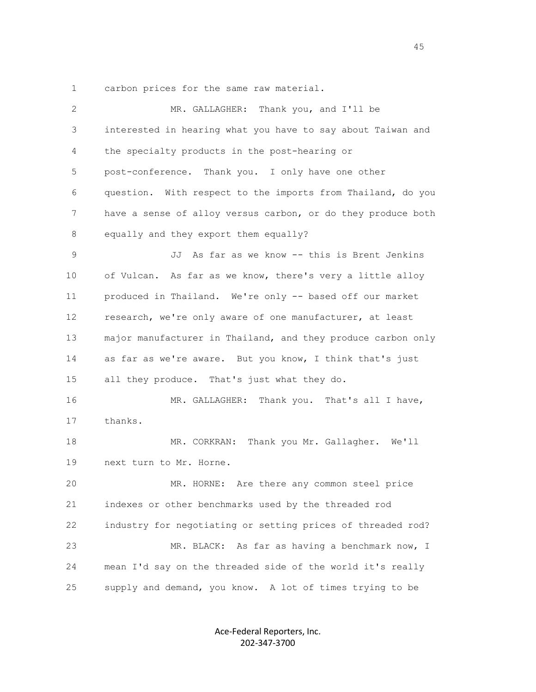1 carbon prices for the same raw material.

| 2  | MR. GALLAGHER: Thank you, and I'll be                        |
|----|--------------------------------------------------------------|
| 3  | interested in hearing what you have to say about Taiwan and  |
| 4  | the specialty products in the post-hearing or                |
| 5  | post-conference. Thank you. I only have one other            |
| 6  | question. With respect to the imports from Thailand, do you  |
| 7  | have a sense of alloy versus carbon, or do they produce both |
| 8  | equally and they export them equally?                        |
| 9  | JJ As far as we know -- this is Brent Jenkins                |
| 10 | of Vulcan. As far as we know, there's very a little alloy    |
| 11 | produced in Thailand. We're only -- based off our market     |
| 12 | research, we're only aware of one manufacturer, at least     |
| 13 | major manufacturer in Thailand, and they produce carbon only |
| 14 | as far as we're aware. But you know, I think that's just     |
| 15 | all they produce. That's just what they do.                  |
| 16 | MR. GALLAGHER: Thank you. That's all I have,                 |
| 17 | thanks.                                                      |
| 18 | MR. CORKRAN: Thank you Mr. Gallagher. We'll                  |
| 19 | next turn to Mr. Horne.                                      |
| 20 | MR. HORNE: Are there any common steel price                  |
| 21 | indexes or other benchmarks used by the threaded rod         |
| 22 | industry for negotiating or setting prices of threaded rod?  |
| 23 | MR. BLACK: As far as having a benchmark now, I               |
| 24 | mean I'd say on the threaded side of the world it's really   |
| 25 | supply and demand, you know. A lot of times trying to be     |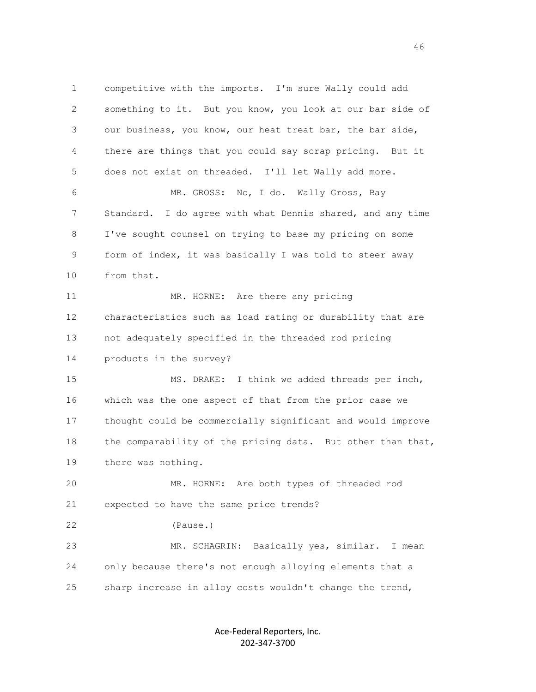1 competitive with the imports. I'm sure Wally could add 2 something to it. But you know, you look at our bar side of 3 our business, you know, our heat treat bar, the bar side, 4 there are things that you could say scrap pricing. But it 5 does not exist on threaded. I'll let Wally add more. 6 MR. GROSS: No, I do. Wally Gross, Bay 7 Standard. I do agree with what Dennis shared, and any time 8 I've sought counsel on trying to base my pricing on some 9 form of index, it was basically I was told to steer away 10 from that. 11 MR. HORNE: Are there any pricing 12 characteristics such as load rating or durability that are 13 not adequately specified in the threaded rod pricing 14 products in the survey? 15 MS. DRAKE: I think we added threads per inch, 16 which was the one aspect of that from the prior case we 17 thought could be commercially significant and would improve 18 the comparability of the pricing data. But other than that, 19 there was nothing. 20 MR. HORNE: Are both types of threaded rod 21 expected to have the same price trends? 22 (Pause.) 23 MR. SCHAGRIN: Basically yes, similar. I mean 24 only because there's not enough alloying elements that a 25 sharp increase in alloy costs wouldn't change the trend,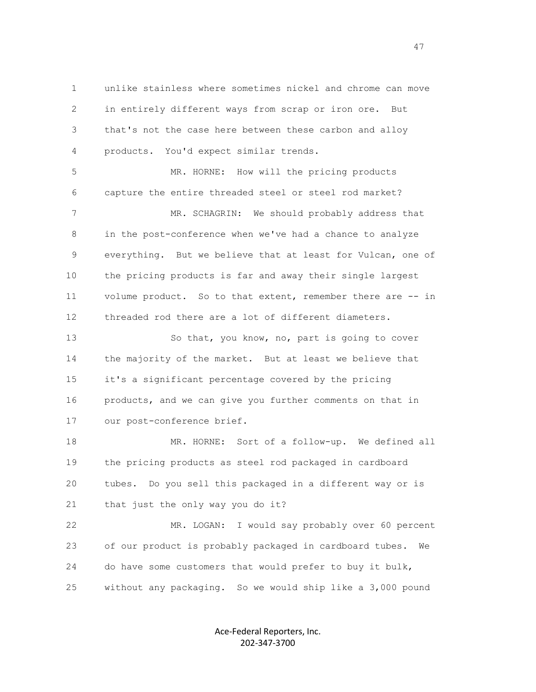1 unlike stainless where sometimes nickel and chrome can move 2 in entirely different ways from scrap or iron ore. But 3 that's not the case here between these carbon and alloy 4 products. You'd expect similar trends.

 5 MR. HORNE: How will the pricing products 6 capture the entire threaded steel or steel rod market? 7 MR. SCHAGRIN: We should probably address that 8 in the post-conference when we've had a chance to analyze 9 everything. But we believe that at least for Vulcan, one of 10 the pricing products is far and away their single largest 11 volume product. So to that extent, remember there are -- in 12 threaded rod there are a lot of different diameters.

13 So that, you know, no, part is going to cover 14 the majority of the market. But at least we believe that 15 it's a significant percentage covered by the pricing 16 products, and we can give you further comments on that in 17 our post-conference brief.

 18 MR. HORNE: Sort of a follow-up. We defined all 19 the pricing products as steel rod packaged in cardboard 20 tubes. Do you sell this packaged in a different way or is 21 that just the only way you do it?

 22 MR. LOGAN: I would say probably over 60 percent 23 of our product is probably packaged in cardboard tubes. We 24 do have some customers that would prefer to buy it bulk, 25 without any packaging. So we would ship like a 3,000 pound

> Ace-Federal Reporters, Inc. 202-347-3700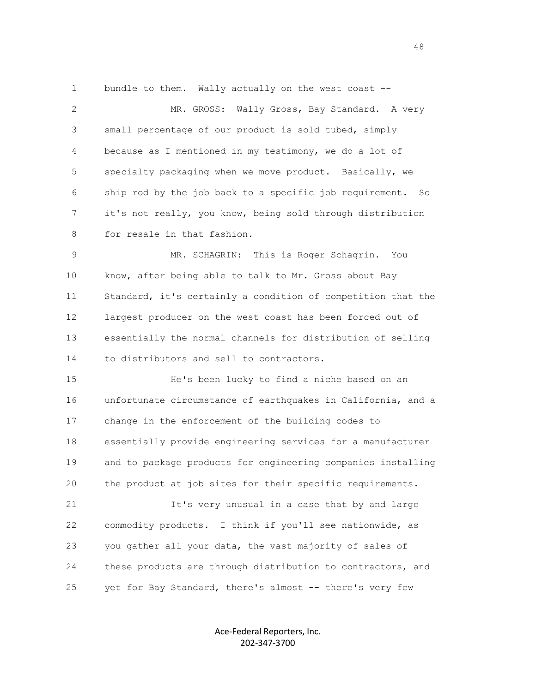1 bundle to them. Wally actually on the west coast --

 2 MR. GROSS: Wally Gross, Bay Standard. A very 3 small percentage of our product is sold tubed, simply 4 because as I mentioned in my testimony, we do a lot of 5 specialty packaging when we move product. Basically, we 6 ship rod by the job back to a specific job requirement. So 7 it's not really, you know, being sold through distribution 8 for resale in that fashion.

 9 MR. SCHAGRIN: This is Roger Schagrin. You 10 know, after being able to talk to Mr. Gross about Bay 11 Standard, it's certainly a condition of competition that the 12 largest producer on the west coast has been forced out of 13 essentially the normal channels for distribution of selling 14 to distributors and sell to contractors.

 15 He's been lucky to find a niche based on an 16 unfortunate circumstance of earthquakes in California, and a 17 change in the enforcement of the building codes to 18 essentially provide engineering services for a manufacturer 19 and to package products for engineering companies installing 20 the product at job sites for their specific requirements.

 21 It's very unusual in a case that by and large 22 commodity products. I think if you'll see nationwide, as 23 you gather all your data, the vast majority of sales of 24 these products are through distribution to contractors, and 25 yet for Bay Standard, there's almost -- there's very few

> Ace-Federal Reporters, Inc. 202-347-3700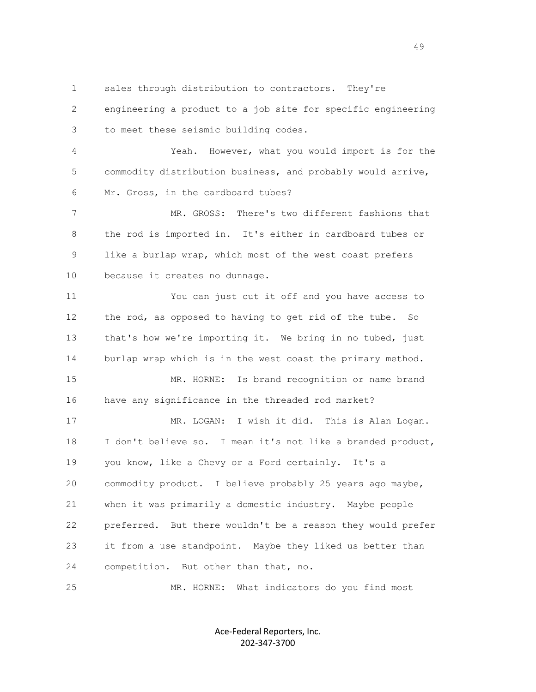1 sales through distribution to contractors. They're

 2 engineering a product to a job site for specific engineering 3 to meet these seismic building codes.

 4 Yeah. However, what you would import is for the 5 commodity distribution business, and probably would arrive, 6 Mr. Gross, in the cardboard tubes?

7 MR. GROSS: There's two different fashions that 8 the rod is imported in. It's either in cardboard tubes or 9 like a burlap wrap, which most of the west coast prefers 10 because it creates no dunnage.

 11 You can just cut it off and you have access to 12 the rod, as opposed to having to get rid of the tube. So 13 that's how we're importing it. We bring in no tubed, just 14 burlap wrap which is in the west coast the primary method.

 15 MR. HORNE: Is brand recognition or name brand 16 have any significance in the threaded rod market?

 17 MR. LOGAN: I wish it did. This is Alan Logan. 18 I don't believe so. I mean it's not like a branded product, 19 you know, like a Chevy or a Ford certainly. It's a 20 commodity product. I believe probably 25 years ago maybe, 21 when it was primarily a domestic industry. Maybe people 22 preferred. But there wouldn't be a reason they would prefer 23 it from a use standpoint. Maybe they liked us better than 24 competition. But other than that, no.

25 MR. HORNE: What indicators do you find most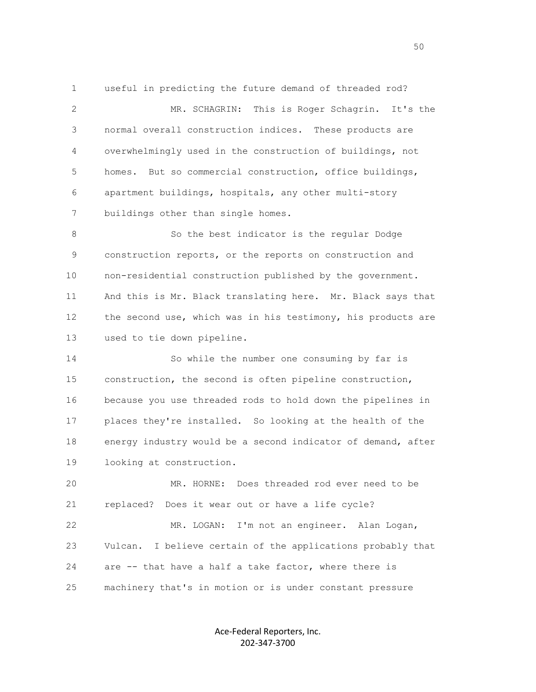1 useful in predicting the future demand of threaded rod? 2 MR. SCHAGRIN: This is Roger Schagrin. It's the 3 normal overall construction indices. These products are 4 overwhelmingly used in the construction of buildings, not 5 homes. But so commercial construction, office buildings, 6 apartment buildings, hospitals, any other multi-story 7 buildings other than single homes.

 8 So the best indicator is the regular Dodge 9 construction reports, or the reports on construction and 10 non-residential construction published by the government. 11 And this is Mr. Black translating here. Mr. Black says that 12 the second use, which was in his testimony, his products are 13 used to tie down pipeline.

 14 So while the number one consuming by far is 15 construction, the second is often pipeline construction, 16 because you use threaded rods to hold down the pipelines in 17 places they're installed. So looking at the health of the 18 energy industry would be a second indicator of demand, after 19 looking at construction.

 20 MR. HORNE: Does threaded rod ever need to be 21 replaced? Does it wear out or have a life cycle?

 22 MR. LOGAN: I'm not an engineer. Alan Logan, 23 Vulcan. I believe certain of the applications probably that 24 are -- that have a half a take factor, where there is 25 machinery that's in motion or is under constant pressure

> Ace-Federal Reporters, Inc. 202-347-3700

 $50<sub>50</sub>$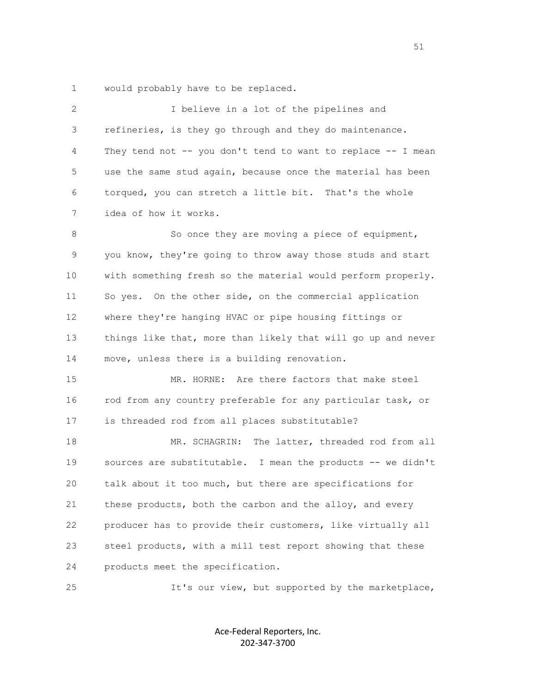1 would probably have to be replaced.

| 2  | I believe in a lot of the pipelines and                      |
|----|--------------------------------------------------------------|
| 3  | refineries, is they go through and they do maintenance.      |
| 4  | They tend not -- you don't tend to want to replace -- I mean |
| 5  | use the same stud again, because once the material has been  |
| 6  | torqued, you can stretch a little bit. That's the whole      |
| 7  | idea of how it works.                                        |
| 8  | So once they are moving a piece of equipment,                |
| 9  | you know, they're going to throw away those studs and start  |
| 10 | with something fresh so the material would perform properly. |
| 11 | So yes. On the other side, on the commercial application     |
| 12 | where they're hanging HVAC or pipe housing fittings or       |
| 13 | things like that, more than likely that will go up and never |
| 14 | move, unless there is a building renovation.                 |
| 15 | MR. HORNE: Are there factors that make steel                 |
| 16 | rod from any country preferable for any particular task, or  |
| 17 | is threaded rod from all places substitutable?               |
| 18 | The latter, threaded rod from all<br>MR. SCHAGRIN:           |
| 19 | sources are substitutable. I mean the products -- we didn't  |
| 20 | talk about it too much, but there are specifications for     |
| 21 | these products, both the carbon and the alloy, and every     |
| 22 | producer has to provide their customers, like virtually all  |
| 23 | steel products, with a mill test report showing that these   |
| 24 | products meet the specification.                             |
| 25 | It's our view, but supported by the marketplace,             |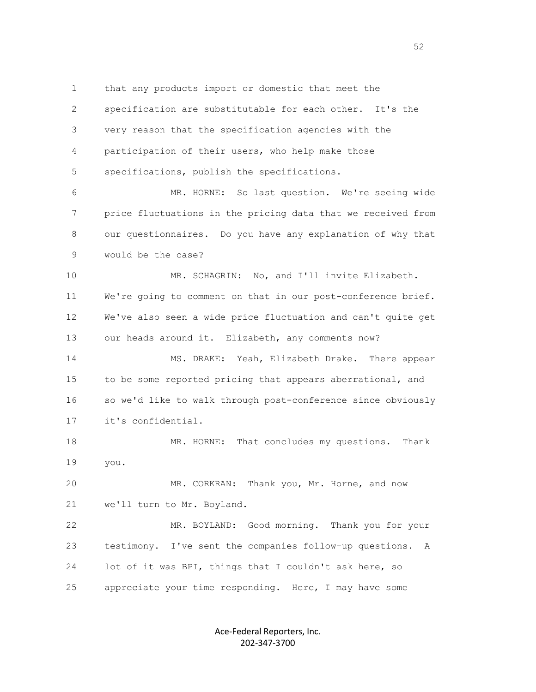1 that any products import or domestic that meet the 2 specification are substitutable for each other. It's the 3 very reason that the specification agencies with the 4 participation of their users, who help make those 5 specifications, publish the specifications.

 6 MR. HORNE: So last question. We're seeing wide 7 price fluctuations in the pricing data that we received from 8 our questionnaires. Do you have any explanation of why that 9 would be the case?

10 MR. SCHAGRIN: No, and I'll invite Elizabeth. 11 We're going to comment on that in our post-conference brief. 12 We've also seen a wide price fluctuation and can't quite get 13 our heads around it. Elizabeth, any comments now?

 14 MS. DRAKE: Yeah, Elizabeth Drake. There appear 15 to be some reported pricing that appears aberrational, and 16 so we'd like to walk through post-conference since obviously 17 it's confidential.

18 MR. HORNE: That concludes my questions. Thank 19 you.

 20 MR. CORKRAN: Thank you, Mr. Horne, and now 21 we'll turn to Mr. Boyland.

 22 MR. BOYLAND: Good morning. Thank you for your 23 testimony. I've sent the companies follow-up questions. A 24 lot of it was BPI, things that I couldn't ask here, so 25 appreciate your time responding. Here, I may have some

> Ace-Federal Reporters, Inc. 202-347-3700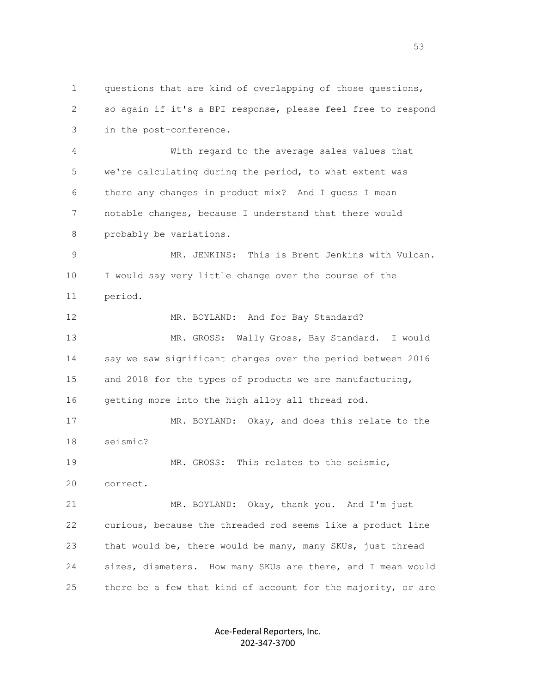1 questions that are kind of overlapping of those questions, 2 so again if it's a BPI response, please feel free to respond 3 in the post-conference.

 4 With regard to the average sales values that 5 we're calculating during the period, to what extent was 6 there any changes in product mix? And I guess I mean 7 notable changes, because I understand that there would 8 probably be variations.

 9 MR. JENKINS: This is Brent Jenkins with Vulcan. 10 I would say very little change over the course of the 11 period.

12 MR. BOYLAND: And for Bay Standard? 13 MR. GROSS: Wally Gross, Bay Standard. I would 14 say we saw significant changes over the period between 2016 15 and 2018 for the types of products we are manufacturing, 16 getting more into the high alloy all thread rod.

 17 MR. BOYLAND: Okay, and does this relate to the 18 seismic? 19 MR. GROSS: This relates to the seismic,

20 correct.

 21 MR. BOYLAND: Okay, thank you. And I'm just 22 curious, because the threaded rod seems like a product line 23 that would be, there would be many, many SKUs, just thread 24 sizes, diameters. How many SKUs are there, and I mean would 25 there be a few that kind of account for the majority, or are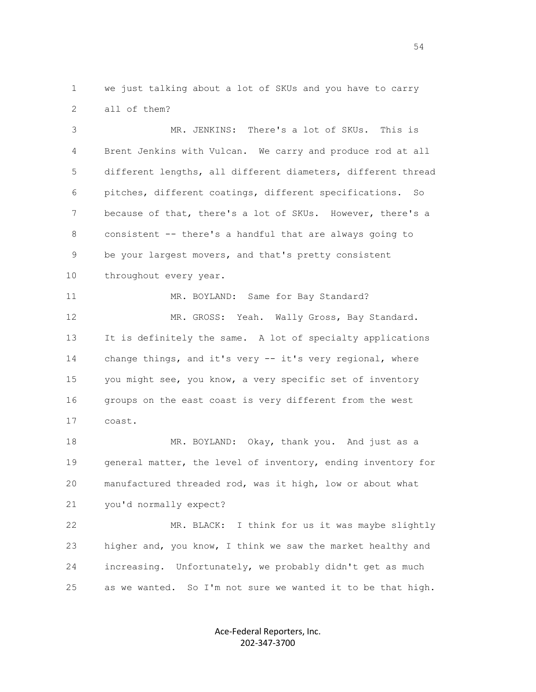1 we just talking about a lot of SKUs and you have to carry 2 all of them?

 3 MR. JENKINS: There's a lot of SKUs. This is 4 Brent Jenkins with Vulcan. We carry and produce rod at all 5 different lengths, all different diameters, different thread 6 pitches, different coatings, different specifications. So 7 because of that, there's a lot of SKUs. However, there's a 8 consistent -- there's a handful that are always going to 9 be your largest movers, and that's pretty consistent 10 throughout every year.

11 MR. BOYLAND: Same for Bay Standard? 12 MR. GROSS: Yeah. Wally Gross, Bay Standard. 13 It is definitely the same. A lot of specialty applications 14 change things, and it's very -- it's very regional, where 15 you might see, you know, a very specific set of inventory 16 groups on the east coast is very different from the west 17 coast.

18 MR. BOYLAND: Okay, thank you. And just as a 19 general matter, the level of inventory, ending inventory for 20 manufactured threaded rod, was it high, low or about what 21 you'd normally expect?

 22 MR. BLACK: I think for us it was maybe slightly 23 higher and, you know, I think we saw the market healthy and 24 increasing. Unfortunately, we probably didn't get as much 25 as we wanted. So I'm not sure we wanted it to be that high.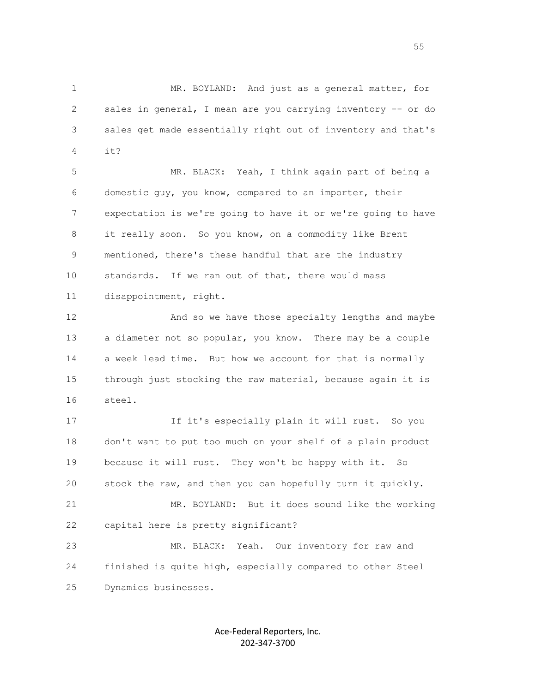1 MR. BOYLAND: And just as a general matter, for 2 sales in general, I mean are you carrying inventory -- or do 3 sales get made essentially right out of inventory and that's 4 it?

> 5 MR. BLACK: Yeah, I think again part of being a 6 domestic guy, you know, compared to an importer, their 7 expectation is we're going to have it or we're going to have 8 it really soon. So you know, on a commodity like Brent 9 mentioned, there's these handful that are the industry 10 standards. If we ran out of that, there would mass 11 disappointment, right.

> 12 And so we have those specialty lengths and maybe 13 a diameter not so popular, you know. There may be a couple 14 a week lead time. But how we account for that is normally 15 through just stocking the raw material, because again it is 16 steel.

> 17 If it's especially plain it will rust. So you 18 don't want to put too much on your shelf of a plain product 19 because it will rust. They won't be happy with it. So 20 stock the raw, and then you can hopefully turn it quickly. 21 MR. BOYLAND: But it does sound like the working 22 capital here is pretty significant?

 23 MR. BLACK: Yeah. Our inventory for raw and 24 finished is quite high, especially compared to other Steel 25 Dynamics businesses.

> Ace-Federal Reporters, Inc. 202-347-3700

the contract of the contract of the contract of the contract of the contract of the contract of the contract of the contract of the contract of the contract of the contract of the contract of the contract of the contract o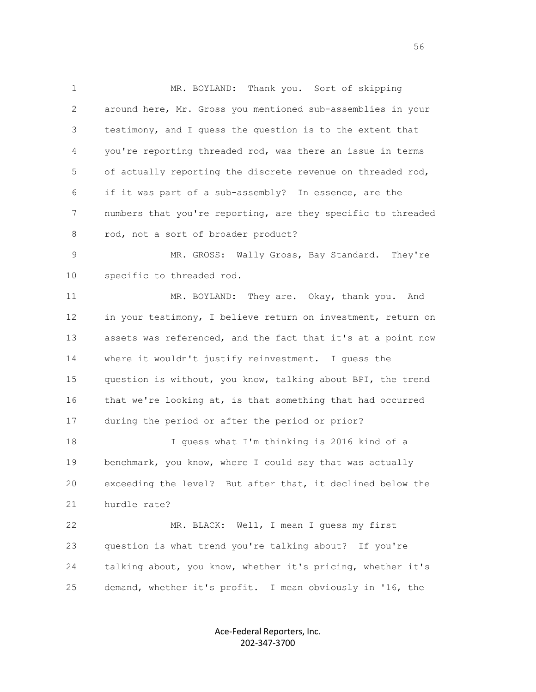1 MR. BOYLAND: Thank you. Sort of skipping 2 around here, Mr. Gross you mentioned sub-assemblies in your 3 testimony, and I guess the question is to the extent that 4 you're reporting threaded rod, was there an issue in terms 5 of actually reporting the discrete revenue on threaded rod, 6 if it was part of a sub-assembly? In essence, are the 7 numbers that you're reporting, are they specific to threaded 8 rod, not a sort of broader product?

 9 MR. GROSS: Wally Gross, Bay Standard. They're 10 specific to threaded rod.

 11 MR. BOYLAND: They are. Okay, thank you. And 12 in your testimony, I believe return on investment, return on 13 assets was referenced, and the fact that it's at a point now 14 where it wouldn't justify reinvestment. I guess the 15 question is without, you know, talking about BPI, the trend 16 that we're looking at, is that something that had occurred 17 during the period or after the period or prior?

 18 I guess what I'm thinking is 2016 kind of a 19 benchmark, you know, where I could say that was actually 20 exceeding the level? But after that, it declined below the 21 hurdle rate?

 22 MR. BLACK: Well, I mean I guess my first 23 question is what trend you're talking about? If you're 24 talking about, you know, whether it's pricing, whether it's 25 demand, whether it's profit. I mean obviously in '16, the

> Ace-Federal Reporters, Inc. 202-347-3700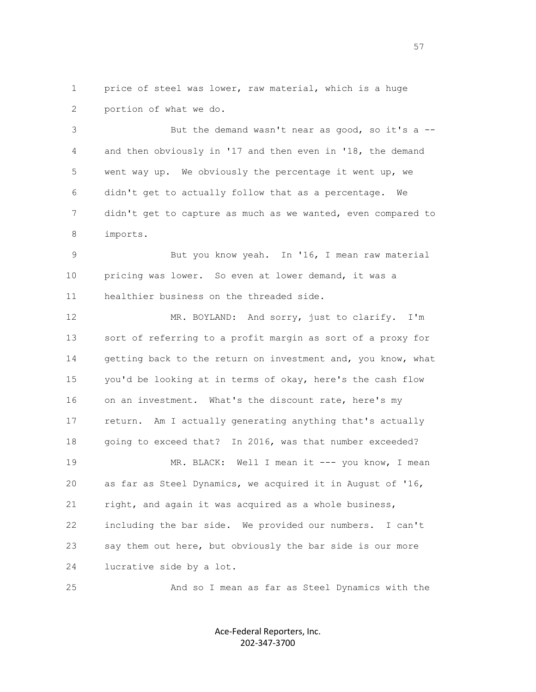1 price of steel was lower, raw material, which is a huge 2 portion of what we do.

 3 But the demand wasn't near as good, so it's a -- 4 and then obviously in '17 and then even in '18, the demand 5 went way up. We obviously the percentage it went up, we 6 didn't get to actually follow that as a percentage. We 7 didn't get to capture as much as we wanted, even compared to 8 imports.

 9 But you know yeah. In '16, I mean raw material 10 pricing was lower. So even at lower demand, it was a 11 healthier business on the threaded side.

12 MR. BOYLAND: And sorry, just to clarify. I'm 13 sort of referring to a profit margin as sort of a proxy for 14 getting back to the return on investment and, you know, what 15 you'd be looking at in terms of okay, here's the cash flow 16 on an investment. What's the discount rate, here's my 17 return. Am I actually generating anything that's actually 18 going to exceed that? In 2016, was that number exceeded? 19 MR. BLACK: Well I mean it --- you know, I mean 20 as far as Steel Dynamics, we acquired it in August of '16, 21 right, and again it was acquired as a whole business, 22 including the bar side. We provided our numbers. I can't 23 say them out here, but obviously the bar side is our more 24 lucrative side by a lot.

25 And so I mean as far as Steel Dynamics with the

Ace-Federal Reporters, Inc. 202-347-3700

the contract of the contract of the contract of the contract of the contract of the contract of the contract of the contract of the contract of the contract of the contract of the contract of the contract of the contract o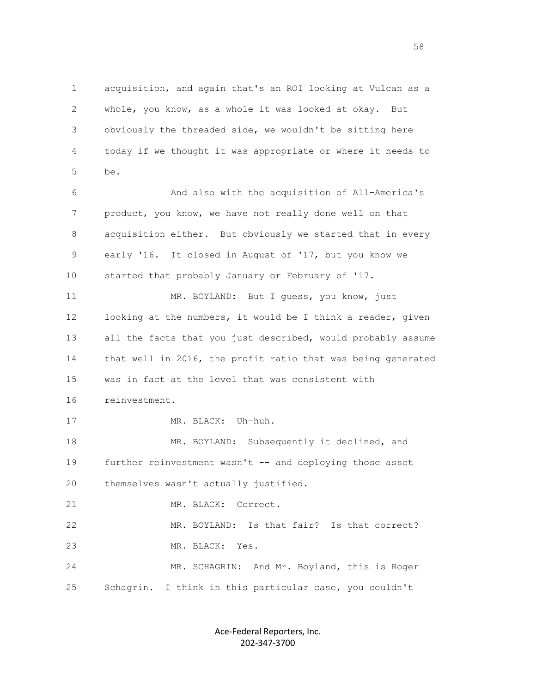1 acquisition, and again that's an ROI looking at Vulcan as a 2 whole, you know, as a whole it was looked at okay. But 3 obviously the threaded side, we wouldn't be sitting here 4 today if we thought it was appropriate or where it needs to 5 be.

> 6 And also with the acquisition of All-America's 7 product, you know, we have not really done well on that 8 acquisition either. But obviously we started that in every 9 early '16. It closed in August of '17, but you know we 10 started that probably January or February of '17.

11 MR. BOYLAND: But I quess, you know, just 12 looking at the numbers, it would be I think a reader, given 13 all the facts that you just described, would probably assume 14 that well in 2016, the profit ratio that was being generated 15 was in fact at the level that was consistent with

16 reinvestment.

17 MR. BLACK: Uh-huh.

18 MR. BOYLAND: Subsequently it declined, and 19 further reinvestment wasn't -- and deploying those asset 20 themselves wasn't actually justified.

21 MR. BLACK: Correct.

 22 MR. BOYLAND: Is that fair? Is that correct? 23 MR. BLACK: Yes.

 24 MR. SCHAGRIN: And Mr. Boyland, this is Roger 25 Schagrin. I think in this particular case, you couldn't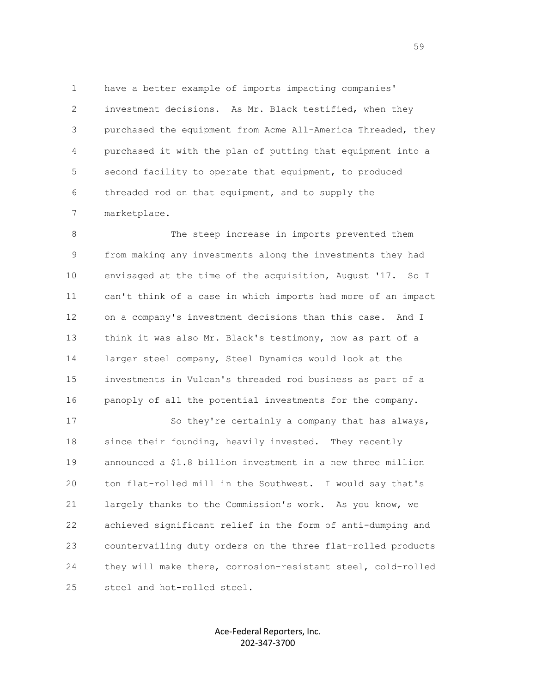1 have a better example of imports impacting companies' 2 investment decisions. As Mr. Black testified, when they 3 purchased the equipment from Acme All-America Threaded, they 4 purchased it with the plan of putting that equipment into a 5 second facility to operate that equipment, to produced 6 threaded rod on that equipment, and to supply the 7 marketplace.

 8 The steep increase in imports prevented them 9 from making any investments along the investments they had 10 envisaged at the time of the acquisition, August '17. So I 11 can't think of a case in which imports had more of an impact 12 on a company's investment decisions than this case. And I 13 think it was also Mr. Black's testimony, now as part of a 14 larger steel company, Steel Dynamics would look at the 15 investments in Vulcan's threaded rod business as part of a 16 panoply of all the potential investments for the company.

17 So they're certainly a company that has always, 18 since their founding, heavily invested. They recently 19 announced a \$1.8 billion investment in a new three million 20 ton flat-rolled mill in the Southwest. I would say that's 21 largely thanks to the Commission's work. As you know, we 22 achieved significant relief in the form of anti-dumping and 23 countervailing duty orders on the three flat-rolled products 24 they will make there, corrosion-resistant steel, cold-rolled 25 steel and hot-rolled steel.

> Ace-Federal Reporters, Inc. 202-347-3700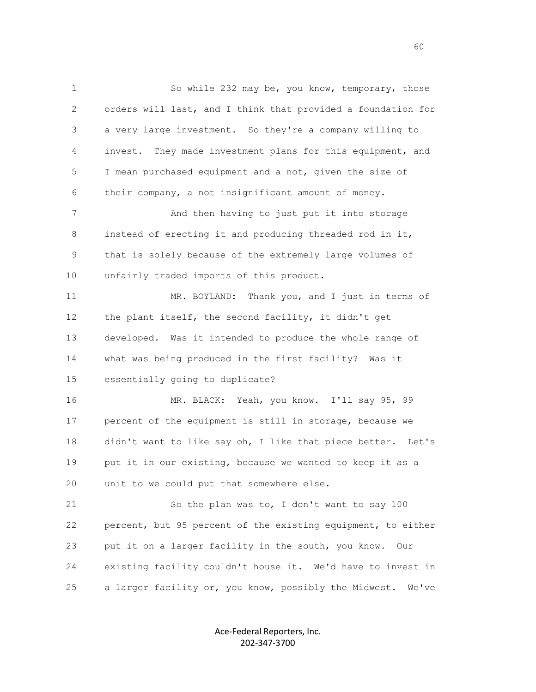1 So while 232 may be, you know, temporary, those 2 orders will last, and I think that provided a foundation for 3 a very large investment. So they're a company willing to 4 invest. They made investment plans for this equipment, and 5 I mean purchased equipment and a not, given the size of 6 their company, a not insignificant amount of money. 7 And then having to just put it into storage 8 instead of erecting it and producing threaded rod in it, 9 that is solely because of the extremely large volumes of 10 unfairly traded imports of this product. 11 MR. BOYLAND: Thank you, and I just in terms of 12 the plant itself, the second facility, it didn't get 13 developed. Was it intended to produce the whole range of 14 what was being produced in the first facility? Was it 15 essentially going to duplicate? 16 MR. BLACK: Yeah, you know. I'll say 95, 99 17 percent of the equipment is still in storage, because we 18 didn't want to like say oh, I like that piece better. Let's 19 put it in our existing, because we wanted to keep it as a 20 unit to we could put that somewhere else. 21 So the plan was to, I don't want to say 100 22 percent, but 95 percent of the existing equipment, to either 23 put it on a larger facility in the south, you know. Our 24 existing facility couldn't house it. We'd have to invest in 25 a larger facility or, you know, possibly the Midwest. We've

> Ace-Federal Reporters, Inc. 202-347-3700

 $\sim$  60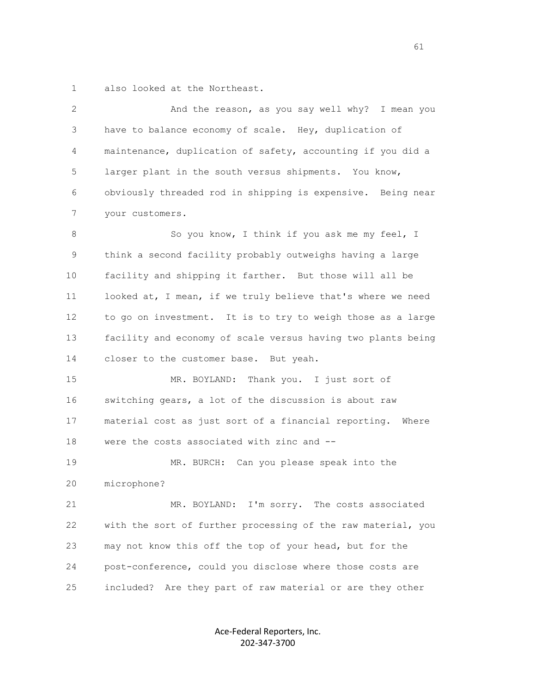1 also looked at the Northeast.

 2 And the reason, as you say well why? I mean you 3 have to balance economy of scale. Hey, duplication of 4 maintenance, duplication of safety, accounting if you did a 5 larger plant in the south versus shipments. You know, 6 obviously threaded rod in shipping is expensive. Being near 7 your customers. 8 So you know, I think if you ask me my feel, I 9 think a second facility probably outweighs having a large 10 facility and shipping it farther. But those will all be

 11 looked at, I mean, if we truly believe that's where we need 12 to go on investment. It is to try to weigh those as a large 13 facility and economy of scale versus having two plants being 14 closer to the customer base. But yeah.

 15 MR. BOYLAND: Thank you. I just sort of 16 switching gears, a lot of the discussion is about raw 17 material cost as just sort of a financial reporting. Where 18 were the costs associated with zinc and --

 19 MR. BURCH: Can you please speak into the 20 microphone?

 21 MR. BOYLAND: I'm sorry. The costs associated 22 with the sort of further processing of the raw material, you 23 may not know this off the top of your head, but for the 24 post-conference, could you disclose where those costs are 25 included? Are they part of raw material or are they other

> Ace-Federal Reporters, Inc. 202-347-3700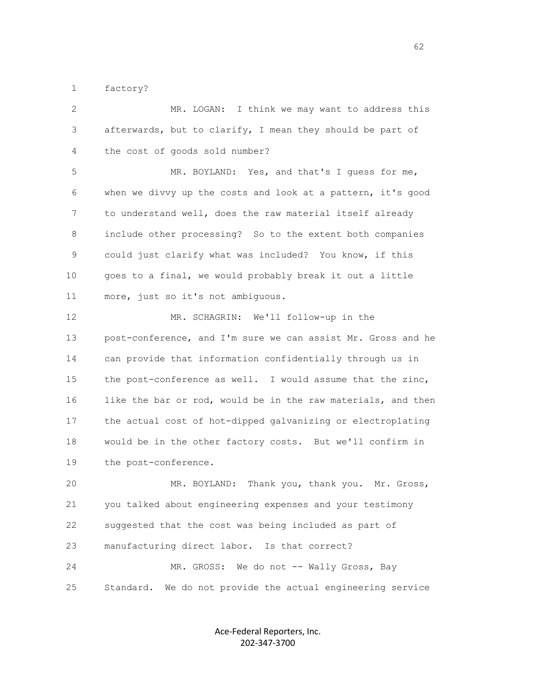1 factory?

 2 MR. LOGAN: I think we may want to address this 3 afterwards, but to clarify, I mean they should be part of 4 the cost of goods sold number?

 5 MR. BOYLAND: Yes, and that's I guess for me, 6 when we divvy up the costs and look at a pattern, it's good 7 to understand well, does the raw material itself already 8 include other processing? So to the extent both companies 9 could just clarify what was included? You know, if this 10 goes to a final, we would probably break it out a little 11 more, just so it's not ambiguous.

 12 MR. SCHAGRIN: We'll follow-up in the 13 post-conference, and I'm sure we can assist Mr. Gross and he 14 can provide that information confidentially through us in 15 the post-conference as well. I would assume that the zinc, 16 like the bar or rod, would be in the raw materials, and then 17 the actual cost of hot-dipped galvanizing or electroplating 18 would be in the other factory costs. But we'll confirm in 19 the post-conference.

 20 MR. BOYLAND: Thank you, thank you. Mr. Gross, 21 you talked about engineering expenses and your testimony 22 suggested that the cost was being included as part of 23 manufacturing direct labor. Is that correct? 24 MR. GROSS: We do not -- Wally Gross, Bay 25 Standard. We do not provide the actual engineering service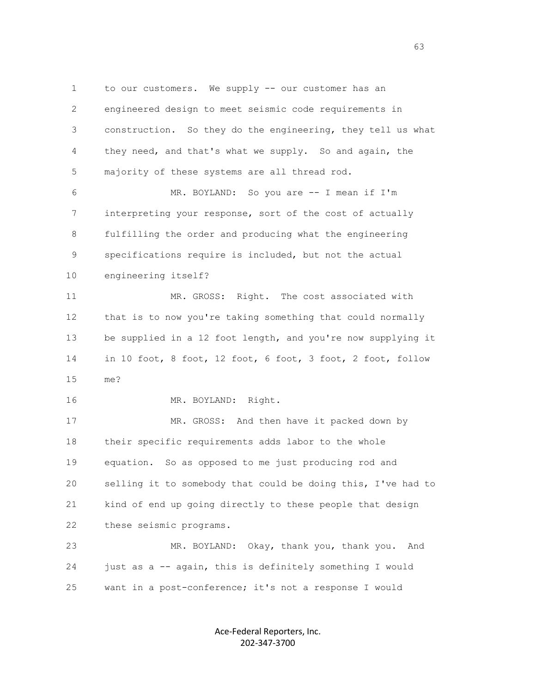1 to our customers. We supply -- our customer has an 2 engineered design to meet seismic code requirements in 3 construction. So they do the engineering, they tell us what 4 they need, and that's what we supply. So and again, the 5 majority of these systems are all thread rod. 6 MR. BOYLAND: So you are -- I mean if I'm 7 interpreting your response, sort of the cost of actually 8 fulfilling the order and producing what the engineering

 9 specifications require is included, but not the actual 10 engineering itself?

 11 MR. GROSS: Right. The cost associated with 12 that is to now you're taking something that could normally 13 be supplied in a 12 foot length, and you're now supplying it 14 in 10 foot, 8 foot, 12 foot, 6 foot, 3 foot, 2 foot, follow 15 me?

16 MR. BOYLAND: Right.

17 MR. GROSS: And then have it packed down by 18 their specific requirements adds labor to the whole 19 equation. So as opposed to me just producing rod and 20 selling it to somebody that could be doing this, I've had to 21 kind of end up going directly to these people that design 22 these seismic programs.

 23 MR. BOYLAND: Okay, thank you, thank you. And 24 just as a -- again, this is definitely something I would 25 want in a post-conference; it's not a response I would

> Ace-Federal Reporters, Inc. 202-347-3700

 $\sim$  63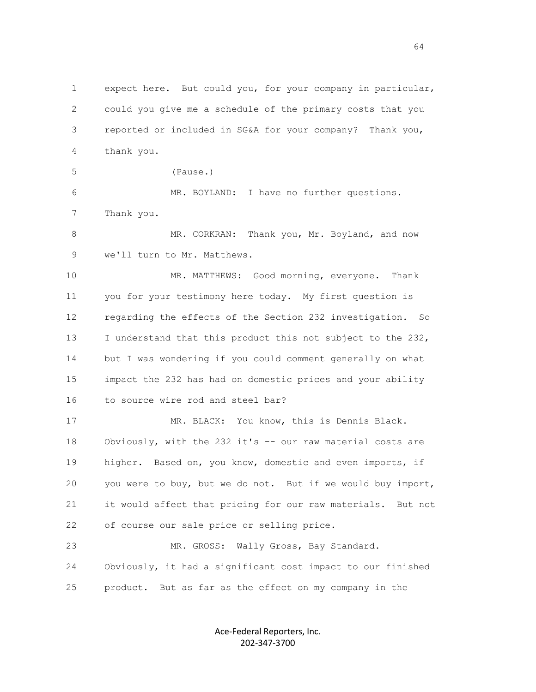1 expect here. But could you, for your company in particular, 2 could you give me a schedule of the primary costs that you 3 reported or included in SG&A for your company? Thank you, 4 thank you.

5 (Pause.)

 6 MR. BOYLAND: I have no further questions. 7 Thank you.

 8 MR. CORKRAN: Thank you, Mr. Boyland, and now 9 we'll turn to Mr. Matthews.

 10 MR. MATTHEWS: Good morning, everyone. Thank 11 you for your testimony here today. My first question is 12 regarding the effects of the Section 232 investigation. So 13 I understand that this product this not subject to the 232, 14 but I was wondering if you could comment generally on what 15 impact the 232 has had on domestic prices and your ability 16 to source wire rod and steel bar?

 17 MR. BLACK: You know, this is Dennis Black. 18 Obviously, with the 232 it's -- our raw material costs are 19 higher. Based on, you know, domestic and even imports, if 20 you were to buy, but we do not. But if we would buy import, 21 it would affect that pricing for our raw materials. But not 22 of course our sale price or selling price.

23 MR. GROSS: Wally Gross, Bay Standard. 24 Obviously, it had a significant cost impact to our finished 25 product. But as far as the effect on my company in the

> Ace-Federal Reporters, Inc. 202-347-3700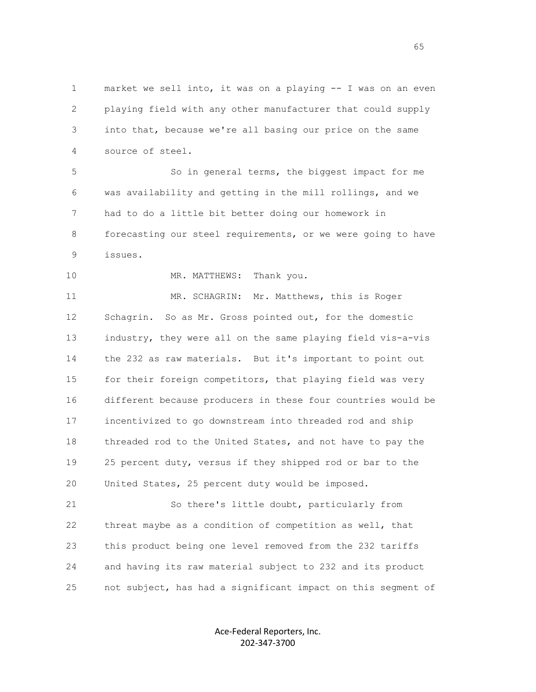1 market we sell into, it was on a playing -- I was on an even 2 playing field with any other manufacturer that could supply 3 into that, because we're all basing our price on the same 4 source of steel.

 5 So in general terms, the biggest impact for me 6 was availability and getting in the mill rollings, and we 7 had to do a little bit better doing our homework in 8 forecasting our steel requirements, or we were going to have 9 issues.

10 MR. MATTHEWS: Thank you.

11 MR. SCHAGRIN: Mr. Matthews, this is Roger 12 Schagrin. So as Mr. Gross pointed out, for the domestic 13 industry, they were all on the same playing field vis-a-vis 14 the 232 as raw materials. But it's important to point out 15 for their foreign competitors, that playing field was very 16 different because producers in these four countries would be 17 incentivized to go downstream into threaded rod and ship 18 threaded rod to the United States, and not have to pay the 19 25 percent duty, versus if they shipped rod or bar to the 20 United States, 25 percent duty would be imposed.

 21 So there's little doubt, particularly from 22 threat maybe as a condition of competition as well, that 23 this product being one level removed from the 232 tariffs 24 and having its raw material subject to 232 and its product 25 not subject, has had a significant impact on this segment of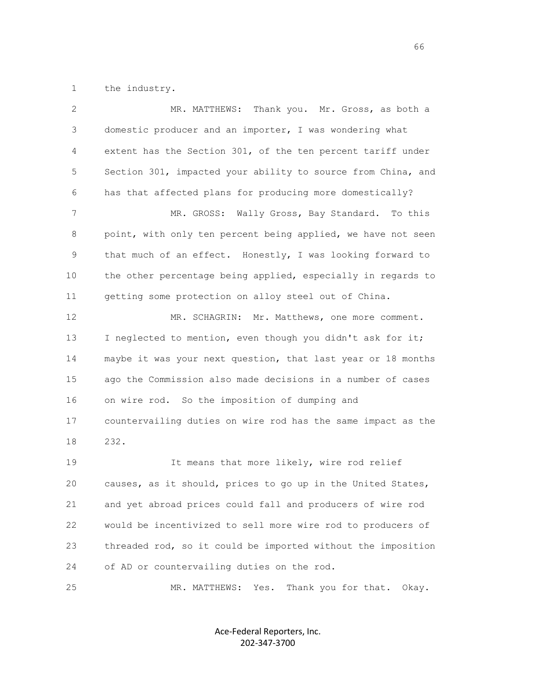1 the industry.

| 2  | MR. MATTHEWS: Thank you. Mr. Gross, as both a                |
|----|--------------------------------------------------------------|
| 3  | domestic producer and an importer, I was wondering what      |
| 4  | extent has the Section 301, of the ten percent tariff under  |
| 5  | Section 301, impacted your ability to source from China, and |
| 6  | has that affected plans for producing more domestically?     |
| 7  | Wally Gross, Bay Standard. To this<br>MR. GROSS:             |
| 8  | point, with only ten percent being applied, we have not seen |
| 9  | that much of an effect. Honestly, I was looking forward to   |
| 10 | the other percentage being applied, especially in regards to |
| 11 | getting some protection on alloy steel out of China.         |
| 12 | MR. SCHAGRIN: Mr. Matthews, one more comment.                |
| 13 | I neglected to mention, even though you didn't ask for it;   |
| 14 | maybe it was your next question, that last year or 18 months |
| 15 | ago the Commission also made decisions in a number of cases  |
| 16 | on wire rod. So the imposition of dumping and                |
| 17 | countervailing duties on wire rod has the same impact as the |
| 18 | 232.                                                         |
| 19 | It means that more likely, wire rod relief                   |
| 20 | causes, as it should, prices to go up in the United States,  |
| 21 | and yet abroad prices could fall and producers of wire rod   |
| 22 | would be incentivized to sell more wire rod to producers of  |
| 23 | threaded rod, so it could be imported without the imposition |
| 24 | of AD or countervailing duties on the rod.                   |
| 25 | Thank you for that. Okay.<br>MR. MATTHEWS:<br>Yes.           |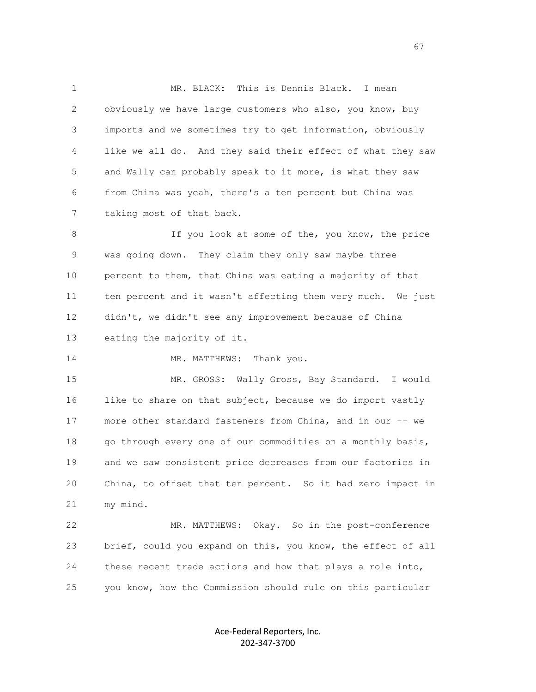1 MR. BLACK: This is Dennis Black. I mean 2 obviously we have large customers who also, you know, buy 3 imports and we sometimes try to get information, obviously 4 like we all do. And they said their effect of what they saw 5 and Wally can probably speak to it more, is what they saw 6 from China was yeah, there's a ten percent but China was 7 taking most of that back.

 8 If you look at some of the, you know, the price 9 was going down. They claim they only saw maybe three 10 percent to them, that China was eating a majority of that 11 ten percent and it wasn't affecting them very much. We just 12 didn't, we didn't see any improvement because of China 13 eating the majority of it.

14 MR. MATTHEWS: Thank you.

 15 MR. GROSS: Wally Gross, Bay Standard. I would 16 like to share on that subject, because we do import vastly 17 more other standard fasteners from China, and in our -- we 18 go through every one of our commodities on a monthly basis, 19 and we saw consistent price decreases from our factories in 20 China, to offset that ten percent. So it had zero impact in 21 my mind.

 22 MR. MATTHEWS: Okay. So in the post-conference 23 brief, could you expand on this, you know, the effect of all 24 these recent trade actions and how that plays a role into, 25 you know, how the Commission should rule on this particular

> Ace-Federal Reporters, Inc. 202-347-3700

 $\sim$  67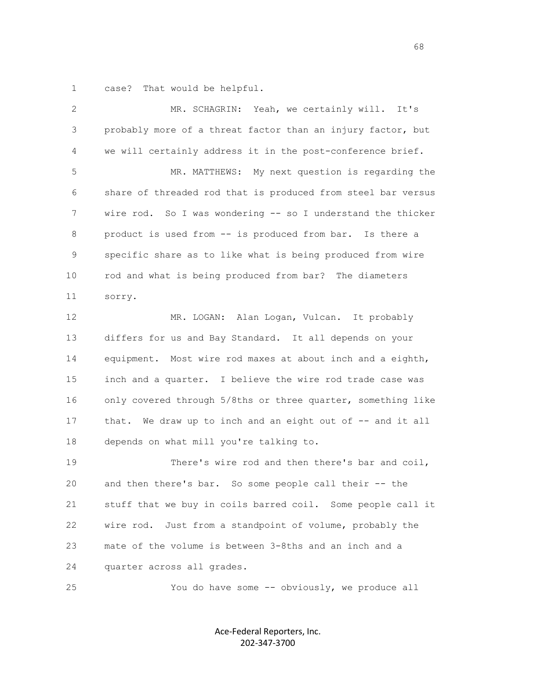1 case? That would be helpful.

| 2  | MR. SCHAGRIN: Yeah, we certainly will. It's                  |
|----|--------------------------------------------------------------|
| 3  | probably more of a threat factor than an injury factor, but  |
| 4  | we will certainly address it in the post-conference brief.   |
| 5  | MR. MATTHEWS: My next question is regarding the              |
| 6  | share of threaded rod that is produced from steel bar versus |
| 7  | wire rod. So I was wondering -- so I understand the thicker  |
| 8  | product is used from -- is produced from bar. Is there a     |
| 9  | specific share as to like what is being produced from wire   |
| 10 | rod and what is being produced from bar? The diameters       |
| 11 | sorry.                                                       |
| 12 | MR. LOGAN: Alan Logan, Vulcan. It probably                   |
| 13 | differs for us and Bay Standard. It all depends on your      |
| 14 | equipment. Most wire rod maxes at about inch and a eighth,   |
| 15 | inch and a quarter. I believe the wire rod trade case was    |
| 16 | only covered through 5/8ths or three quarter, something like |
| 17 | that. We draw up to inch and an eight out of -- and it all   |
| 18 | depends on what mill you're talking to.                      |
| 19 | There's wire rod and then there's bar and coil,              |
| 20 | and then there's bar. So some people call their -- the       |
| 21 | stuff that we buy in coils barred coil. Some people call it  |
| 22 | Just from a standpoint of volume, probably the<br>wire rod.  |
| 23 | mate of the volume is between 3-8ths and an inch and a       |
| 24 | quarter across all grades.                                   |
| 25 | You do have some -- obviously, we produce all                |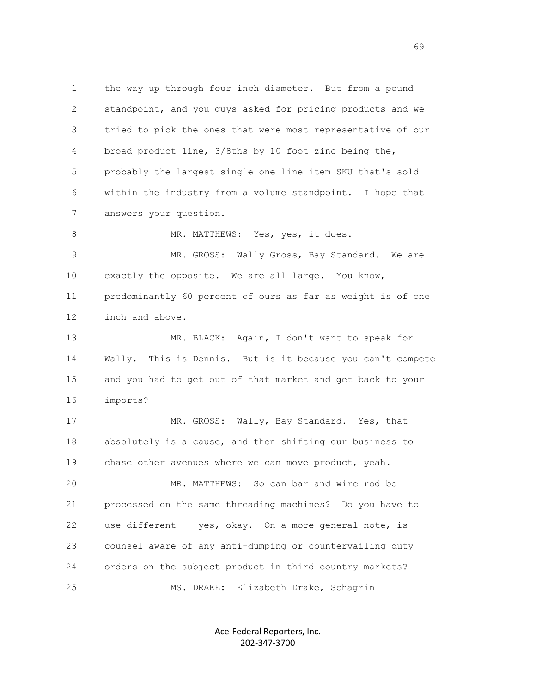1 the way up through four inch diameter. But from a pound 2 standpoint, and you guys asked for pricing products and we 3 tried to pick the ones that were most representative of our 4 broad product line, 3/8ths by 10 foot zinc being the, 5 probably the largest single one line item SKU that's sold 6 within the industry from a volume standpoint. I hope that 7 answers your question. 8 MR. MATTHEWS: Yes, yes, it does.

9 MR. GROSS: Wally Gross, Bay Standard. We are 10 exactly the opposite. We are all large. You know, 11 predominantly 60 percent of ours as far as weight is of one 12 inch and above.

 13 MR. BLACK: Again, I don't want to speak for 14 Wally. This is Dennis. But is it because you can't compete 15 and you had to get out of that market and get back to your 16 imports?

17 MR. GROSS: Wally, Bay Standard. Yes, that 18 absolutely is a cause, and then shifting our business to 19 chase other avenues where we can move product, yeah.

 20 MR. MATTHEWS: So can bar and wire rod be 21 processed on the same threading machines? Do you have to 22 use different -- yes, okay. On a more general note, is 23 counsel aware of any anti-dumping or countervailing duty 24 orders on the subject product in third country markets? 25 MS. DRAKE: Elizabeth Drake, Schagrin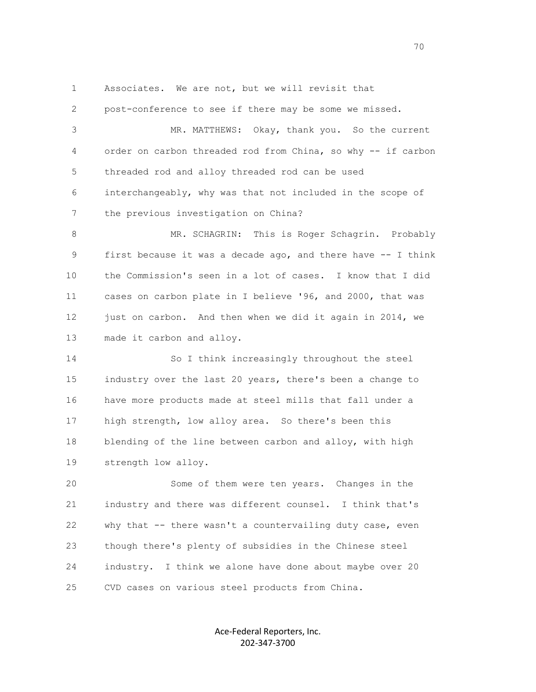1 Associates. We are not, but we will revisit that

 2 post-conference to see if there may be some we missed. 3 MR. MATTHEWS: Okay, thank you. So the current 4 order on carbon threaded rod from China, so why -- if carbon 5 threaded rod and alloy threaded rod can be used 6 interchangeably, why was that not included in the scope of 7 the previous investigation on China? 8 MR. SCHAGRIN: This is Roger Schagrin. Probably

 9 first because it was a decade ago, and there have -- I think 10 the Commission's seen in a lot of cases. I know that I did 11 cases on carbon plate in I believe '96, and 2000, that was 12 just on carbon. And then when we did it again in 2014, we 13 made it carbon and alloy.

 14 So I think increasingly throughout the steel 15 industry over the last 20 years, there's been a change to 16 have more products made at steel mills that fall under a 17 high strength, low alloy area. So there's been this 18 blending of the line between carbon and alloy, with high 19 strength low alloy.

 20 Some of them were ten years. Changes in the 21 industry and there was different counsel. I think that's 22 why that -- there wasn't a countervailing duty case, even 23 though there's plenty of subsidies in the Chinese steel 24 industry. I think we alone have done about maybe over 20 25 CVD cases on various steel products from China.

> Ace-Federal Reporters, Inc. 202-347-3700

not a construct the contract of the construction of the construction of the construction of the construction of the construction of the construction of the construction of the construction of the construction of the constr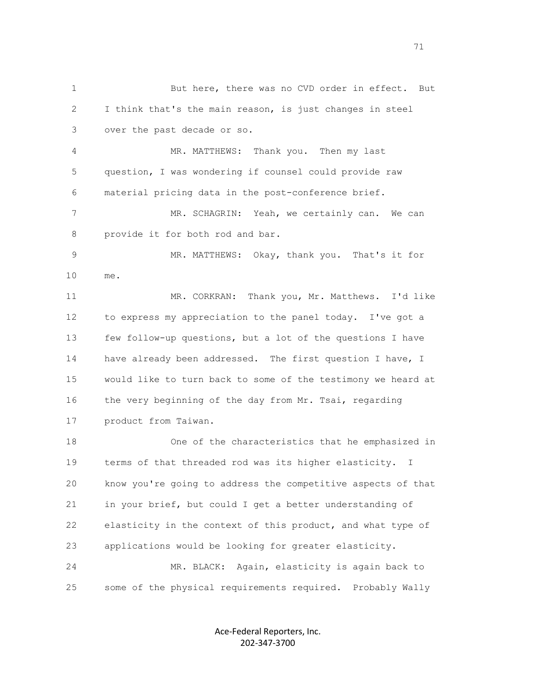1 But here, there was no CVD order in effect. But 2 I think that's the main reason, is just changes in steel 3 over the past decade or so. 4 MR. MATTHEWS: Thank you. Then my last 5 question, I was wondering if counsel could provide raw 6 material pricing data in the post-conference brief. 7 MR. SCHAGRIN: Yeah, we certainly can. We can 8 provide it for both rod and bar. 9 MR. MATTHEWS: Okay, thank you. That's it for 10 me. 11 MR. CORKRAN: Thank you, Mr. Matthews. I'd like 12 to express my appreciation to the panel today. I've got a 13 few follow-up questions, but a lot of the questions I have 14 have already been addressed. The first question I have, I 15 would like to turn back to some of the testimony we heard at 16 the very beginning of the day from Mr. Tsai, regarding 17 product from Taiwan. 18 One of the characteristics that he emphasized in 19 terms of that threaded rod was its higher elasticity. I 20 know you're going to address the competitive aspects of that 21 in your brief, but could I get a better understanding of 22 elasticity in the context of this product, and what type of 23 applications would be looking for greater elasticity. 24 MR. BLACK: Again, elasticity is again back to 25 some of the physical requirements required. Probably Wally

> Ace-Federal Reporters, Inc. 202-347-3700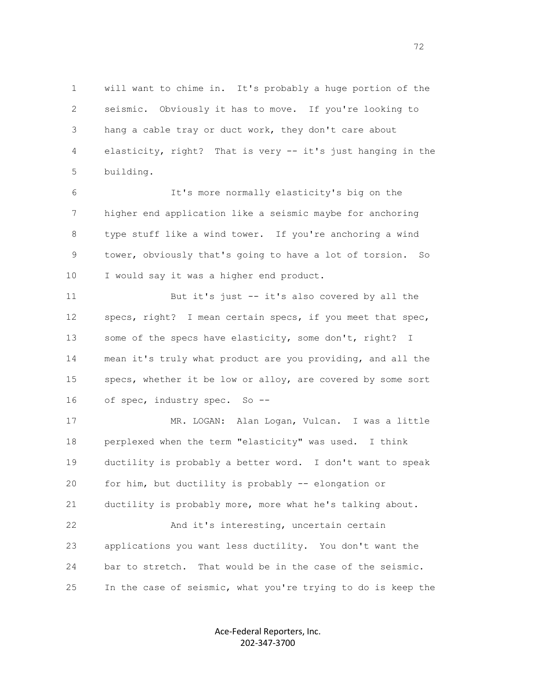1 will want to chime in. It's probably a huge portion of the 2 seismic. Obviously it has to move. If you're looking to 3 hang a cable tray or duct work, they don't care about 4 elasticity, right? That is very -- it's just hanging in the 5 building.

 6 It's more normally elasticity's big on the 7 higher end application like a seismic maybe for anchoring 8 type stuff like a wind tower. If you're anchoring a wind 9 tower, obviously that's going to have a lot of torsion. So 10 I would say it was a higher end product.

 11 But it's just -- it's also covered by all the 12 specs, right? I mean certain specs, if you meet that spec, 13 some of the specs have elasticity, some don't, right? I 14 mean it's truly what product are you providing, and all the 15 specs, whether it be low or alloy, are covered by some sort 16 of spec, industry spec. So --

 17 MR. LOGAN: Alan Logan, Vulcan. I was a little 18 perplexed when the term "elasticity" was used. I think 19 ductility is probably a better word. I don't want to speak 20 for him, but ductility is probably -- elongation or 21 ductility is probably more, more what he's talking about. 22 And it's interesting, uncertain certain 23 applications you want less ductility. You don't want the 24 bar to stretch. That would be in the case of the seismic. 25 In the case of seismic, what you're trying to do is keep the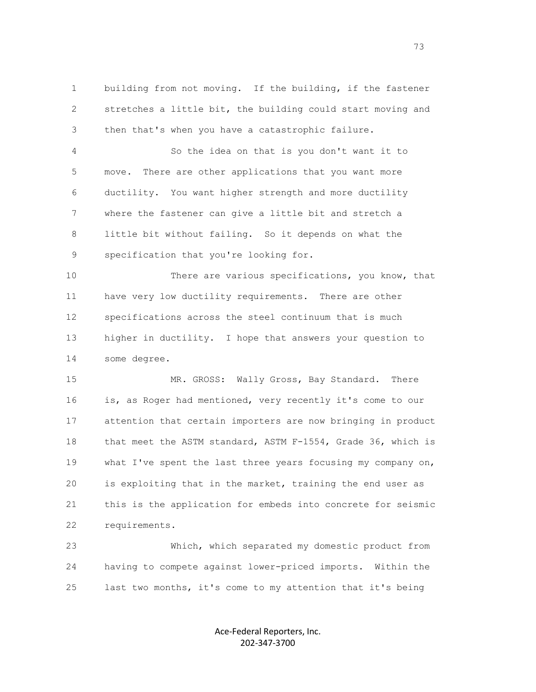1 building from not moving. If the building, if the fastener 2 stretches a little bit, the building could start moving and 3 then that's when you have a catastrophic failure.

 4 So the idea on that is you don't want it to 5 move. There are other applications that you want more 6 ductility. You want higher strength and more ductility 7 where the fastener can give a little bit and stretch a 8 little bit without failing. So it depends on what the 9 specification that you're looking for.

 10 There are various specifications, you know, that 11 have very low ductility requirements. There are other 12 specifications across the steel continuum that is much 13 higher in ductility. I hope that answers your question to 14 some degree.

15 MR. GROSS: Wally Gross, Bay Standard. There 16 is, as Roger had mentioned, very recently it's come to our 17 attention that certain importers are now bringing in product 18 that meet the ASTM standard, ASTM F-1554, Grade 36, which is 19 what I've spent the last three years focusing my company on, 20 is exploiting that in the market, training the end user as 21 this is the application for embeds into concrete for seismic 22 requirements.

 23 Which, which separated my domestic product from 24 having to compete against lower-priced imports. Within the 25 last two months, it's come to my attention that it's being

> Ace-Federal Reporters, Inc. 202-347-3700

<u>73</u>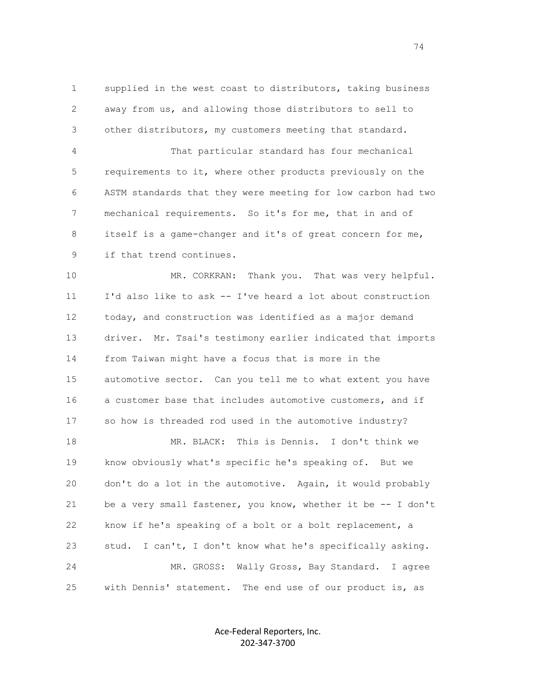1 supplied in the west coast to distributors, taking business 2 away from us, and allowing those distributors to sell to 3 other distributors, my customers meeting that standard.

 4 That particular standard has four mechanical 5 requirements to it, where other products previously on the 6 ASTM standards that they were meeting for low carbon had two 7 mechanical requirements. So it's for me, that in and of 8 itself is a game-changer and it's of great concern for me, 9 if that trend continues.

 10 MR. CORKRAN: Thank you. That was very helpful. 11 I'd also like to ask -- I've heard a lot about construction 12 today, and construction was identified as a major demand 13 driver. Mr. Tsai's testimony earlier indicated that imports 14 from Taiwan might have a focus that is more in the 15 automotive sector. Can you tell me to what extent you have 16 a customer base that includes automotive customers, and if 17 so how is threaded rod used in the automotive industry?

 18 MR. BLACK: This is Dennis. I don't think we 19 know obviously what's specific he's speaking of. But we 20 don't do a lot in the automotive. Again, it would probably 21 be a very small fastener, you know, whether it be -- I don't 22 know if he's speaking of a bolt or a bolt replacement, a 23 stud. I can't, I don't know what he's specifically asking. 24 MR. GROSS: Wally Gross, Bay Standard. I agree 25 with Dennis' statement. The end use of our product is, as

> Ace-Federal Reporters, Inc. 202-347-3700

74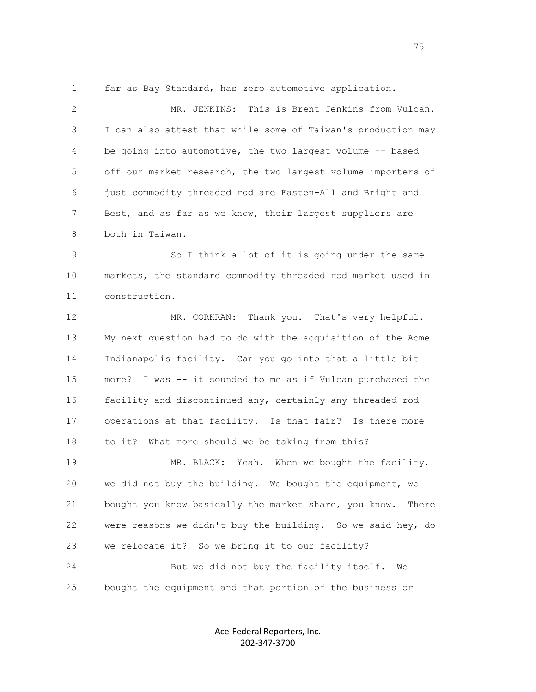1 far as Bay Standard, has zero automotive application.

 2 MR. JENKINS: This is Brent Jenkins from Vulcan. 3 I can also attest that while some of Taiwan's production may 4 be going into automotive, the two largest volume -- based 5 off our market research, the two largest volume importers of 6 just commodity threaded rod are Fasten-All and Bright and 7 Best, and as far as we know, their largest suppliers are 8 both in Taiwan.

 9 So I think a lot of it is going under the same 10 markets, the standard commodity threaded rod market used in 11 construction.

12 MR. CORKRAN: Thank you. That's very helpful. 13 My next question had to do with the acquisition of the Acme 14 Indianapolis facility. Can you go into that a little bit 15 more? I was -- it sounded to me as if Vulcan purchased the 16 facility and discontinued any, certainly any threaded rod 17 operations at that facility. Is that fair? Is there more 18 to it? What more should we be taking from this? 19 MR. BLACK: Yeah. When we bought the facility, 20 we did not buy the building. We bought the equipment, we 21 bought you know basically the market share, you know. There 22 were reasons we didn't buy the building. So we said hey, do 23 we relocate it? So we bring it to our facility? 24 But we did not buy the facility itself. We 25 bought the equipment and that portion of the business or

> Ace-Federal Reporters, Inc. 202-347-3700

na matsayan na katalog as na kasang na mga 1952. Ang isang mga 1952 na mga 1968 na mga 1968 na mga 1968 na mga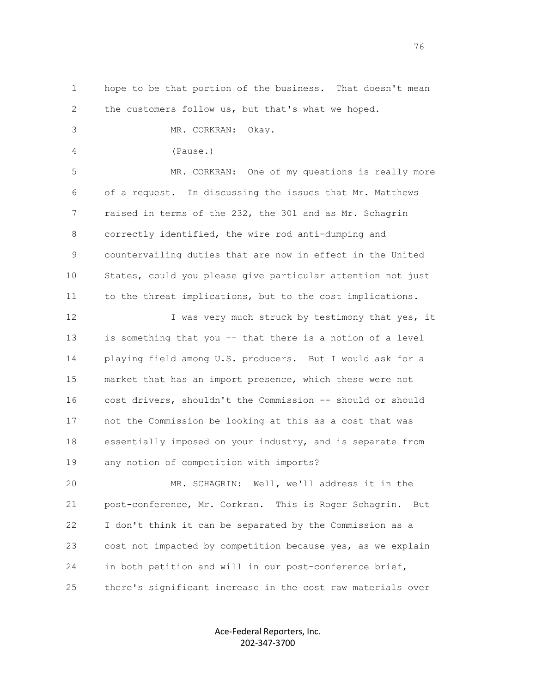1 hope to be that portion of the business. That doesn't mean 2 the customers follow us, but that's what we hoped. 3 MR. CORKRAN: Okay. 4 (Pause.) 5 MR. CORKRAN: One of my questions is really more 6 of a request. In discussing the issues that Mr. Matthews 7 raised in terms of the 232, the 301 and as Mr. Schagrin 8 correctly identified, the wire rod anti-dumping and 9 countervailing duties that are now in effect in the United 10 States, could you please give particular attention not just 11 to the threat implications, but to the cost implications. 12 I was very much struck by testimony that yes, it 13 is something that you -- that there is a notion of a level 14 playing field among U.S. producers. But I would ask for a 15 market that has an import presence, which these were not 16 cost drivers, shouldn't the Commission -- should or should 17 not the Commission be looking at this as a cost that was 18 essentially imposed on your industry, and is separate from 19 any notion of competition with imports? 20 MR. SCHAGRIN: Well, we'll address it in the 21 post-conference, Mr. Corkran. This is Roger Schagrin. But 22 I don't think it can be separated by the Commission as a 23 cost not impacted by competition because yes, as we explain 24 in both petition and will in our post-conference brief,

25 there's significant increase in the cost raw materials over

Ace-Federal Reporters, Inc. 202-347-3700

76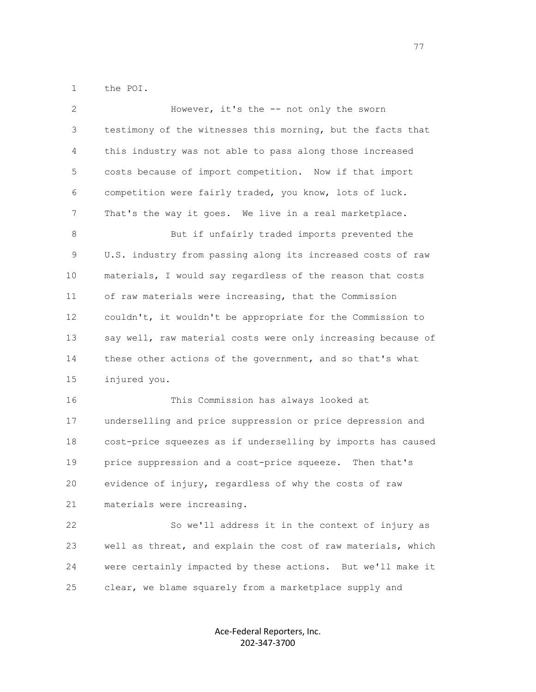1 the POI.

| $\mathbf{2}$ | However, it's the -- not only the sworn                      |
|--------------|--------------------------------------------------------------|
| 3            | testimony of the witnesses this morning, but the facts that  |
| 4            | this industry was not able to pass along those increased     |
| 5            | costs because of import competition. Now if that import      |
| 6            | competition were fairly traded, you know, lots of luck.      |
| 7            | That's the way it goes. We live in a real marketplace.       |
| 8            | But if unfairly traded imports prevented the                 |
| 9            | U.S. industry from passing along its increased costs of raw  |
| 10           | materials, I would say regardless of the reason that costs   |
| 11           | of raw materials were increasing, that the Commission        |
| 12           | couldn't, it wouldn't be appropriate for the Commission to   |
| 13           | say well, raw material costs were only increasing because of |
| 14           | these other actions of the government, and so that's what    |
| 15           | injured you.                                                 |
| 16           | This Commission has always looked at                         |
| 17           | underselling and price suppression or price depression and   |
| 18           | cost-price squeezes as if underselling by imports has caused |
| 19           | price suppression and a cost-price squeeze. Then that's      |
| 20           | evidence of injury, regardless of why the costs of raw       |
| 21           | materials were increasing.                                   |
| 22           | So we'll address it in the context of injury as              |
| 23           | well as threat, and explain the cost of raw materials, which |
| 24           | were certainly impacted by these actions. But we'll make it  |
| 25           | clear, we blame squarely from a marketplace supply and       |

Ace-Federal Reporters, Inc. 202-347-3700

ли последници представите се представите на селото на 1977 година, се представите се представите на 1977 годин<br>В 1972 година од селото на 1972 година од селото на 1972 година, селото на 1972 година, селото на 1972 година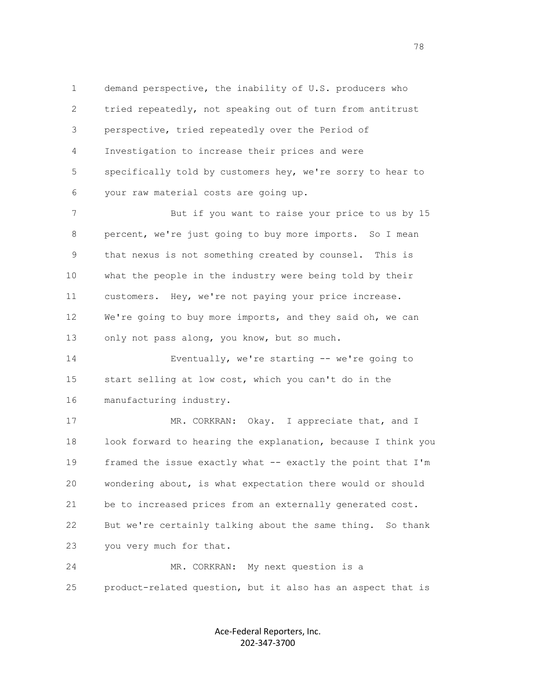1 demand perspective, the inability of U.S. producers who 2 tried repeatedly, not speaking out of turn from antitrust 3 perspective, tried repeatedly over the Period of 4 Investigation to increase their prices and were 5 specifically told by customers hey, we're sorry to hear to 6 your raw material costs are going up.

 7 But if you want to raise your price to us by 15 8 percent, we're just going to buy more imports. So I mean 9 that nexus is not something created by counsel. This is 10 what the people in the industry were being told by their 11 customers. Hey, we're not paying your price increase. 12 We're going to buy more imports, and they said oh, we can 13 only not pass along, you know, but so much.

 14 Eventually, we're starting -- we're going to 15 start selling at low cost, which you can't do in the 16 manufacturing industry.

17 MR. CORKRAN: Okay. I appreciate that, and I 18 look forward to hearing the explanation, because I think you 19 framed the issue exactly what -- exactly the point that I'm 20 wondering about, is what expectation there would or should 21 be to increased prices from an externally generated cost. 22 But we're certainly talking about the same thing. So thank 23 you very much for that.

 24 MR. CORKRAN: My next question is a 25 product-related question, but it also has an aspect that is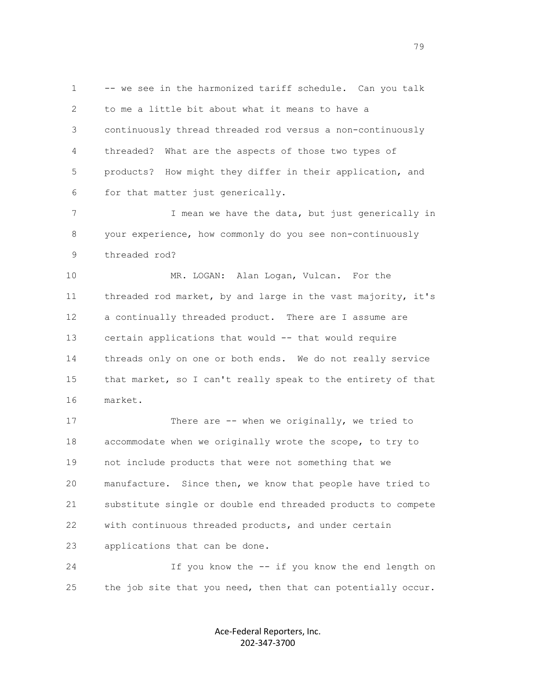1 -- we see in the harmonized tariff schedule. Can you talk 2 to me a little bit about what it means to have a 3 continuously thread threaded rod versus a non-continuously 4 threaded? What are the aspects of those two types of 5 products? How might they differ in their application, and 6 for that matter just generically.

7 T mean we have the data, but just generically in 8 your experience, how commonly do you see non-continuously 9 threaded rod?

 10 MR. LOGAN: Alan Logan, Vulcan. For the 11 threaded rod market, by and large in the vast majority, it's 12 a continually threaded product. There are I assume are 13 certain applications that would -- that would require 14 threads only on one or both ends. We do not really service 15 that market, so I can't really speak to the entirety of that 16 market.

17 There are -- when we originally, we tried to 18 accommodate when we originally wrote the scope, to try to 19 not include products that were not something that we 20 manufacture. Since then, we know that people have tried to 21 substitute single or double end threaded products to compete 22 with continuous threaded products, and under certain 23 applications that can be done.

 24 If you know the -- if you know the end length on 25 the job site that you need, then that can potentially occur.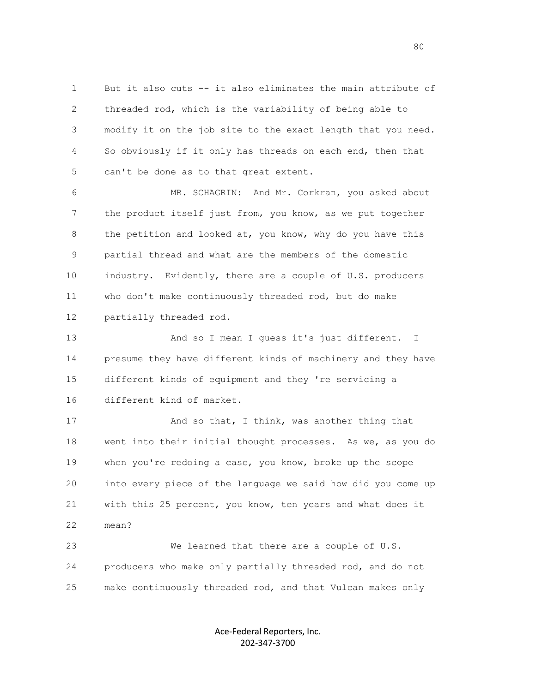1 But it also cuts -- it also eliminates the main attribute of 2 threaded rod, which is the variability of being able to 3 modify it on the job site to the exact length that you need. 4 So obviously if it only has threads on each end, then that 5 can't be done as to that great extent.

 6 MR. SCHAGRIN: And Mr. Corkran, you asked about 7 the product itself just from, you know, as we put together 8 the petition and looked at, you know, why do you have this 9 partial thread and what are the members of the domestic 10 industry. Evidently, there are a couple of U.S. producers 11 who don't make continuously threaded rod, but do make 12 partially threaded rod.

13 And so I mean I quess it's just different. I 14 presume they have different kinds of machinery and they have 15 different kinds of equipment and they 're servicing a 16 different kind of market.

17 And so that, I think, was another thing that 18 went into their initial thought processes. As we, as you do 19 when you're redoing a case, you know, broke up the scope 20 into every piece of the language we said how did you come up 21 with this 25 percent, you know, ten years and what does it 22 mean?

 23 We learned that there are a couple of U.S. 24 producers who make only partially threaded rod, and do not 25 make continuously threaded rod, and that Vulcan makes only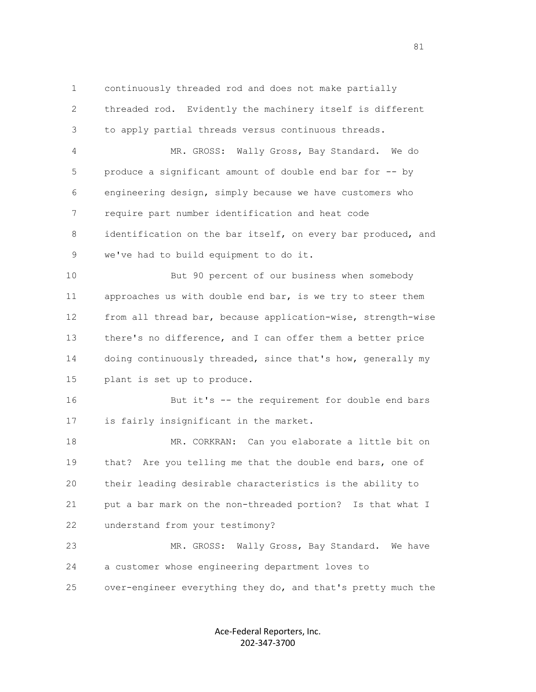1 continuously threaded rod and does not make partially 2 threaded rod. Evidently the machinery itself is different 3 to apply partial threads versus continuous threads.

 4 MR. GROSS: Wally Gross, Bay Standard. We do 5 produce a significant amount of double end bar for -- by 6 engineering design, simply because we have customers who 7 require part number identification and heat code 8 identification on the bar itself, on every bar produced, and 9 we've had to build equipment to do it.

 10 But 90 percent of our business when somebody 11 approaches us with double end bar, is we try to steer them 12 from all thread bar, because application-wise, strength-wise 13 there's no difference, and I can offer them a better price 14 doing continuously threaded, since that's how, generally my 15 plant is set up to produce.

 16 But it's -- the requirement for double end bars 17 is fairly insignificant in the market.

 18 MR. CORKRAN: Can you elaborate a little bit on 19 that? Are you telling me that the double end bars, one of 20 their leading desirable characteristics is the ability to 21 put a bar mark on the non-threaded portion? Is that what I 22 understand from your testimony?

23 MR. GROSS: Wally Gross, Bay Standard. We have 24 a customer whose engineering department loves to 25 over-engineer everything they do, and that's pretty much the

> Ace-Federal Reporters, Inc. 202-347-3700

81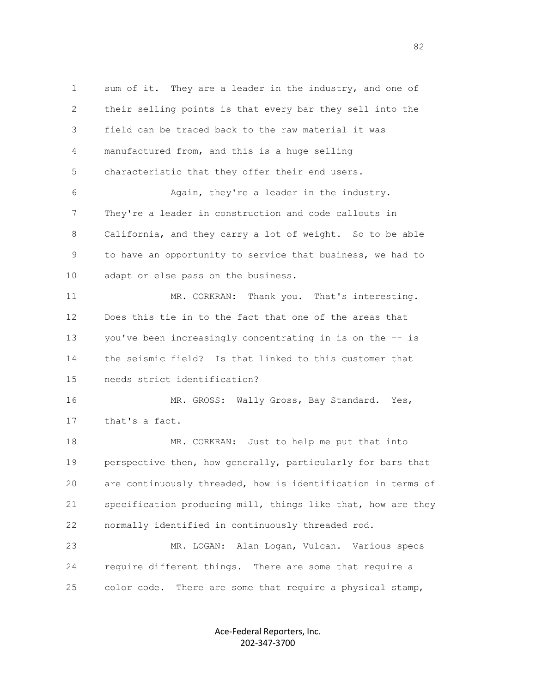1 sum of it. They are a leader in the industry, and one of 2 their selling points is that every bar they sell into the 3 field can be traced back to the raw material it was 4 manufactured from, and this is a huge selling 5 characteristic that they offer their end users. 6 Again, they're a leader in the industry. 7 They're a leader in construction and code callouts in 8 California, and they carry a lot of weight. So to be able 9 to have an opportunity to service that business, we had to 10 adapt or else pass on the business. 11 MR. CORKRAN: Thank you. That's interesting. 12 Does this tie in to the fact that one of the areas that 13 you've been increasingly concentrating in is on the -- is 14 the seismic field? Is that linked to this customer that 15 needs strict identification? 16 MR. GROSS: Wally Gross, Bay Standard. Yes, 17 that's a fact. 18 MR. CORKRAN: Just to help me put that into 19 perspective then, how generally, particularly for bars that 20 are continuously threaded, how is identification in terms of 21 specification producing mill, things like that, how are they 22 normally identified in continuously threaded rod. 23 MR. LOGAN: Alan Logan, Vulcan. Various specs 24 require different things. There are some that require a 25 color code. There are some that require a physical stamp,

> Ace-Federal Reporters, Inc. 202-347-3700

en and the state of the state of the state of the state of the state of the state of the state of the state of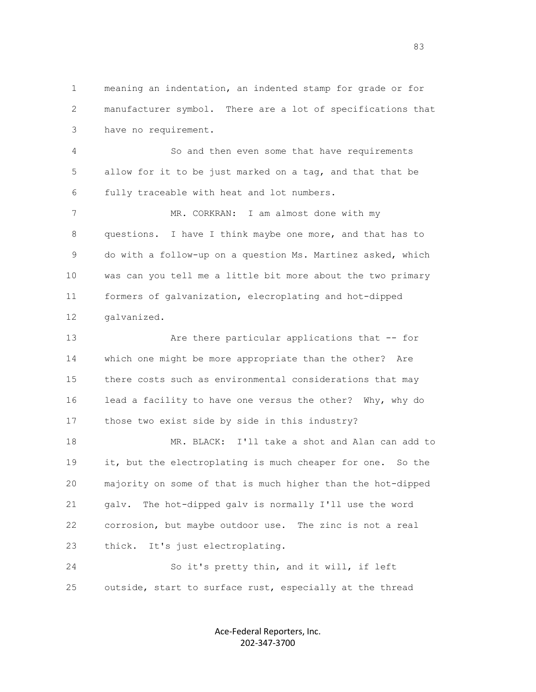1 meaning an indentation, an indented stamp for grade or for 2 manufacturer symbol. There are a lot of specifications that 3 have no requirement.

 4 So and then even some that have requirements 5 allow for it to be just marked on a tag, and that that be 6 fully traceable with heat and lot numbers.

 7 MR. CORKRAN: I am almost done with my 8 questions. I have I think maybe one more, and that has to 9 do with a follow-up on a question Ms. Martinez asked, which 10 was can you tell me a little bit more about the two primary 11 formers of galvanization, elecroplating and hot-dipped 12 galvanized.

 13 Are there particular applications that -- for 14 which one might be more appropriate than the other? Are 15 there costs such as environmental considerations that may 16 lead a facility to have one versus the other? Why, why do 17 those two exist side by side in this industry?

 18 MR. BLACK: I'll take a shot and Alan can add to 19 it, but the electroplating is much cheaper for one. So the 20 majority on some of that is much higher than the hot-dipped 21 galv. The hot-dipped galv is normally I'll use the word 22 corrosion, but maybe outdoor use. The zinc is not a real 23 thick. It's just electroplating.

 24 So it's pretty thin, and it will, if left 25 outside, start to surface rust, especially at the thread

> Ace-Federal Reporters, Inc. 202-347-3700

en andere de la constantin de la constantin de la constantin de la constantin de la constantin de la constanti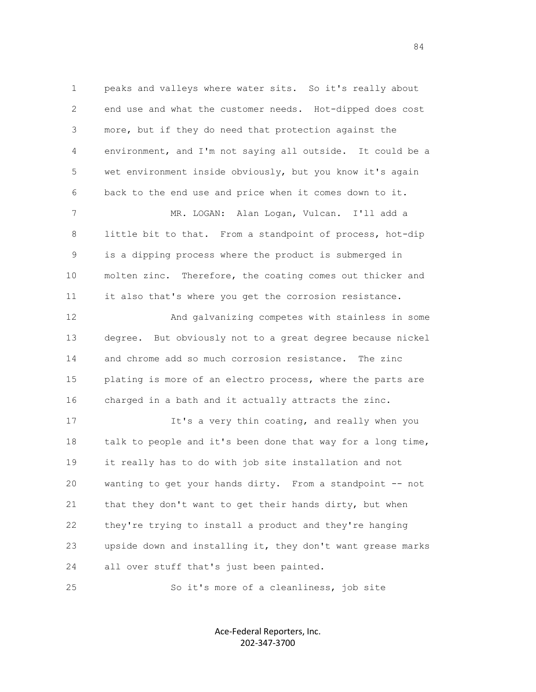1 peaks and valleys where water sits. So it's really about 2 end use and what the customer needs. Hot-dipped does cost 3 more, but if they do need that protection against the 4 environment, and I'm not saying all outside. It could be a 5 wet environment inside obviously, but you know it's again 6 back to the end use and price when it comes down to it. 7 MR. LOGAN: Alan Logan, Vulcan. I'll add a 8 little bit to that. From a standpoint of process, hot-dip 9 is a dipping process where the product is submerged in 10 molten zinc. Therefore, the coating comes out thicker and 11 it also that's where you get the corrosion resistance. 12 And galvanizing competes with stainless in some

 13 degree. But obviously not to a great degree because nickel 14 and chrome add so much corrosion resistance. The zinc 15 plating is more of an electro process, where the parts are 16 charged in a bath and it actually attracts the zinc.

 17 It's a very thin coating, and really when you 18 talk to people and it's been done that way for a long time, 19 it really has to do with job site installation and not 20 wanting to get your hands dirty. From a standpoint -- not 21 that they don't want to get their hands dirty, but when 22 they're trying to install a product and they're hanging 23 upside down and installing it, they don't want grease marks 24 all over stuff that's just been painted.

25 So it's more of a cleanliness, job site

Ace-Federal Reporters, Inc. 202-347-3700

84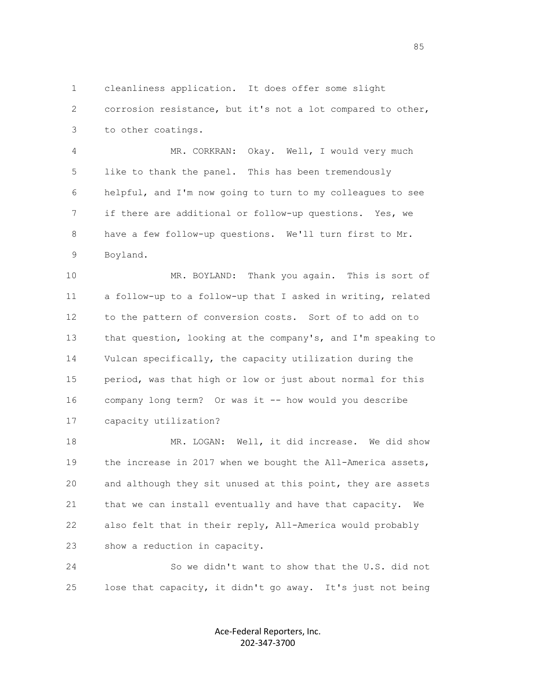1 cleanliness application. It does offer some slight 2 corrosion resistance, but it's not a lot compared to other, 3 to other coatings.

 4 MR. CORKRAN: Okay. Well, I would very much 5 like to thank the panel. This has been tremendously 6 helpful, and I'm now going to turn to my colleagues to see 7 if there are additional or follow-up questions. Yes, we 8 have a few follow-up questions. We'll turn first to Mr. 9 Boyland.

 10 MR. BOYLAND: Thank you again. This is sort of 11 a follow-up to a follow-up that I asked in writing, related 12 to the pattern of conversion costs. Sort of to add on to 13 that question, looking at the company's, and I'm speaking to 14 Vulcan specifically, the capacity utilization during the 15 period, was that high or low or just about normal for this 16 company long term? Or was it -- how would you describe 17 capacity utilization?

 18 MR. LOGAN: Well, it did increase. We did show 19 the increase in 2017 when we bought the All-America assets, 20 and although they sit unused at this point, they are assets 21 that we can install eventually and have that capacity. We 22 also felt that in their reply, All-America would probably 23 show a reduction in capacity.

 24 So we didn't want to show that the U.S. did not 25 lose that capacity, it didn't go away. It's just not being

> Ace-Federal Reporters, Inc. 202-347-3700

en de la construcción de la construcción de la construcción de la construcción de la construcción de la construcción de la construcción de la construcción de la construcción de la construcción de la construcción de la cons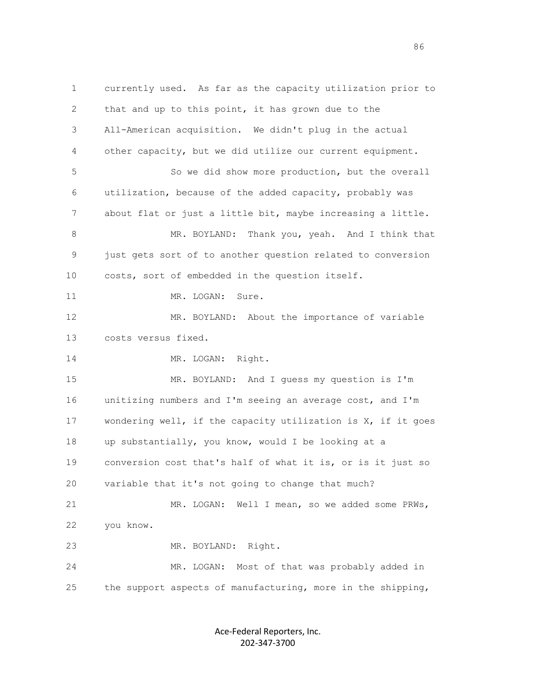1 currently used. As far as the capacity utilization prior to 2 that and up to this point, it has grown due to the 3 All-American acquisition. We didn't plug in the actual 4 other capacity, but we did utilize our current equipment. 5 So we did show more production, but the overall 6 utilization, because of the added capacity, probably was 7 about flat or just a little bit, maybe increasing a little. 8 MR. BOYLAND: Thank you, yeah. And I think that 9 just gets sort of to another question related to conversion 10 costs, sort of embedded in the question itself. 11 MR. LOGAN: Sure. 12 MR. BOYLAND: About the importance of variable 13 costs versus fixed. 14 MR. LOGAN: Right. 15 MR. BOYLAND: And I guess my question is I'm 16 unitizing numbers and I'm seeing an average cost, and I'm 17 wondering well, if the capacity utilization is X, if it goes 18 up substantially, you know, would I be looking at a 19 conversion cost that's half of what it is, or is it just so 20 variable that it's not going to change that much? 21 MR. LOGAN: Well I mean, so we added some PRWs, 22 you know. 23 MR. BOYLAND: Right. 24 MR. LOGAN: Most of that was probably added in 25 the support aspects of manufacturing, more in the shipping,

> Ace-Federal Reporters, Inc. 202-347-3700

en de la construcción de la construcción de la construcción de la construcción de la construcción de la construcción de la construcción de la construcción de la construcción de la construcción de la construcción de la cons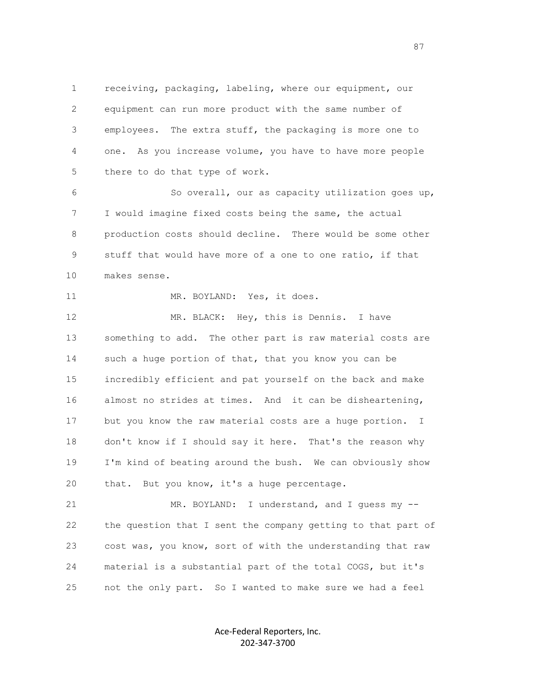1 receiving, packaging, labeling, where our equipment, our 2 equipment can run more product with the same number of 3 employees. The extra stuff, the packaging is more one to 4 one. As you increase volume, you have to have more people 5 there to do that type of work.

 6 So overall, our as capacity utilization goes up, 7 I would imagine fixed costs being the same, the actual 8 production costs should decline. There would be some other 9 stuff that would have more of a one to one ratio, if that 10 makes sense.

11 MR. BOYLAND: Yes, it does.

12 MR. BLACK: Hey, this is Dennis. I have 13 something to add. The other part is raw material costs are 14 such a huge portion of that, that you know you can be 15 incredibly efficient and pat yourself on the back and make 16 almost no strides at times. And it can be disheartening, 17 but you know the raw material costs are a huge portion. I 18 don't know if I should say it here. That's the reason why 19 I'm kind of beating around the bush. We can obviously show 20 that. But you know, it's a huge percentage.

21 MR. BOYLAND: I understand, and I guess my -- 22 the question that I sent the company getting to that part of 23 cost was, you know, sort of with the understanding that raw 24 material is a substantial part of the total COGS, but it's 25 not the only part. So I wanted to make sure we had a feel

> Ace-Federal Reporters, Inc. 202-347-3700

en and the state of the state of the state of the state of the state of the state of the state of the state of the state of the state of the state of the state of the state of the state of the state of the state of the sta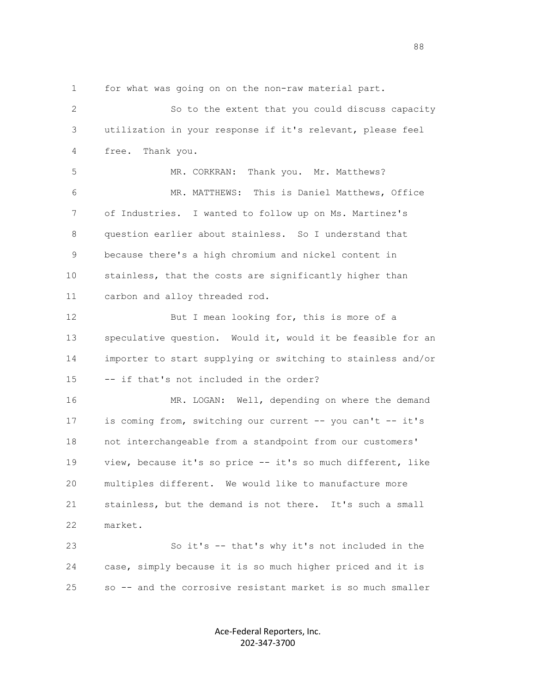1 for what was going on on the non-raw material part.

 2 So to the extent that you could discuss capacity 3 utilization in your response if it's relevant, please feel 4 free. Thank you. 5 MR. CORKRAN: Thank you. Mr. Matthews? 6 MR. MATTHEWS: This is Daniel Matthews, Office 7 of Industries. I wanted to follow up on Ms. Martinez's 8 question earlier about stainless. So I understand that 9 because there's a high chromium and nickel content in 10 stainless, that the costs are significantly higher than 11 carbon and alloy threaded rod. 12 But I mean looking for, this is more of a 13 speculative question. Would it, would it be feasible for an 14 importer to start supplying or switching to stainless and/or 15 -- if that's not included in the order? 16 MR. LOGAN: Well, depending on where the demand 17 is coming from, switching our current -- you can't -- it's 18 not interchangeable from a standpoint from our customers' 19 view, because it's so price -- it's so much different, like 20 multiples different. We would like to manufacture more 21 stainless, but the demand is not there. It's such a small 22 market. 23 So it's -- that's why it's not included in the 24 case, simply because it is so much higher priced and it is 25 so -- and the corrosive resistant market is so much smaller

> Ace-Federal Reporters, Inc. 202-347-3700

e e seu a constante de la constantidad de la constantidad de la constantidad de la constantidad de la constant<br>En 1888, estableceu a constantidad de la constantidad de la constantidad de la constantidad de la constantidad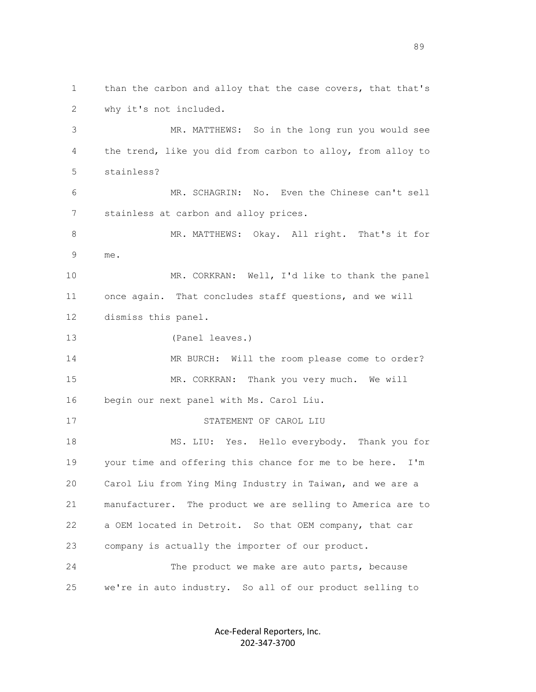1 than the carbon and alloy that the case covers, that that's 2 why it's not included. 3 MR. MATTHEWS: So in the long run you would see 4 the trend, like you did from carbon to alloy, from alloy to 5 stainless? 6 MR. SCHAGRIN: No. Even the Chinese can't sell 7 stainless at carbon and alloy prices. 8 MR. MATTHEWS: Okay. All right. That's it for 9 me. 10 MR. CORKRAN: Well, I'd like to thank the panel 11 once again. That concludes staff questions, and we will 12 dismiss this panel. 13 (Panel leaves.) 14 MR BURCH: Will the room please come to order? 15 MR. CORKRAN: Thank you very much. We will 16 begin our next panel with Ms. Carol Liu. 17 STATEMENT OF CAROL LIU 18 MS. LIU: Yes. Hello everybody. Thank you for 19 your time and offering this chance for me to be here. I'm 20 Carol Liu from Ying Ming Industry in Taiwan, and we are a 21 manufacturer. The product we are selling to America are to 22 a OEM located in Detroit. So that OEM company, that car 23 company is actually the importer of our product. 24 The product we make are auto parts, because 25 we're in auto industry. So all of our product selling to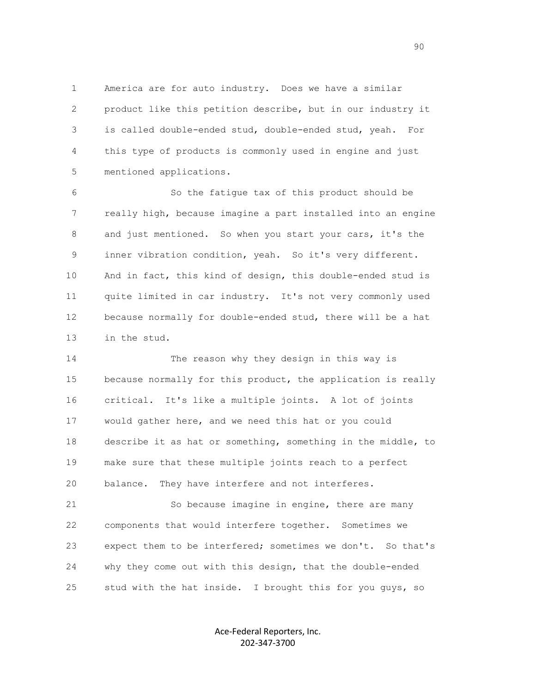1 America are for auto industry. Does we have a similar 2 product like this petition describe, but in our industry it 3 is called double-ended stud, double-ended stud, yeah. For 4 this type of products is commonly used in engine and just 5 mentioned applications.

 6 So the fatigue tax of this product should be 7 really high, because imagine a part installed into an engine 8 and just mentioned. So when you start your cars, it's the 9 inner vibration condition, yeah. So it's very different. 10 And in fact, this kind of design, this double-ended stud is 11 quite limited in car industry. It's not very commonly used 12 because normally for double-ended stud, there will be a hat 13 in the stud.

 14 The reason why they design in this way is 15 because normally for this product, the application is really 16 critical. It's like a multiple joints. A lot of joints 17 would gather here, and we need this hat or you could 18 describe it as hat or something, something in the middle, to 19 make sure that these multiple joints reach to a perfect 20 balance. They have interfere and not interferes.

 21 So because imagine in engine, there are many 22 components that would interfere together. Sometimes we 23 expect them to be interfered; sometimes we don't. So that's 24 why they come out with this design, that the double-ended 25 stud with the hat inside. I brought this for you guys, so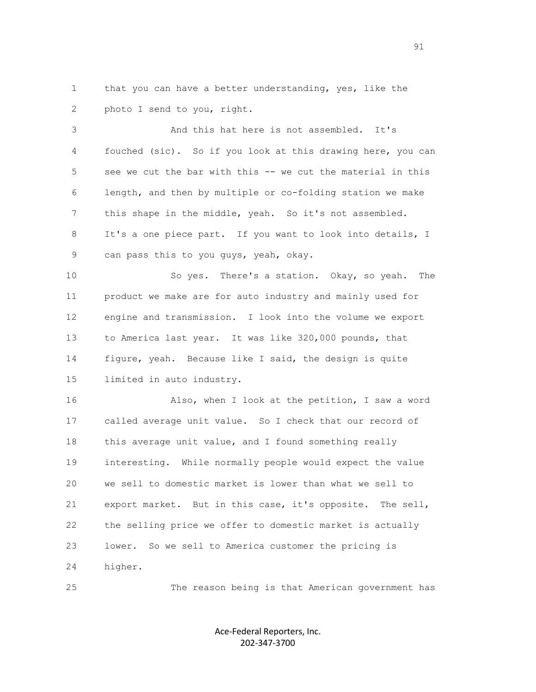1 that you can have a better understanding, yes, like the 2 photo I send to you, right.

 3 And this hat here is not assembled. It's 4 fouched (sic). So if you look at this drawing here, you can 5 see we cut the bar with this -- we cut the material in this 6 length, and then by multiple or co-folding station we make 7 this shape in the middle, yeah. So it's not assembled. 8 It's a one piece part. If you want to look into details, I 9 can pass this to you guys, yeah, okay.

 10 So yes. There's a station. Okay, so yeah. The 11 product we make are for auto industry and mainly used for 12 engine and transmission. I look into the volume we export 13 to America last year. It was like 320,000 pounds, that 14 figure, yeah. Because like I said, the design is quite 15 limited in auto industry.

 16 Also, when I look at the petition, I saw a word 17 called average unit value. So I check that our record of 18 this average unit value, and I found something really 19 interesting. While normally people would expect the value 20 we sell to domestic market is lower than what we sell to 21 export market. But in this case, it's opposite. The sell, 22 the selling price we offer to domestic market is actually 23 lower. So we sell to America customer the pricing is 24 higher.

25 The reason being is that American government has

Ace-Federal Reporters, Inc. 202-347-3700

91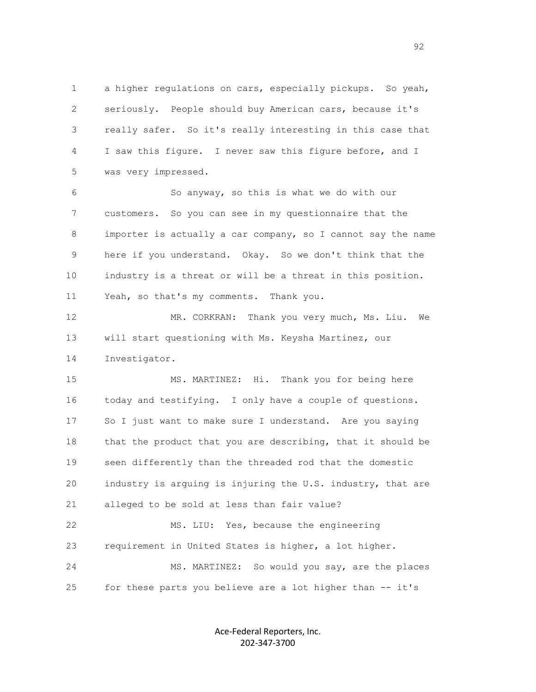1 a higher regulations on cars, especially pickups. So yeah, 2 seriously. People should buy American cars, because it's 3 really safer. So it's really interesting in this case that 4 I saw this figure. I never saw this figure before, and I 5 was very impressed.

 6 So anyway, so this is what we do with our 7 customers. So you can see in my questionnaire that the 8 importer is actually a car company, so I cannot say the name 9 here if you understand. Okay. So we don't think that the 10 industry is a threat or will be a threat in this position. 11 Yeah, so that's my comments. Thank you.

 12 MR. CORKRAN: Thank you very much, Ms. Liu. We 13 will start questioning with Ms. Keysha Martinez, our 14 Investigator.

 15 MS. MARTINEZ: Hi. Thank you for being here 16 today and testifying. I only have a couple of questions. 17 So I just want to make sure I understand. Are you saying 18 that the product that you are describing, that it should be 19 seen differently than the threaded rod that the domestic 20 industry is arguing is injuring the U.S. industry, that are 21 alleged to be sold at less than fair value?

 22 MS. LIU: Yes, because the engineering 23 requirement in United States is higher, a lot higher. 24 MS. MARTINEZ: So would you say, are the places 25 for these parts you believe are a lot higher than -- it's

> Ace-Federal Reporters, Inc. 202-347-3700

 $\sim$  92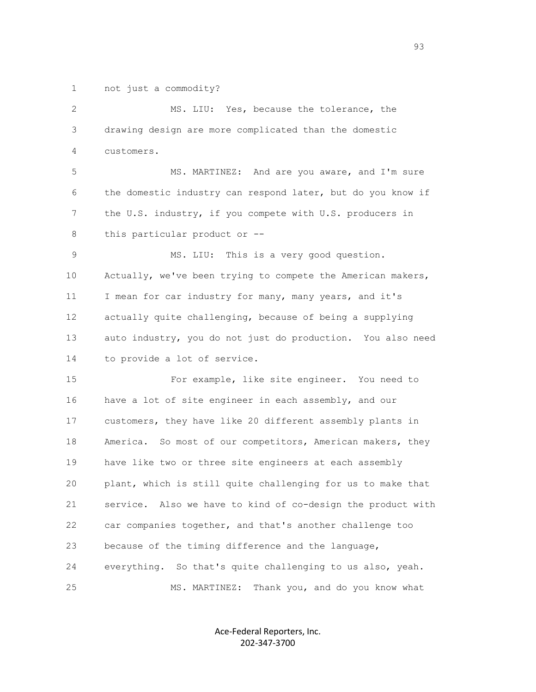1 not just a commodity?

2 MS. LIU: Yes, because the tolerance, the 3 drawing design are more complicated than the domestic 4 customers. 5 MS. MARTINEZ: And are you aware, and I'm sure 6 the domestic industry can respond later, but do you know if 7 the U.S. industry, if you compete with U.S. producers in 8 this particular product or -- 9 MS. LIU: This is a very good question. 10 Actually, we've been trying to compete the American makers, 11 I mean for car industry for many, many years, and it's 12 actually quite challenging, because of being a supplying 13 auto industry, you do not just do production. You also need 14 to provide a lot of service. 15 For example, like site engineer. You need to 16 have a lot of site engineer in each assembly, and our 17 customers, they have like 20 different assembly plants in 18 America. So most of our competitors, American makers, they 19 have like two or three site engineers at each assembly 20 plant, which is still quite challenging for us to make that 21 service. Also we have to kind of co-design the product with 22 car companies together, and that's another challenge too 23 because of the timing difference and the language, 24 everything. So that's quite challenging to us also, yeah. 25 MS. MARTINEZ: Thank you, and do you know what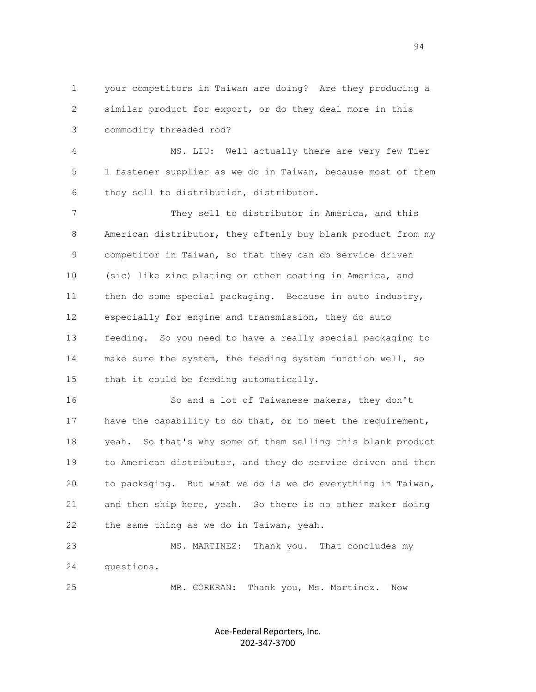1 your competitors in Taiwan are doing? Are they producing a 2 similar product for export, or do they deal more in this 3 commodity threaded rod?

 4 MS. LIU: Well actually there are very few Tier 5 1 fastener supplier as we do in Taiwan, because most of them 6 they sell to distribution, distributor.

 7 They sell to distributor in America, and this 8 American distributor, they oftenly buy blank product from my 9 competitor in Taiwan, so that they can do service driven 10 (sic) like zinc plating or other coating in America, and 11 then do some special packaging. Because in auto industry, 12 especially for engine and transmission, they do auto 13 feeding. So you need to have a really special packaging to 14 make sure the system, the feeding system function well, so 15 that it could be feeding automatically.

 16 So and a lot of Taiwanese makers, they don't 17 have the capability to do that, or to meet the requirement, 18 yeah. So that's why some of them selling this blank product 19 to American distributor, and they do service driven and then 20 to packaging. But what we do is we do everything in Taiwan, 21 and then ship here, yeah. So there is no other maker doing 22 the same thing as we do in Taiwan, yeah.

 23 MS. MARTINEZ: Thank you. That concludes my 24 questions.

25 MR. CORKRAN: Thank you, Ms. Martinez. Now

Ace-Federal Reporters, Inc. 202-347-3700

94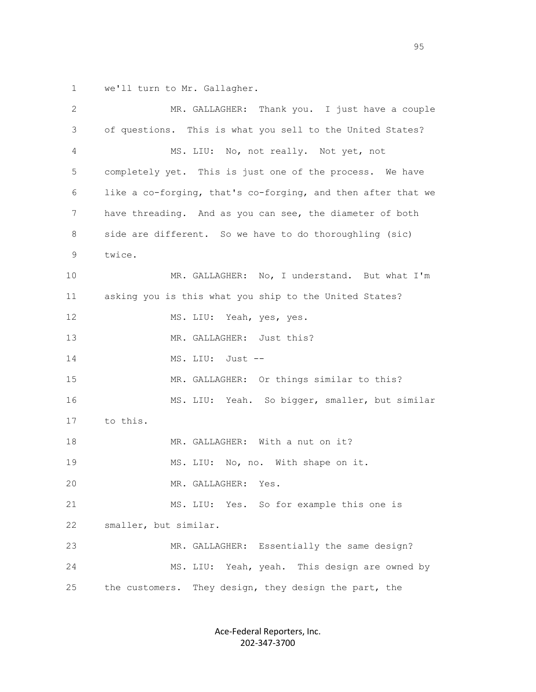1 we'll turn to Mr. Gallagher.

| 2  | MR. GALLAGHER: Thank you. I just have a couple               |
|----|--------------------------------------------------------------|
| 3  | of questions. This is what you sell to the United States?    |
| 4  | MS. LIU: No, not really. Not yet, not                        |
| 5  | completely yet. This is just one of the process. We have     |
| 6  | like a co-forging, that's co-forging, and then after that we |
| 7  | have threading. And as you can see, the diameter of both     |
| 8  | side are different. So we have to do thoroughling (sic)      |
| 9  | twice.                                                       |
| 10 | MR. GALLAGHER: No, I understand. But what I'm                |
| 11 | asking you is this what you ship to the United States?       |
| 12 | MS. LIU: Yeah, yes, yes.                                     |
| 13 | MR. GALLAGHER: Just this?                                    |
| 14 | MS. LIU:<br>Just --                                          |
| 15 | MR. GALLAGHER: Or things similar to this?                    |
| 16 | MS. LIU: Yeah. So bigger, smaller, but similar               |
| 17 | to this.                                                     |
| 18 | MR. GALLAGHER: With a nut on it?                             |
| 19 | MS. LIU: No, no. With shape on it.                           |
| 20 | MR. GALLAGHER:<br>Yes.                                       |
| 21 | Yes. So for example this one is<br>MS. LIU:                  |
| 22 | smaller, but similar.                                        |
| 23 | MR. GALLAGHER: Essentially the same design?                  |
| 24 | Yeah, yeah.<br>This design are owned by<br>MS. LIU:          |
| 25 | They design, they design the part, the<br>the customers.     |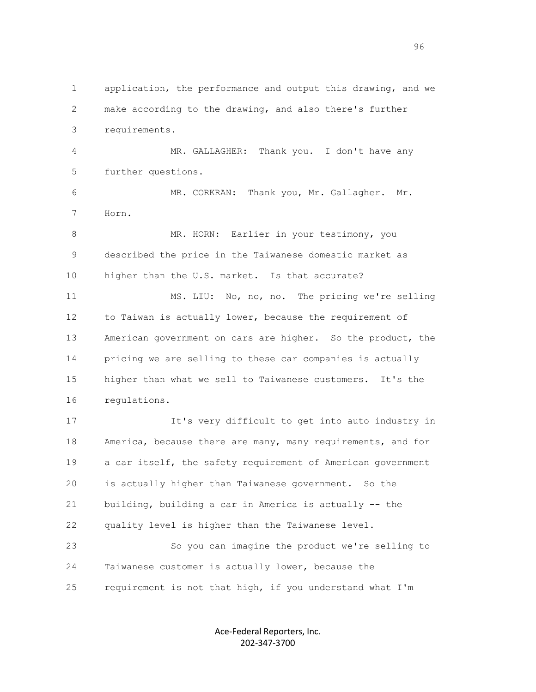1 application, the performance and output this drawing, and we 2 make according to the drawing, and also there's further 3 requirements.

 4 MR. GALLAGHER: Thank you. I don't have any 5 further questions.

 6 MR. CORKRAN: Thank you, Mr. Gallagher. Mr. 7 Horn.

8 MR. HORN: Earlier in your testimony, you 9 described the price in the Taiwanese domestic market as 10 higher than the U.S. market. Is that accurate?

 11 MS. LIU: No, no, no. The pricing we're selling 12 to Taiwan is actually lower, because the requirement of 13 American government on cars are higher. So the product, the 14 pricing we are selling to these car companies is actually 15 higher than what we sell to Taiwanese customers. It's the 16 regulations.

 17 It's very difficult to get into auto industry in 18 America, because there are many, many requirements, and for 19 a car itself, the safety requirement of American government 20 is actually higher than Taiwanese government. So the 21 building, building a car in America is actually -- the 22 quality level is higher than the Taiwanese level. 23 So you can imagine the product we're selling to

 24 Taiwanese customer is actually lower, because the 25 requirement is not that high, if you understand what I'm

> Ace-Federal Reporters, Inc. 202-347-3700

en de la construction de la construction de la construction de la construction de la construction de la constr<br>1960 : le construction de la construction de la construction de la construction de la construction de la const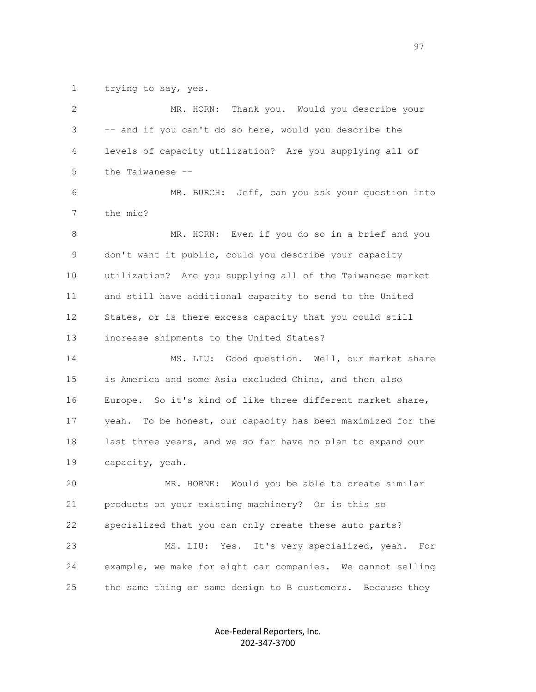1 trying to say, yes.

| $\mathbf{2}$ | Thank you. Would you describe your<br>MR. HORN:             |
|--------------|-------------------------------------------------------------|
| 3            | -- and if you can't do so here, would you describe the      |
| 4            | levels of capacity utilization? Are you supplying all of    |
| 5            | the Taiwanese --                                            |
| 6            | MR. BURCH: Jeff, can you ask your question into             |
| 7            | the mic?                                                    |
| 8            | MR. HORN: Even if you do so in a brief and you              |
| 9            | don't want it public, could you describe your capacity      |
| 10           | utilization? Are you supplying all of the Taiwanese market  |
| 11           | and still have additional capacity to send to the United    |
| 12           | States, or is there excess capacity that you could still    |
| 13           | increase shipments to the United States?                    |
| 14           | MS. LIU: Good question. Well, our market share              |
| 15           | is America and some Asia excluded China, and then also      |
| 16           | Europe. So it's kind of like three different market share,  |
| 17           | yeah. To be honest, our capacity has been maximized for the |
| 18           | last three years, and we so far have no plan to expand our  |
| 19           | capacity, yeah.                                             |
| 20           | MR. HORNE:<br>Would you be able to create similar           |
| 21           | products on your existing machinery? Or is this so          |
| 22           | specialized that you can only create these auto parts?      |
| 23           | Yes. It's very specialized, yeah.<br>MS. LIU:<br>For        |
| 24           | example, we make for eight car companies. We cannot selling |
| 25           | the same thing or same design to B customers. Because they  |
|              |                                                             |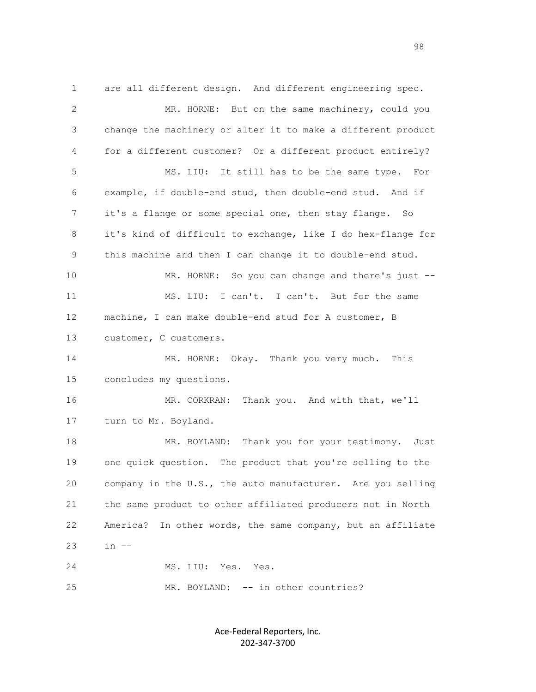1 are all different design. And different engineering spec. 2 MR. HORNE: But on the same machinery, could you 3 change the machinery or alter it to make a different product 4 for a different customer? Or a different product entirely? 5 MS. LIU: It still has to be the same type. For 6 example, if double-end stud, then double-end stud. And if 7 it's a flange or some special one, then stay flange. So 8 it's kind of difficult to exchange, like I do hex-flange for 9 this machine and then I can change it to double-end stud. 10 MR. HORNE: So you can change and there's just -- 11 MS. LIU: I can't. I can't. But for the same 12 machine, I can make double-end stud for A customer, B 13 customer, C customers. 14 MR. HORNE: Okay. Thank you very much. This 15 concludes my questions. 16 MR. CORKRAN: Thank you. And with that, we'll 17 turn to Mr. Boyland. 18 MR. BOYLAND: Thank you for your testimony. Just 19 one quick question. The product that you're selling to the 20 company in the U.S., the auto manufacturer. Are you selling 21 the same product to other affiliated producers not in North 22 America? In other words, the same company, but an affiliate  $23 \t in -$  24 MS. LIU: Yes. Yes. 25 MR. BOYLAND: -- in other countries?

> Ace-Federal Reporters, Inc. 202-347-3700

en 1980 van die 1980 van die 1980 van die 1980 van die 1980 van die 1980 van die 1980 van die 1980 van die 198<br>Gebeure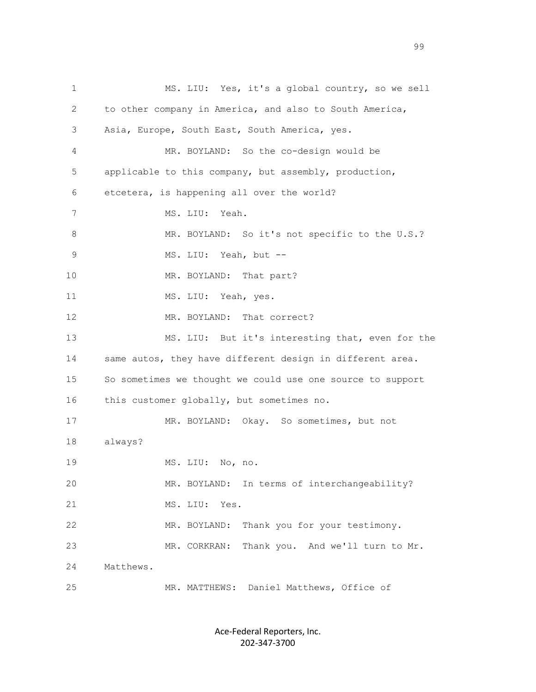1 MS. LIU: Yes, it's a global country, so we sell 2 to other company in America, and also to South America, 3 Asia, Europe, South East, South America, yes. 4 MR. BOYLAND: So the co-design would be 5 applicable to this company, but assembly, production, 6 etcetera, is happening all over the world? 7 MS. LIU: Yeah. 8 MR. BOYLAND: So it's not specific to the U.S.? 9 MS. LIU: Yeah, but --10 MR. BOYLAND: That part? 11 MS. LIU: Yeah, yes. 12 MR. BOYLAND: That correct? 13 MS. LIU: But it's interesting that, even for the 14 same autos, they have different design in different area. 15 So sometimes we thought we could use one source to support 16 this customer globally, but sometimes no. 17 MR. BOYLAND: Okay. So sometimes, but not 18 always? 19 MS. LIU: No, no. 20 MR. BOYLAND: In terms of interchangeability? 21 MS. LIU: Yes. 22 MR. BOYLAND: Thank you for your testimony. 23 MR. CORKRAN: Thank you. And we'll turn to Mr. 24 Matthews. 25 MR. MATTHEWS: Daniel Matthews, Office of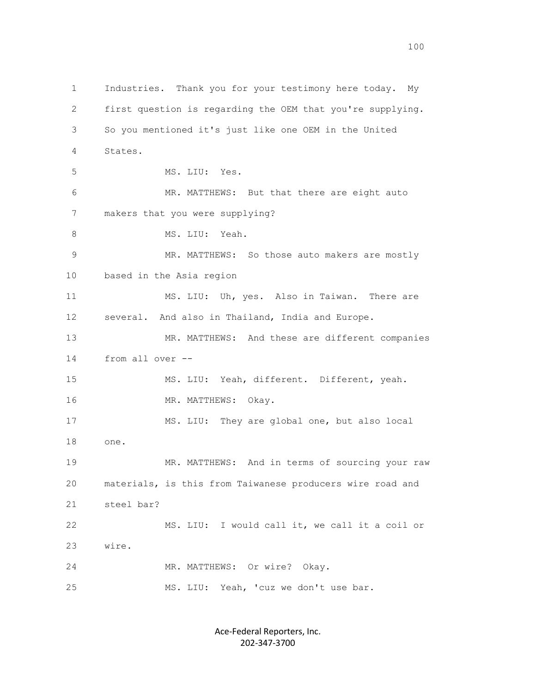1 Industries. Thank you for your testimony here today. My 2 first question is regarding the OEM that you're supplying. 3 So you mentioned it's just like one OEM in the United 4 States. 5 MS. LIU: Yes. 6 MR. MATTHEWS: But that there are eight auto 7 makers that you were supplying? 8 MS. LIU: Yeah. 9 MR. MATTHEWS: So those auto makers are mostly 10 based in the Asia region 11 MS. LIU: Uh, yes. Also in Taiwan. There are 12 several. And also in Thailand, India and Europe. 13 MR. MATTHEWS: And these are different companies 14 from all over -- 15 MS. LIU: Yeah, different. Different, yeah. 16 MR. MATTHEWS: Okay. 17 MS. LIU: They are global one, but also local 18 one. 19 MR. MATTHEWS: And in terms of sourcing your raw 20 materials, is this from Taiwanese producers wire road and 21 steel bar? 22 MS. LIU: I would call it, we call it a coil or 23 wire. 24 MR. MATTHEWS: Or wire? Okay. 25 MS. LIU: Yeah, 'cuz we don't use bar.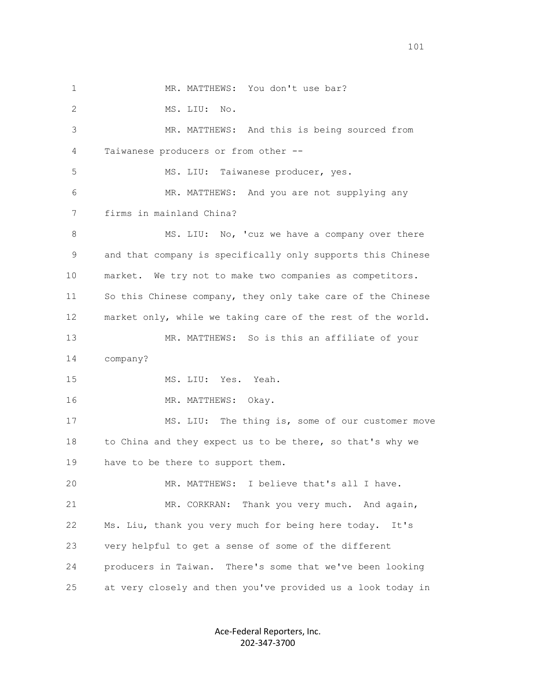1 MR. MATTHEWS: You don't use bar? 2 MS. LIU: No. 3 MR. MATTHEWS: And this is being sourced from 4 Taiwanese producers or from other -- 5 MS. LIU: Taiwanese producer, yes. 6 MR. MATTHEWS: And you are not supplying any 7 firms in mainland China? 8 MS. LIU: No, 'cuz we have a company over there 9 and that company is specifically only supports this Chinese 10 market. We try not to make two companies as competitors. 11 So this Chinese company, they only take care of the Chinese 12 market only, while we taking care of the rest of the world. 13 MR. MATTHEWS: So is this an affiliate of your 14 company? 15 MS. LIU: Yes. Yeah. 16 MR. MATTHEWS: Okay. 17 MS. LIU: The thing is, some of our customer move 18 to China and they expect us to be there, so that's why we 19 have to be there to support them. 20 MR. MATTHEWS: I believe that's all I have. 21 MR. CORKRAN: Thank you very much. And again, 22 Ms. Liu, thank you very much for being here today. It's 23 very helpful to get a sense of some of the different 24 producers in Taiwan. There's some that we've been looking 25 at very closely and then you've provided us a look today in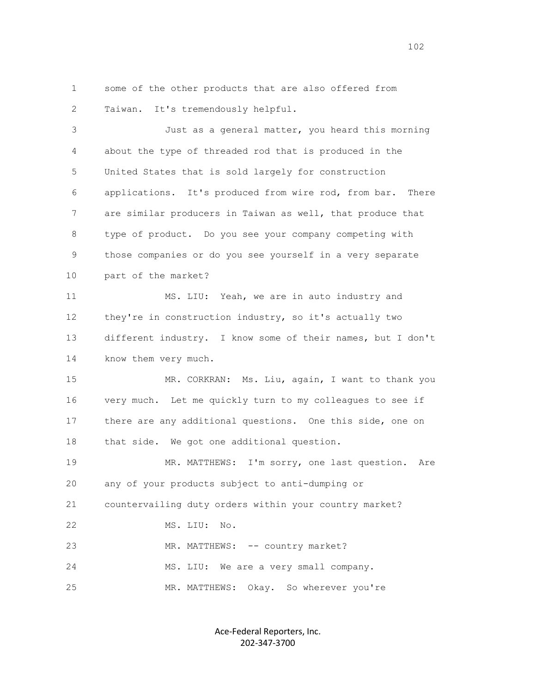1 some of the other products that are also offered from 2 Taiwan. It's tremendously helpful.

 3 Just as a general matter, you heard this morning 4 about the type of threaded rod that is produced in the 5 United States that is sold largely for construction 6 applications. It's produced from wire rod, from bar. There 7 are similar producers in Taiwan as well, that produce that 8 type of product. Do you see your company competing with 9 those companies or do you see yourself in a very separate 10 part of the market? 11 MS. LIU: Yeah, we are in auto industry and 12 they're in construction industry, so it's actually two 13 different industry. I know some of their names, but I don't 14 know them very much. 15 MR. CORKRAN: Ms. Liu, again, I want to thank you 16 very much. Let me quickly turn to my colleagues to see if 17 there are any additional questions. One this side, one on 18 that side. We got one additional question. 19 MR. MATTHEWS: I'm sorry, one last question. Are 20 any of your products subject to anti-dumping or 21 countervailing duty orders within your country market? 22 MS. LIU: No. 23 MR. MATTHEWS: -- country market? 24 MS. LIU: We are a very small company.

25 MR. MATTHEWS: Okay. So wherever you're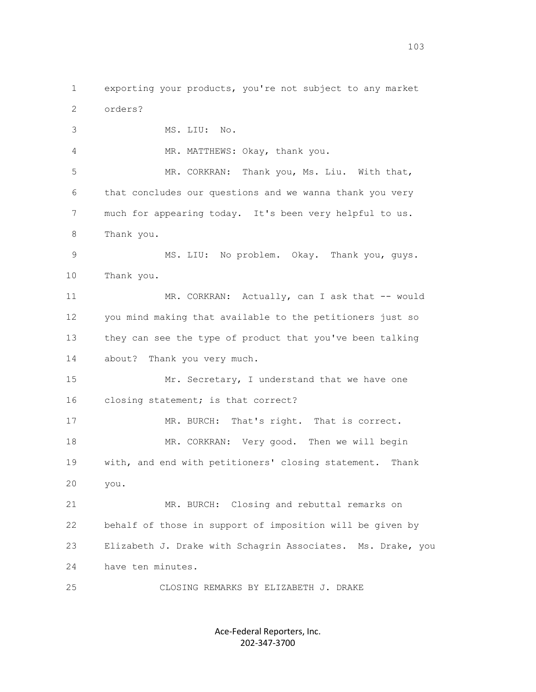1 exporting your products, you're not subject to any market 2 orders? 3 MS. LIU: No. 4 MR. MATTHEWS: Okay, thank you. 5 MR. CORKRAN: Thank you, Ms. Liu. With that, 6 that concludes our questions and we wanna thank you very 7 much for appearing today. It's been very helpful to us. 8 Thank you. 9 MS. LIU: No problem. Okay. Thank you, guys. 10 Thank you. 11 MR. CORKRAN: Actually, can I ask that -- would 12 you mind making that available to the petitioners just so 13 they can see the type of product that you've been talking 14 about? Thank you very much. 15 Mr. Secretary, I understand that we have one 16 closing statement; is that correct? 17 MR. BURCH: That's right. That is correct. 18 MR. CORKRAN: Very good. Then we will begin 19 with, and end with petitioners' closing statement. Thank 20 you. 21 MR. BURCH: Closing and rebuttal remarks on 22 behalf of those in support of imposition will be given by 23 Elizabeth J. Drake with Schagrin Associates. Ms. Drake, you 24 have ten minutes. 25 CLOSING REMARKS BY ELIZABETH J. DRAKE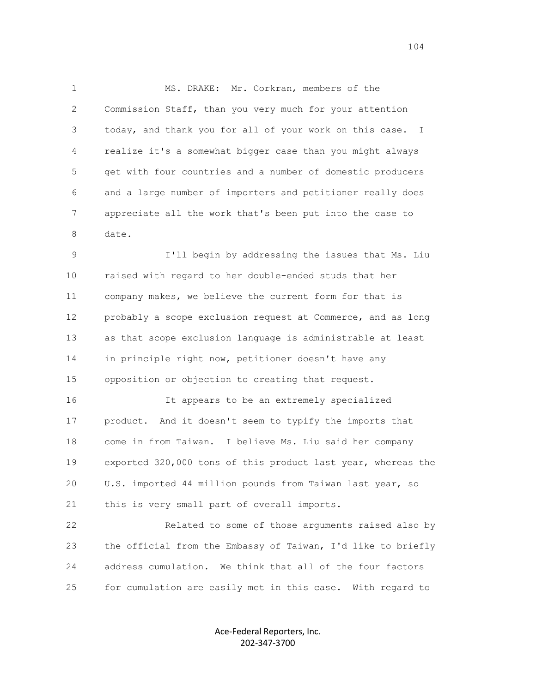1 MS. DRAKE: Mr. Corkran, members of the 2 Commission Staff, than you very much for your attention 3 today, and thank you for all of your work on this case. I 4 realize it's a somewhat bigger case than you might always 5 get with four countries and a number of domestic producers 6 and a large number of importers and petitioner really does 7 appreciate all the work that's been put into the case to 8 date.

 9 I'll begin by addressing the issues that Ms. Liu 10 raised with regard to her double-ended studs that her 11 company makes, we believe the current form for that is 12 probably a scope exclusion request at Commerce, and as long 13 as that scope exclusion language is administrable at least 14 in principle right now, petitioner doesn't have any 15 opposition or objection to creating that request.

 16 It appears to be an extremely specialized 17 product. And it doesn't seem to typify the imports that 18 come in from Taiwan. I believe Ms. Liu said her company 19 exported 320,000 tons of this product last year, whereas the 20 U.S. imported 44 million pounds from Taiwan last year, so 21 this is very small part of overall imports.

 22 Related to some of those arguments raised also by 23 the official from the Embassy of Taiwan, I'd like to briefly 24 address cumulation. We think that all of the four factors 25 for cumulation are easily met in this case. With regard to

> Ace-Federal Reporters, Inc. 202-347-3700

104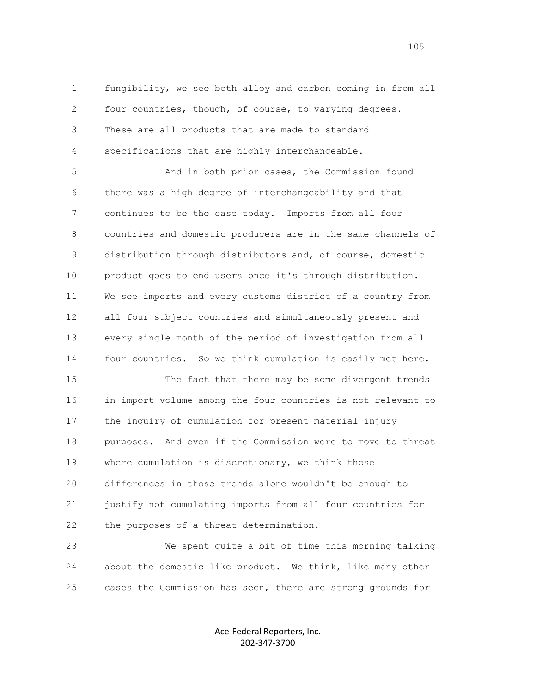1 fungibility, we see both alloy and carbon coming in from all 2 four countries, though, of course, to varying degrees. 3 These are all products that are made to standard 4 specifications that are highly interchangeable.

 5 And in both prior cases, the Commission found 6 there was a high degree of interchangeability and that 7 continues to be the case today. Imports from all four 8 countries and domestic producers are in the same channels of 9 distribution through distributors and, of course, domestic 10 product goes to end users once it's through distribution. 11 We see imports and every customs district of a country from 12 all four subject countries and simultaneously present and 13 every single month of the period of investigation from all 14 four countries. So we think cumulation is easily met here.

 15 The fact that there may be some divergent trends 16 in import volume among the four countries is not relevant to 17 the inquiry of cumulation for present material injury 18 purposes. And even if the Commission were to move to threat 19 where cumulation is discretionary, we think those 20 differences in those trends alone wouldn't be enough to 21 justify not cumulating imports from all four countries for 22 the purposes of a threat determination.

 23 We spent quite a bit of time this morning talking 24 about the domestic like product. We think, like many other 25 cases the Commission has seen, there are strong grounds for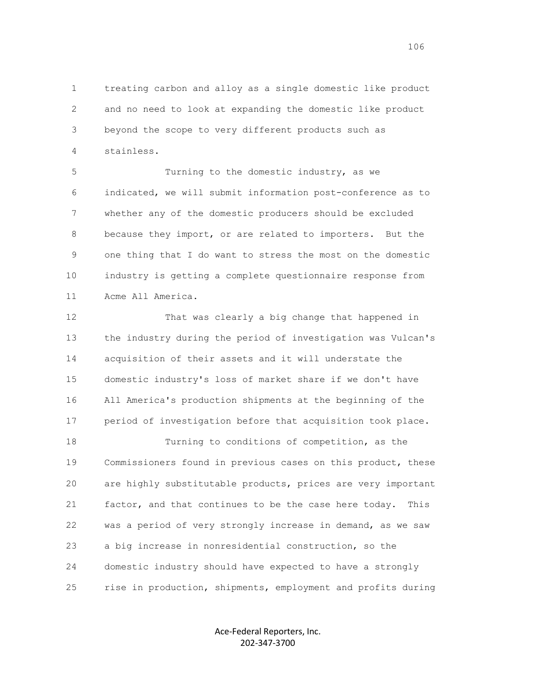1 treating carbon and alloy as a single domestic like product 2 and no need to look at expanding the domestic like product 3 beyond the scope to very different products such as 4 stainless.

 5 Turning to the domestic industry, as we 6 indicated, we will submit information post-conference as to 7 whether any of the domestic producers should be excluded 8 because they import, or are related to importers. But the 9 one thing that I do want to stress the most on the domestic 10 industry is getting a complete questionnaire response from 11 Acme All America.

 12 That was clearly a big change that happened in 13 the industry during the period of investigation was Vulcan's 14 acquisition of their assets and it will understate the 15 domestic industry's loss of market share if we don't have 16 All America's production shipments at the beginning of the 17 period of investigation before that acquisition took place.

 18 Turning to conditions of competition, as the 19 Commissioners found in previous cases on this product, these 20 are highly substitutable products, prices are very important 21 factor, and that continues to be the case here today. This 22 was a period of very strongly increase in demand, as we saw 23 a big increase in nonresidential construction, so the 24 domestic industry should have expected to have a strongly 25 rise in production, shipments, employment and profits during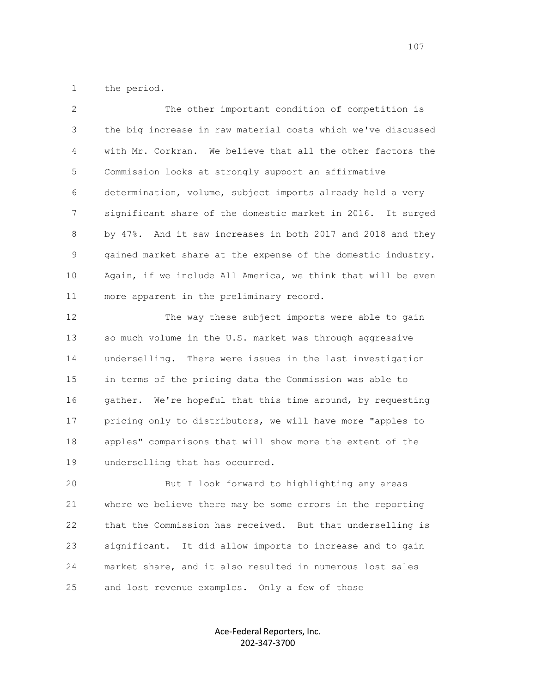1 the period.

 2 The other important condition of competition is 3 the big increase in raw material costs which we've discussed 4 with Mr. Corkran. We believe that all the other factors the 5 Commission looks at strongly support an affirmative 6 determination, volume, subject imports already held a very 7 significant share of the domestic market in 2016. It surged 8 by 47%. And it saw increases in both 2017 and 2018 and they 9 gained market share at the expense of the domestic industry. 10 Again, if we include All America, we think that will be even 11 more apparent in the preliminary record.

 12 The way these subject imports were able to gain 13 so much volume in the U.S. market was through aggressive 14 underselling. There were issues in the last investigation 15 in terms of the pricing data the Commission was able to 16 gather. We're hopeful that this time around, by requesting 17 pricing only to distributors, we will have more "apples to 18 apples" comparisons that will show more the extent of the 19 underselling that has occurred.

 20 But I look forward to highlighting any areas 21 where we believe there may be some errors in the reporting 22 that the Commission has received. But that underselling is 23 significant. It did allow imports to increase and to gain 24 market share, and it also resulted in numerous lost sales 25 and lost revenue examples. Only a few of those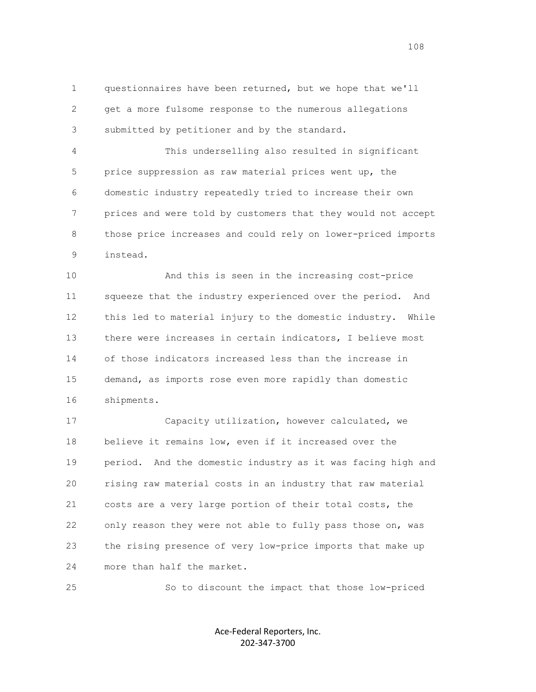1 questionnaires have been returned, but we hope that we'll 2 get a more fulsome response to the numerous allegations 3 submitted by petitioner and by the standard.

 4 This underselling also resulted in significant 5 price suppression as raw material prices went up, the 6 domestic industry repeatedly tried to increase their own 7 prices and were told by customers that they would not accept 8 those price increases and could rely on lower-priced imports 9 instead.

 10 And this is seen in the increasing cost-price 11 squeeze that the industry experienced over the period. And 12 this led to material injury to the domestic industry. While 13 there were increases in certain indicators, I believe most 14 of those indicators increased less than the increase in 15 demand, as imports rose even more rapidly than domestic 16 shipments.

 17 Capacity utilization, however calculated, we 18 believe it remains low, even if it increased over the 19 period. And the domestic industry as it was facing high and 20 rising raw material costs in an industry that raw material 21 costs are a very large portion of their total costs, the 22 only reason they were not able to fully pass those on, was 23 the rising presence of very low-price imports that make up 24 more than half the market.

25 So to discount the impact that those low-priced

Ace-Federal Reporters, Inc. 202-347-3700

108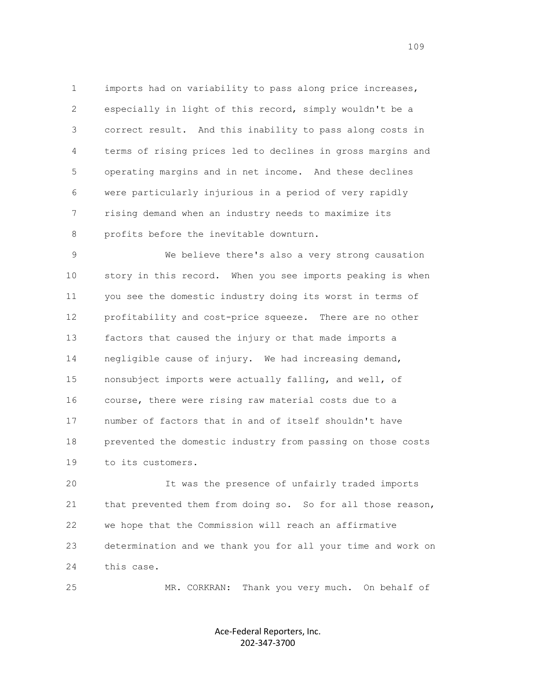1 imports had on variability to pass along price increases, 2 especially in light of this record, simply wouldn't be a 3 correct result. And this inability to pass along costs in 4 terms of rising prices led to declines in gross margins and 5 operating margins and in net income. And these declines 6 were particularly injurious in a period of very rapidly 7 rising demand when an industry needs to maximize its 8 profits before the inevitable downturn.

 9 We believe there's also a very strong causation 10 story in this record. When you see imports peaking is when 11 you see the domestic industry doing its worst in terms of 12 profitability and cost-price squeeze. There are no other 13 factors that caused the injury or that made imports a 14 negligible cause of injury. We had increasing demand, 15 nonsubject imports were actually falling, and well, of 16 course, there were rising raw material costs due to a 17 number of factors that in and of itself shouldn't have 18 prevented the domestic industry from passing on those costs 19 to its customers.

 20 It was the presence of unfairly traded imports 21 that prevented them from doing so. So for all those reason, 22 we hope that the Commission will reach an affirmative 23 determination and we thank you for all your time and work on 24 this case.

25 MR. CORKRAN: Thank you very much. On behalf of

Ace-Federal Reporters, Inc. 202-347-3700

109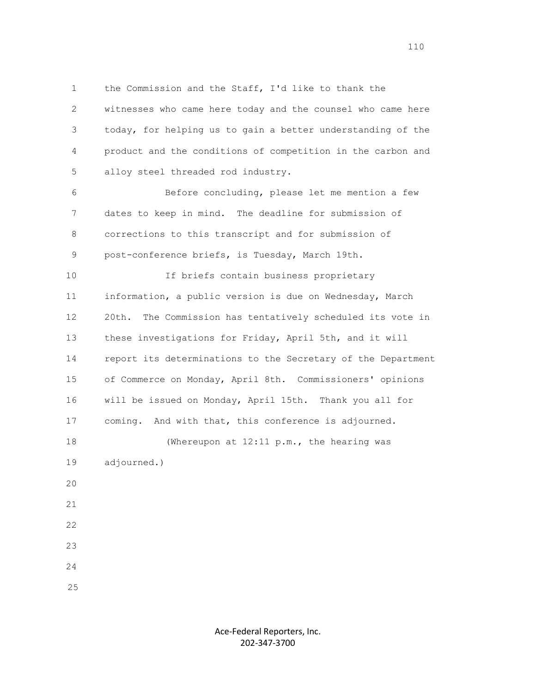1 the Commission and the Staff, I'd like to thank the 2 witnesses who came here today and the counsel who came here 3 today, for helping us to gain a better understanding of the 4 product and the conditions of competition in the carbon and 5 alloy steel threaded rod industry. 6 Before concluding, please let me mention a few 7 dates to keep in mind. The deadline for submission of 8 corrections to this transcript and for submission of 9 post-conference briefs, is Tuesday, March 19th. 10 If briefs contain business proprietary 11 information, a public version is due on Wednesday, March 12 20th. The Commission has tentatively scheduled its vote in 13 these investigations for Friday, April 5th, and it will 14 report its determinations to the Secretary of the Department 15 of Commerce on Monday, April 8th. Commissioners' opinions 16 will be issued on Monday, April 15th. Thank you all for 17 coming. And with that, this conference is adjourned. 18 (Whereupon at 12:11 p.m., the hearing was 19 adjourned.) 20 21 22 23 24 25